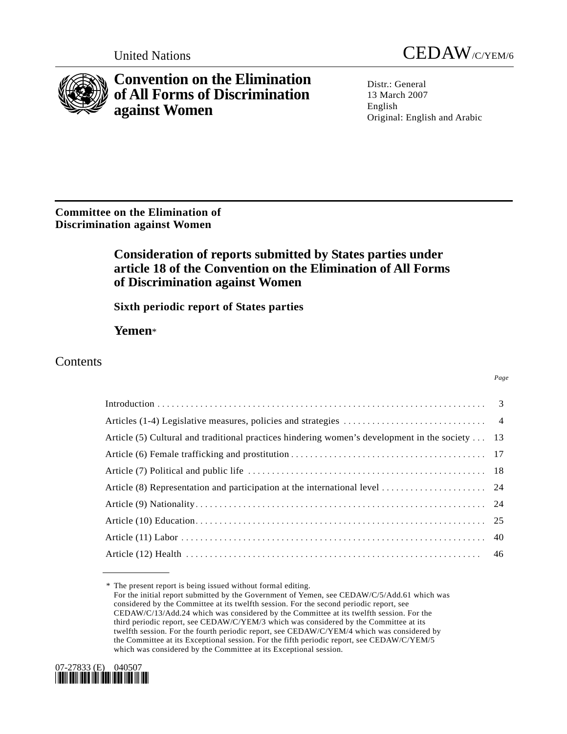

**Convention on the Elimination of All Forms of Discrimination against Women** 

United Nations CEDAW/C/YEM/6

Distr · General 13 March 2007 English Original: English and Arabic

**Committee on the Elimination of Discrimination against Women** 

# **Consideration of reports submitted by States parties under article 18 of the Convention on the Elimination of All Forms of Discrimination against Women**

 **Sixth periodic report of States parties** 

 **Yemen**\*

# Contents

| Article (5) Cultural and traditional practices hindering women's development in the society $\dots$ 13 |  |
|--------------------------------------------------------------------------------------------------------|--|
|                                                                                                        |  |
|                                                                                                        |  |
|                                                                                                        |  |
|                                                                                                        |  |
|                                                                                                        |  |
|                                                                                                        |  |
|                                                                                                        |  |

 <sup>\*</sup> The present report is being issued without formal editing. For the initial report submitted by the Government of Yemen, see CEDAW/C/5/Add.61 which was considered by the Committee at its twelfth session. For the second periodic report, see CEDAW/C/13/Add.24 which was considered by the Committee at its twelfth session. For the third periodic report, see CEDAW/C/YEM/3 which was considered by the Committee at its twelfth session. For the fourth periodic report, see CEDAW/C/YEM/4 which was considered by the Committee at its Exceptional session. For the fifth periodic report, see CEDAW/C/YEM/5 which was considered by the Committee at its Exceptional session.

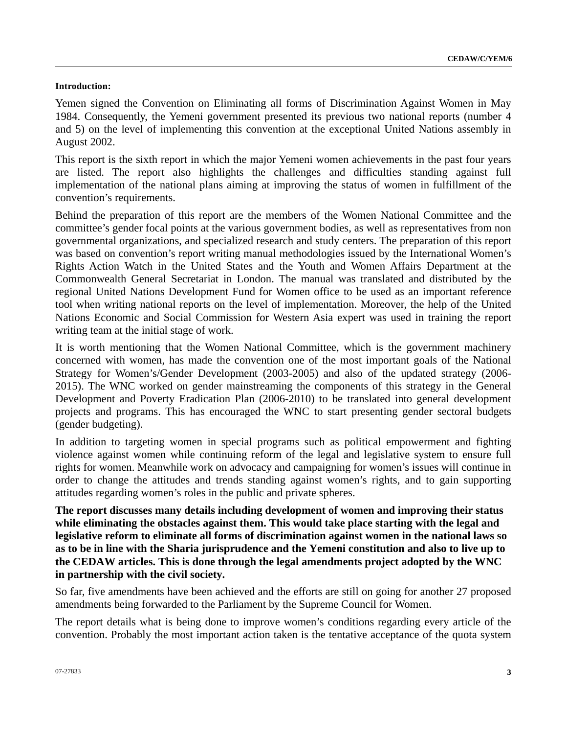#### **Introduction:**

Yemen signed the Convention on Eliminating all forms of Discrimination Against Women in May 1984. Consequently, the Yemeni government presented its previous two national reports (number 4 and 5) on the level of implementing this convention at the exceptional United Nations assembly in August 2002.

This report is the sixth report in which the major Yemeni women achievements in the past four years are listed. The report also highlights the challenges and difficulties standing against full implementation of the national plans aiming at improving the status of women in fulfillment of the convention's requirements.

Behind the preparation of this report are the members of the Women National Committee and the committee's gender focal points at the various government bodies, as well as representatives from non governmental organizations, and specialized research and study centers. The preparation of this report was based on convention's report writing manual methodologies issued by the International Women's Rights Action Watch in the United States and the Youth and Women Affairs Department at the Commonwealth General Secretariat in London. The manual was translated and distributed by the regional United Nations Development Fund for Women office to be used as an important reference tool when writing national reports on the level of implementation. Moreover, the help of the United Nations Economic and Social Commission for Western Asia expert was used in training the report writing team at the initial stage of work.

It is worth mentioning that the Women National Committee, which is the government machinery concerned with women, has made the convention one of the most important goals of the National Strategy for Women's/Gender Development (2003-2005) and also of the updated strategy (2006- 2015). The WNC worked on gender mainstreaming the components of this strategy in the General Development and Poverty Eradication Plan (2006-2010) to be translated into general development projects and programs. This has encouraged the WNC to start presenting gender sectoral budgets (gender budgeting).

In addition to targeting women in special programs such as political empowerment and fighting violence against women while continuing reform of the legal and legislative system to ensure full rights for women. Meanwhile work on advocacy and campaigning for women's issues will continue in order to change the attitudes and trends standing against women's rights, and to gain supporting attitudes regarding women's roles in the public and private spheres.

**The report discusses many details including development of women and improving their status while eliminating the obstacles against them. This would take place starting with the legal and legislative reform to eliminate all forms of discrimination against women in the national laws so as to be in line with the Sharia jurisprudence and the Yemeni constitution and also to live up to the CEDAW articles. This is done through the legal amendments project adopted by the WNC in partnership with the civil society.** 

So far, five amendments have been achieved and the efforts are still on going for another 27 proposed amendments being forwarded to the Parliament by the Supreme Council for Women.

The report details what is being done to improve women's conditions regarding every article of the convention. Probably the most important action taken is the tentative acceptance of the quota system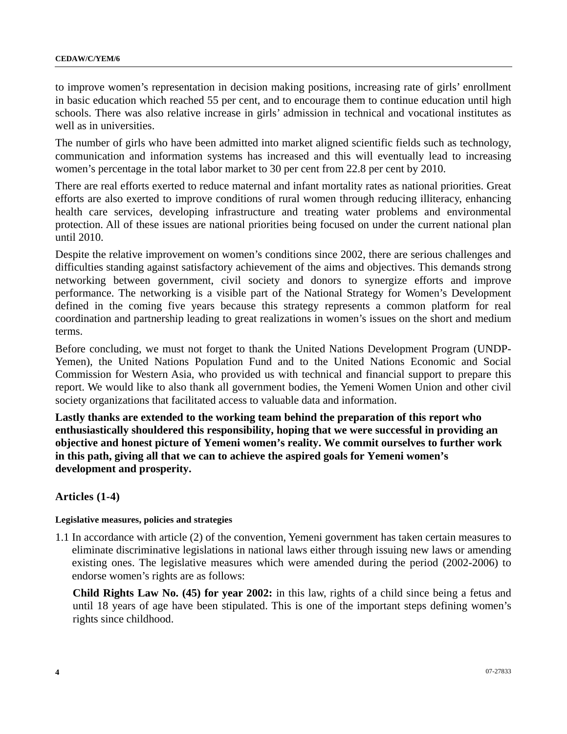to improve women's representation in decision making positions, increasing rate of girls' enrollment in basic education which reached 55 per cent, and to encourage them to continue education until high schools. There was also relative increase in girls' admission in technical and vocational institutes as well as in universities.

The number of girls who have been admitted into market aligned scientific fields such as technology, communication and information systems has increased and this will eventually lead to increasing women's percentage in the total labor market to 30 per cent from 22.8 per cent by 2010.

There are real efforts exerted to reduce maternal and infant mortality rates as national priorities. Great efforts are also exerted to improve conditions of rural women through reducing illiteracy, enhancing health care services, developing infrastructure and treating water problems and environmental protection. All of these issues are national priorities being focused on under the current national plan until 2010.

Despite the relative improvement on women's conditions since 2002, there are serious challenges and difficulties standing against satisfactory achievement of the aims and objectives. This demands strong networking between government, civil society and donors to synergize efforts and improve performance. The networking is a visible part of the National Strategy for Women's Development defined in the coming five years because this strategy represents a common platform for real coordination and partnership leading to great realizations in women's issues on the short and medium terms.

Before concluding, we must not forget to thank the United Nations Development Program (UNDP-Yemen), the United Nations Population Fund and to the United Nations Economic and Social Commission for Western Asia, who provided us with technical and financial support to prepare this report. We would like to also thank all government bodies, the Yemeni Women Union and other civil society organizations that facilitated access to valuable data and information.

**Lastly thanks are extended to the working team behind the preparation of this report who enthusiastically shouldered this responsibility, hoping that we were successful in providing an objective and honest picture of Yemeni women's reality. We commit ourselves to further work in this path, giving all that we can to achieve the aspired goals for Yemeni women's development and prosperity.** 

# **Articles (1-4)**

#### **Legislative measures, policies and strategies**

1.1 In accordance with article (2) of the convention, Yemeni government has taken certain measures to eliminate discriminative legislations in national laws either through issuing new laws or amending existing ones. The legislative measures which were amended during the period (2002-2006) to endorse women's rights are as follows:

 **Child Rights Law No. (45) for year 2002:** in this law, rights of a child since being a fetus and until 18 years of age have been stipulated. This is one of the important steps defining women's rights since childhood.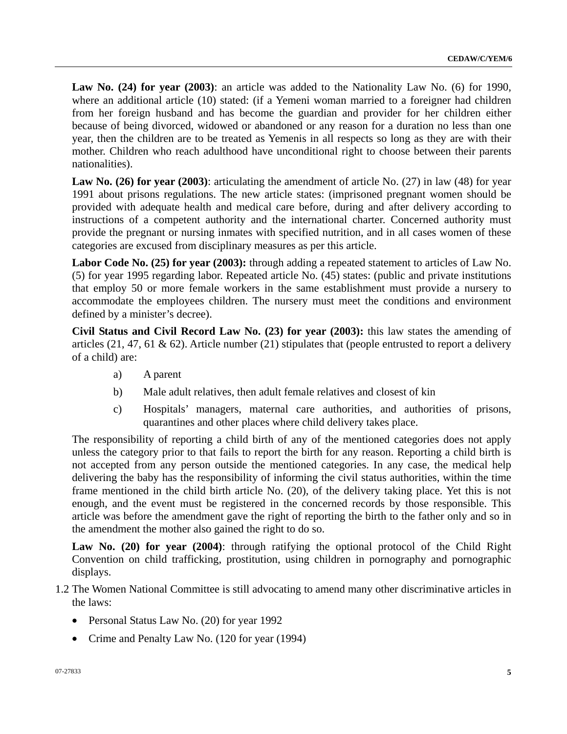Law No.  $(24)$  for year  $(2003)$ : an article was added to the Nationality Law No.  $(6)$  for 1990, where an additional article (10) stated: (if a Yemeni woman married to a foreigner had children from her foreign husband and has become the guardian and provider for her children either because of being divorced, widowed or abandoned or any reason for a duration no less than one year, then the children are to be treated as Yemenis in all respects so long as they are with their mother. Children who reach adulthood have unconditional right to choose between their parents nationalities).

**Law No. (26) for year (2003)**: articulating the amendment of article No. (27) in law (48) for year 1991 about prisons regulations. The new article states: (imprisoned pregnant women should be provided with adequate health and medical care before, during and after delivery according to instructions of a competent authority and the international charter. Concerned authority must provide the pregnant or nursing inmates with specified nutrition, and in all cases women of these categories are excused from disciplinary measures as per this article.

**Labor Code No. (25) for year (2003):** through adding a repeated statement to articles of Law No. (5) for year 1995 regarding labor. Repeated article No. (45) states: (public and private institutions that employ 50 or more female workers in the same establishment must provide a nursery to accommodate the employees children. The nursery must meet the conditions and environment defined by a minister's decree).

**Civil Status and Civil Record Law No. (23) for year (2003):** this law states the amending of articles (21, 47, 61 & 62). Article number (21) stipulates that (people entrusted to report a delivery of a child) are:

- a) A parent
- b) Male adult relatives, then adult female relatives and closest of kin
- c) Hospitals' managers, maternal care authorities, and authorities of prisons, quarantines and other places where child delivery takes place.

The responsibility of reporting a child birth of any of the mentioned categories does not apply unless the category prior to that fails to report the birth for any reason. Reporting a child birth is not accepted from any person outside the mentioned categories. In any case, the medical help delivering the baby has the responsibility of informing the civil status authorities, within the time frame mentioned in the child birth article No. (20), of the delivery taking place. Yet this is not enough, and the event must be registered in the concerned records by those responsible. This article was before the amendment gave the right of reporting the birth to the father only and so in the amendment the mother also gained the right to do so.

**Law No. (20) for year (2004)**: through ratifying the optional protocol of the Child Right Convention on child trafficking, prostitution, using children in pornography and pornographic displays.

- 1.2 The Women National Committee is still advocating to amend many other discriminative articles in the laws:
	- Personal Status Law No. (20) for year 1992
	- Crime and Penalty Law No. (120 for year (1994)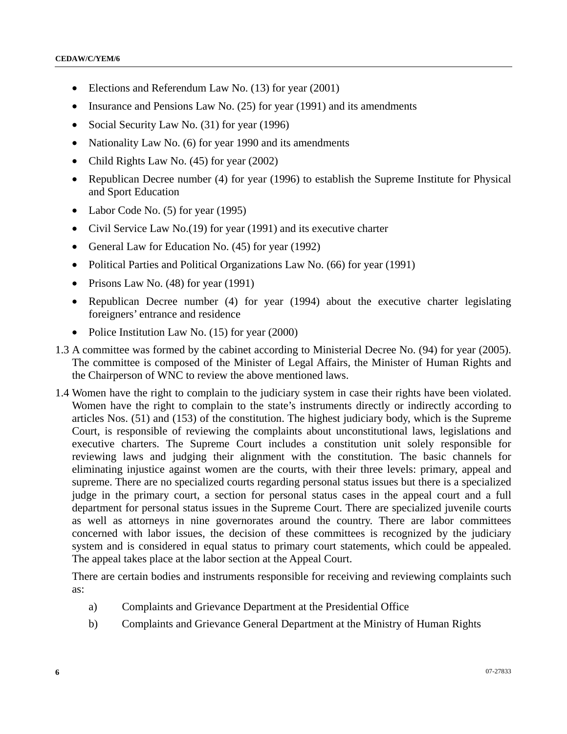- Elections and Referendum Law No. (13) for year (2001)
- Insurance and Pensions Law No. (25) for year (1991) and its amendments
- Social Security Law No. (31) for year (1996)
- Nationality Law No. (6) for year 1990 and its amendments
- Child Rights Law No. (45) for year (2002)
- Republican Decree number (4) for year (1996) to establish the Supreme Institute for Physical and Sport Education
- Labor Code No. (5) for year (1995)
- Civil Service Law No.(19) for year (1991) and its executive charter
- General Law for Education No. (45) for year (1992)
- Political Parties and Political Organizations Law No. (66) for year (1991)
- Prisons Law No. (48) for year (1991)
- Republican Decree number (4) for year (1994) about the executive charter legislating foreigners' entrance and residence
- Police Institution Law No. (15) for year (2000)
- 1.3 A committee was formed by the cabinet according to Ministerial Decree No. (94) for year (2005). The committee is composed of the Minister of Legal Affairs, the Minister of Human Rights and the Chairperson of WNC to review the above mentioned laws.
- 1.4 Women have the right to complain to the judiciary system in case their rights have been violated. Women have the right to complain to the state's instruments directly or indirectly according to articles Nos. (51) and (153) of the constitution. The highest judiciary body, which is the Supreme Court, is responsible of reviewing the complaints about unconstitutional laws, legislations and executive charters. The Supreme Court includes a constitution unit solely responsible for reviewing laws and judging their alignment with the constitution. The basic channels for eliminating injustice against women are the courts, with their three levels: primary, appeal and supreme. There are no specialized courts regarding personal status issues but there is a specialized judge in the primary court, a section for personal status cases in the appeal court and a full department for personal status issues in the Supreme Court. There are specialized juvenile courts as well as attorneys in nine governorates around the country. There are labor committees concerned with labor issues, the decision of these committees is recognized by the judiciary system and is considered in equal status to primary court statements, which could be appealed. The appeal takes place at the labor section at the Appeal Court.

There are certain bodies and instruments responsible for receiving and reviewing complaints such as:

- a) Complaints and Grievance Department at the Presidential Office
- b) Complaints and Grievance General Department at the Ministry of Human Rights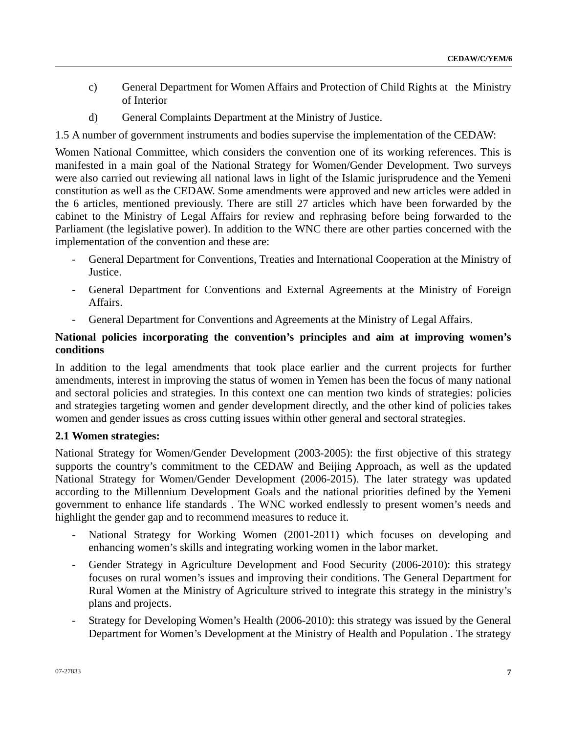- c) General Department for Women Affairs and Protection of Child Rights at the Ministry of Interior
- d) General Complaints Department at the Ministry of Justice.

1.5 A number of government instruments and bodies supervise the implementation of the CEDAW:

Women National Committee, which considers the convention one of its working references. This is manifested in a main goal of the National Strategy for Women/Gender Development. Two surveys were also carried out reviewing all national laws in light of the Islamic jurisprudence and the Yemeni constitution as well as the CEDAW. Some amendments were approved and new articles were added in the 6 articles, mentioned previously. There are still 27 articles which have been forwarded by the cabinet to the Ministry of Legal Affairs for review and rephrasing before being forwarded to the Parliament (the legislative power). In addition to the WNC there are other parties concerned with the implementation of the convention and these are:

- General Department for Conventions, Treaties and International Cooperation at the Ministry of Justice.
- General Department for Conventions and External Agreements at the Ministry of Foreign Affairs.
- General Department for Conventions and Agreements at the Ministry of Legal Affairs.

# **National policies incorporating the convention's principles and aim at improving women's conditions**

In addition to the legal amendments that took place earlier and the current projects for further amendments, interest in improving the status of women in Yemen has been the focus of many national and sectoral policies and strategies. In this context one can mention two kinds of strategies: policies and strategies targeting women and gender development directly, and the other kind of policies takes women and gender issues as cross cutting issues within other general and sectoral strategies.

# **2.1 Women strategies:**

National Strategy for Women/Gender Development (2003-2005): the first objective of this strategy supports the country's commitment to the CEDAW and Beijing Approach, as well as the updated National Strategy for Women/Gender Development (2006-2015). The later strategy was updated according to the Millennium Development Goals and the national priorities defined by the Yemeni government to enhance life standards . The WNC worked endlessly to present women's needs and highlight the gender gap and to recommend measures to reduce it.

- National Strategy for Working Women (2001-2011) which focuses on developing and enhancing women's skills and integrating working women in the labor market.
- Gender Strategy in Agriculture Development and Food Security (2006-2010): this strategy focuses on rural women's issues and improving their conditions. The General Department for Rural Women at the Ministry of Agriculture strived to integrate this strategy in the ministry's plans and projects.
- Strategy for Developing Women's Health (2006-2010): this strategy was issued by the General Department for Women's Development at the Ministry of Health and Population . The strategy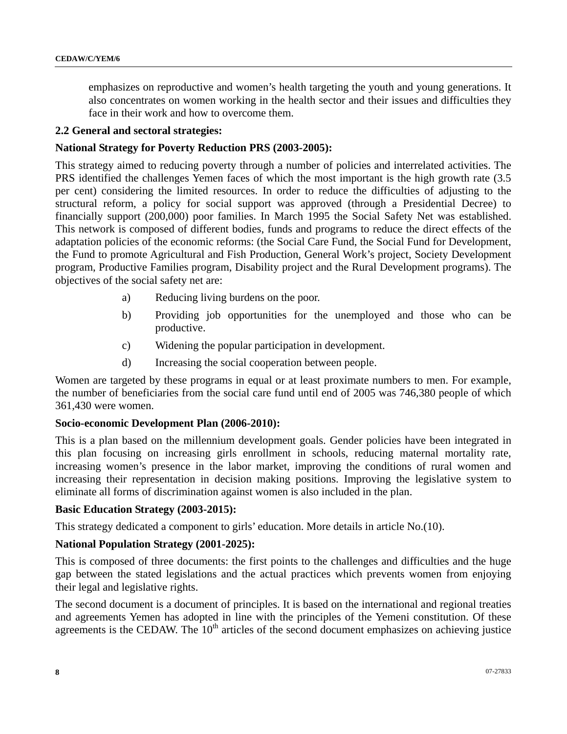emphasizes on reproductive and women's health targeting the youth and young generations. It also concentrates on women working in the health sector and their issues and difficulties they face in their work and how to overcome them.

#### **2.2 General and sectoral strategies:**

## **National Strategy for Poverty Reduction PRS (2003-2005):**

This strategy aimed to reducing poverty through a number of policies and interrelated activities. The PRS identified the challenges Yemen faces of which the most important is the high growth rate (3.5 per cent) considering the limited resources. In order to reduce the difficulties of adjusting to the structural reform, a policy for social support was approved (through a Presidential Decree) to financially support (200,000) poor families. In March 1995 the Social Safety Net was established. This network is composed of different bodies, funds and programs to reduce the direct effects of the adaptation policies of the economic reforms: (the Social Care Fund, the Social Fund for Development, the Fund to promote Agricultural and Fish Production, General Work's project, Society Development program, Productive Families program, Disability project and the Rural Development programs). The objectives of the social safety net are:

- a) Reducing living burdens on the poor.
- b) Providing job opportunities for the unemployed and those who can be productive.
- c) Widening the popular participation in development.
- d) Increasing the social cooperation between people.

Women are targeted by these programs in equal or at least proximate numbers to men. For example, the number of beneficiaries from the social care fund until end of 2005 was 746,380 people of which 361,430 were women.

#### **Socio-economic Development Plan (2006-2010):**

This is a plan based on the millennium development goals. Gender policies have been integrated in this plan focusing on increasing girls enrollment in schools, reducing maternal mortality rate, increasing women's presence in the labor market, improving the conditions of rural women and increasing their representation in decision making positions. Improving the legislative system to eliminate all forms of discrimination against women is also included in the plan.

#### **Basic Education Strategy (2003-2015):**

This strategy dedicated a component to girls' education. More details in article No.(10).

#### **National Population Strategy (2001-2025):**

This is composed of three documents: the first points to the challenges and difficulties and the huge gap between the stated legislations and the actual practices which prevents women from enjoying their legal and legislative rights.

The second document is a document of principles. It is based on the international and regional treaties and agreements Yemen has adopted in line with the principles of the Yemeni constitution. Of these agreements is the CEDAW. The  $10<sup>th</sup>$  articles of the second document emphasizes on achieving justice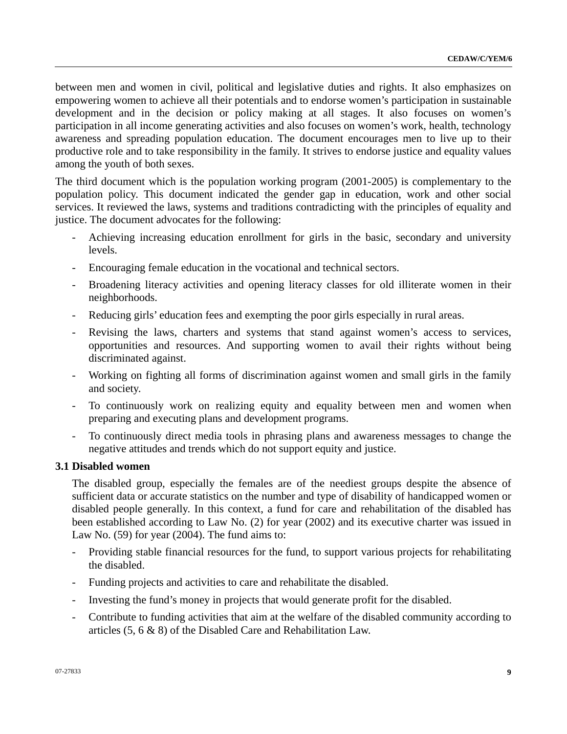between men and women in civil, political and legislative duties and rights. It also emphasizes on empowering women to achieve all their potentials and to endorse women's participation in sustainable development and in the decision or policy making at all stages. It also focuses on women's participation in all income generating activities and also focuses on women's work, health, technology awareness and spreading population education. The document encourages men to live up to their productive role and to take responsibility in the family. It strives to endorse justice and equality values among the youth of both sexes.

The third document which is the population working program (2001-2005) is complementary to the population policy. This document indicated the gender gap in education, work and other social services. It reviewed the laws, systems and traditions contradicting with the principles of equality and justice. The document advocates for the following:

- Achieving increasing education enrollment for girls in the basic, secondary and university levels.
- Encouraging female education in the vocational and technical sectors.
- Broadening literacy activities and opening literacy classes for old illiterate women in their neighborhoods.
- Reducing girls' education fees and exempting the poor girls especially in rural areas.
- Revising the laws, charters and systems that stand against women's access to services, opportunities and resources. And supporting women to avail their rights without being discriminated against.
- Working on fighting all forms of discrimination against women and small girls in the family and society.
- To continuously work on realizing equity and equality between men and women when preparing and executing plans and development programs.
- To continuously direct media tools in phrasing plans and awareness messages to change the negative attitudes and trends which do not support equity and justice.

# **3.1 Disabled women**

The disabled group, especially the females are of the neediest groups despite the absence of sufficient data or accurate statistics on the number and type of disability of handicapped women or disabled people generally. In this context, a fund for care and rehabilitation of the disabled has been established according to Law No. (2) for year (2002) and its executive charter was issued in Law No. (59) for year (2004). The fund aims to:

- Providing stable financial resources for the fund, to support various projects for rehabilitating the disabled.
- Funding projects and activities to care and rehabilitate the disabled.
- Investing the fund's money in projects that would generate profit for the disabled.
- Contribute to funding activities that aim at the welfare of the disabled community according to articles (5, 6 & 8) of the Disabled Care and Rehabilitation Law.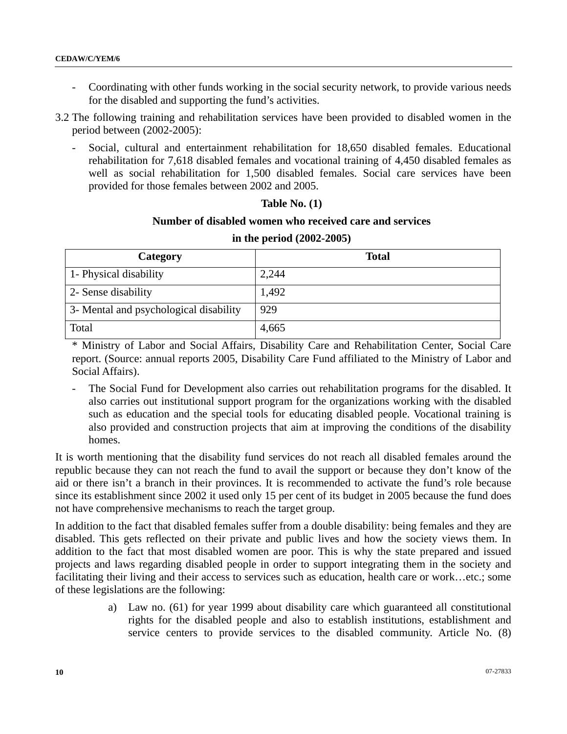- Coordinating with other funds working in the social security network, to provide various needs for the disabled and supporting the fund's activities.
- 3.2 The following training and rehabilitation services have been provided to disabled women in the period between (2002-2005):
	- Social, cultural and entertainment rehabilitation for 18,650 disabled females. Educational rehabilitation for 7,618 disabled females and vocational training of 4,450 disabled females as well as social rehabilitation for 1,500 disabled females. Social care services have been provided for those females between 2002 and 2005.

#### **Table No. (1)**

#### **Number of disabled women who received care and services**

| Category                               | <b>Total</b> |
|----------------------------------------|--------------|
| 1- Physical disability                 | 2,244        |
| 2- Sense disability                    | 1,492        |
| 3- Mental and psychological disability | 929          |
| Total                                  | 4,665        |

#### **in the period (2002-2005)**

\* Ministry of Labor and Social Affairs, Disability Care and Rehabilitation Center, Social Care report. (Source: annual reports 2005, Disability Care Fund affiliated to the Ministry of Labor and Social Affairs).

- The Social Fund for Development also carries out rehabilitation programs for the disabled. It also carries out institutional support program for the organizations working with the disabled such as education and the special tools for educating disabled people. Vocational training is also provided and construction projects that aim at improving the conditions of the disability homes.

It is worth mentioning that the disability fund services do not reach all disabled females around the republic because they can not reach the fund to avail the support or because they don't know of the aid or there isn't a branch in their provinces. It is recommended to activate the fund's role because since its establishment since 2002 it used only 15 per cent of its budget in 2005 because the fund does not have comprehensive mechanisms to reach the target group.

In addition to the fact that disabled females suffer from a double disability: being females and they are disabled. This gets reflected on their private and public lives and how the society views them. In addition to the fact that most disabled women are poor. This is why the state prepared and issued projects and laws regarding disabled people in order to support integrating them in the society and facilitating their living and their access to services such as education, health care or work…etc.; some of these legislations are the following:

> a) Law no. (61) for year 1999 about disability care which guaranteed all constitutional rights for the disabled people and also to establish institutions, establishment and service centers to provide services to the disabled community. Article No. (8)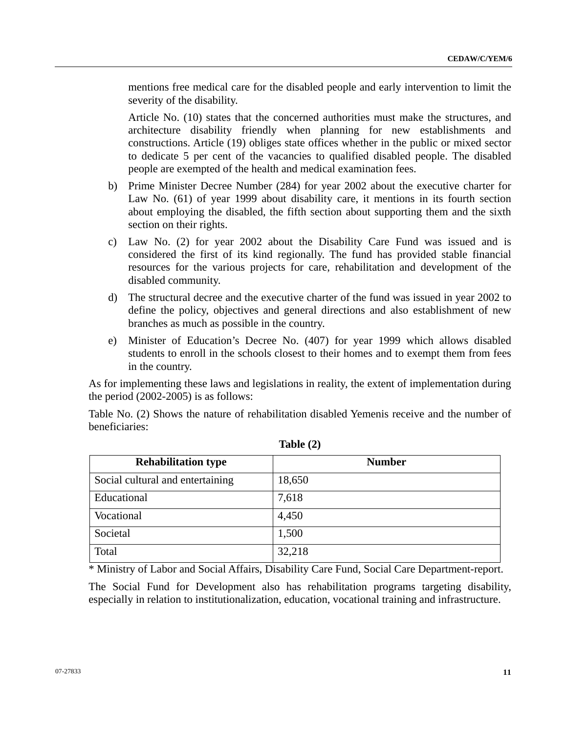mentions free medical care for the disabled people and early intervention to limit the severity of the disability.

 Article No. (10) states that the concerned authorities must make the structures, and architecture disability friendly when planning for new establishments and constructions. Article (19) obliges state offices whether in the public or mixed sector to dedicate 5 per cent of the vacancies to qualified disabled people. The disabled people are exempted of the health and medical examination fees.

- b) Prime Minister Decree Number (284) for year 2002 about the executive charter for Law No. (61) of year 1999 about disability care, it mentions in its fourth section about employing the disabled, the fifth section about supporting them and the sixth section on their rights.
- c) Law No. (2) for year 2002 about the Disability Care Fund was issued and is considered the first of its kind regionally. The fund has provided stable financial resources for the various projects for care, rehabilitation and development of the disabled community.
- d) The structural decree and the executive charter of the fund was issued in year 2002 to define the policy, objectives and general directions and also establishment of new branches as much as possible in the country.
- e) Minister of Education's Decree No. (407) for year 1999 which allows disabled students to enroll in the schools closest to their homes and to exempt them from fees in the country.

As for implementing these laws and legislations in reality, the extent of implementation during the period (2002-2005) is as follows:

Table No. (2) Shows the nature of rehabilitation disabled Yemenis receive and the number of beneficiaries:

| <b>Rehabilitation type</b>       | <b>Number</b> |
|----------------------------------|---------------|
| Social cultural and entertaining | 18,650        |
| Educational                      | 7,618         |
| Vocational                       | 4,450         |
| Societal                         | 1,500         |
| Total                            | 32,218        |

| П<br>ю<br>10 |  |
|--------------|--|
|--------------|--|

\* Ministry of Labor and Social Affairs, Disability Care Fund, Social Care Department-report.

The Social Fund for Development also has rehabilitation programs targeting disability, especially in relation to institutionalization, education, vocational training and infrastructure.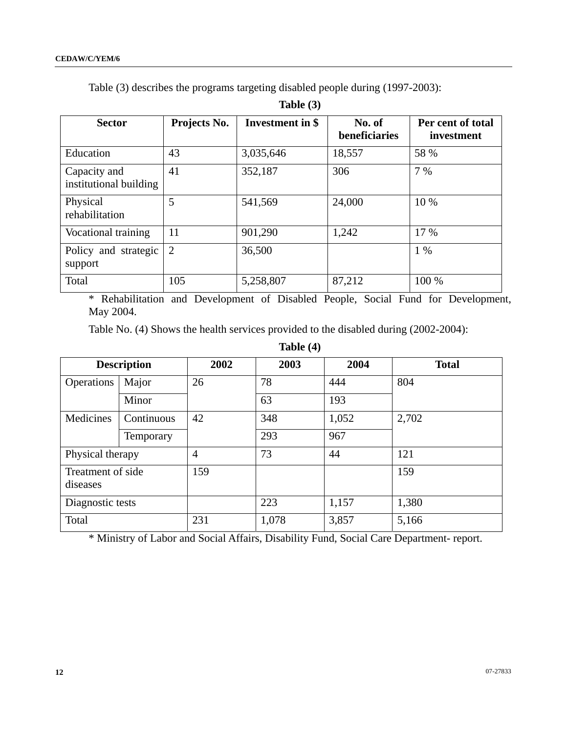| Table (3)                              |                |                  |                         |                                 |  |  |  |  |  |
|----------------------------------------|----------------|------------------|-------------------------|---------------------------------|--|--|--|--|--|
| <b>Sector</b>                          | Projects No.   | Investment in \$ | No. of<br>beneficiaries | Per cent of total<br>investment |  |  |  |  |  |
| Education                              | 43             | 3,035,646        | 18,557                  | 58 %                            |  |  |  |  |  |
| Capacity and<br>institutional building | 41             | 352,187          | 306                     | 7 %                             |  |  |  |  |  |
| Physical<br>rehabilitation             | 5              | 541,569          | 24,000                  | 10 %                            |  |  |  |  |  |
| Vocational training                    | 11             | 901,290          | 1,242                   | 17 %                            |  |  |  |  |  |
| Policy and strategic<br>support        | $\overline{2}$ | 36,500           |                         | $1\%$                           |  |  |  |  |  |
| Total                                  | 105            | 5,258,807        | 87,212                  | 100 %                           |  |  |  |  |  |

Table (3) describes the programs targeting disabled people during (1997-2003):

\* Rehabilitation and Development of Disabled People, Social Fund for Development, May 2004.

Table No. (4) Shows the health services provided to the disabled during (2002-2004):

# **Table (4)**

| <b>Description</b>            |                  | 2002 | 2003  | 2004  | <b>Total</b> |
|-------------------------------|------------------|------|-------|-------|--------------|
| Operations                    | Major            | 26   | 78    | 444   | 804          |
|                               | Minor            |      | 63    | 193   |              |
| Medicines<br>Continuous       |                  | 42   | 348   | 1,052 | 2,702        |
|                               | Temporary        |      | 293   | 967   |              |
|                               | Physical therapy |      | 73    | 44    | 121          |
| Treatment of side<br>diseases |                  | 159  |       |       | 159          |
| Diagnostic tests              |                  |      | 223   | 1,157 | 1,380        |
| Total                         |                  | 231  | 1,078 | 3,857 | 5,166        |

\* Ministry of Labor and Social Affairs, Disability Fund, Social Care Department- report.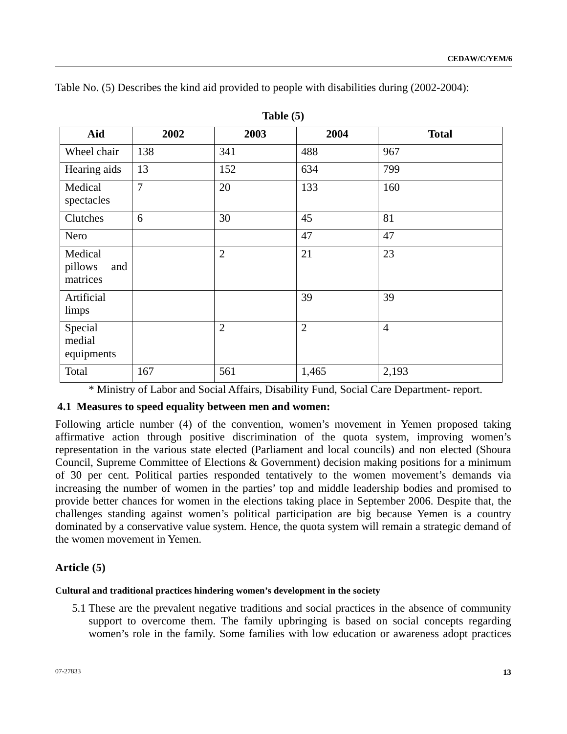Table No. (5) Describes the kind aid provided to people with disabilities during (2002-2004):

| Aid                                   | 2002           | 2003           | 2004           | <b>Total</b>   |
|---------------------------------------|----------------|----------------|----------------|----------------|
| Wheel chair                           | 138            | 341            | 488            | 967            |
| Hearing aids                          | 13             | 152            | 634            | 799            |
| Medical<br>spectacles                 | $\overline{7}$ | 20             | 133            | 160            |
| Clutches                              | 6              | 30             | 45             | 81             |
| Nero                                  |                |                | 47             | 47             |
| Medical<br>pillows<br>and<br>matrices |                | $\overline{2}$ | 21             | 23             |
| Artificial<br>limps                   |                |                | 39             | 39             |
| Special<br>medial<br>equipments       |                | $\overline{2}$ | $\overline{2}$ | $\overline{4}$ |
| Total                                 | 167            | 561            | 1,465          | 2,193          |

**Table (5)** 

\* Ministry of Labor and Social Affairs, Disability Fund, Social Care Department- report.

#### **4.1 Measures to speed equality between men and women:**

Following article number (4) of the convention, women's movement in Yemen proposed taking affirmative action through positive discrimination of the quota system, improving women's representation in the various state elected (Parliament and local councils) and non elected (Shoura Council, Supreme Committee of Elections & Government) decision making positions for a minimum of 30 per cent. Political parties responded tentatively to the women movement's demands via increasing the number of women in the parties' top and middle leadership bodies and promised to provide better chances for women in the elections taking place in September 2006. Despite that, the challenges standing against women's political participation are big because Yemen is a country dominated by a conservative value system. Hence, the quota system will remain a strategic demand of the women movement in Yemen.

# **Article (5)**

#### **Cultural and traditional practices hindering women's development in the society**

5.1 These are the prevalent negative traditions and social practices in the absence of community support to overcome them. The family upbringing is based on social concepts regarding women's role in the family. Some families with low education or awareness adopt practices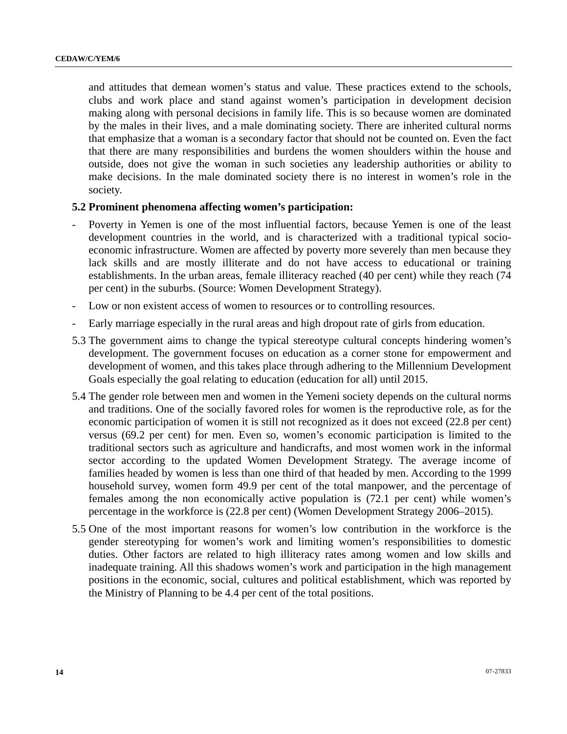and attitudes that demean women's status and value. These practices extend to the schools, clubs and work place and stand against women's participation in development decision making along with personal decisions in family life. This is so because women are dominated by the males in their lives, and a male dominating society. There are inherited cultural norms that emphasize that a woman is a secondary factor that should not be counted on. Even the fact that there are many responsibilities and burdens the women shoulders within the house and outside, does not give the woman in such societies any leadership authorities or ability to make decisions. In the male dominated society there is no interest in women's role in the society.

# **5.2 Prominent phenomena affecting women's participation:**

- Poverty in Yemen is one of the most influential factors, because Yemen is one of the least development countries in the world, and is characterized with a traditional typical socioeconomic infrastructure. Women are affected by poverty more severely than men because they lack skills and are mostly illiterate and do not have access to educational or training establishments. In the urban areas, female illiteracy reached (40 per cent) while they reach (74 per cent) in the suburbs. (Source: Women Development Strategy).
- Low or non existent access of women to resources or to controlling resources.
- Early marriage especially in the rural areas and high dropout rate of girls from education.
- 5.3 The government aims to change the typical stereotype cultural concepts hindering women's development. The government focuses on education as a corner stone for empowerment and development of women, and this takes place through adhering to the Millennium Development Goals especially the goal relating to education (education for all) until 2015.
- 5.4 The gender role between men and women in the Yemeni society depends on the cultural norms and traditions. One of the socially favored roles for women is the reproductive role, as for the economic participation of women it is still not recognized as it does not exceed (22.8 per cent) versus (69.2 per cent) for men. Even so, women's economic participation is limited to the traditional sectors such as agriculture and handicrafts, and most women work in the informal sector according to the updated Women Development Strategy. The average income of families headed by women is less than one third of that headed by men. According to the 1999 household survey, women form 49.9 per cent of the total manpower, and the percentage of females among the non economically active population is (72.1 per cent) while women's percentage in the workforce is (22.8 per cent) (Women Development Strategy 2006–2015).
- 5.5 One of the most important reasons for women's low contribution in the workforce is the gender stereotyping for women's work and limiting women's responsibilities to domestic duties. Other factors are related to high illiteracy rates among women and low skills and inadequate training. All this shadows women's work and participation in the high management positions in the economic, social, cultures and political establishment, which was reported by the Ministry of Planning to be 4.4 per cent of the total positions.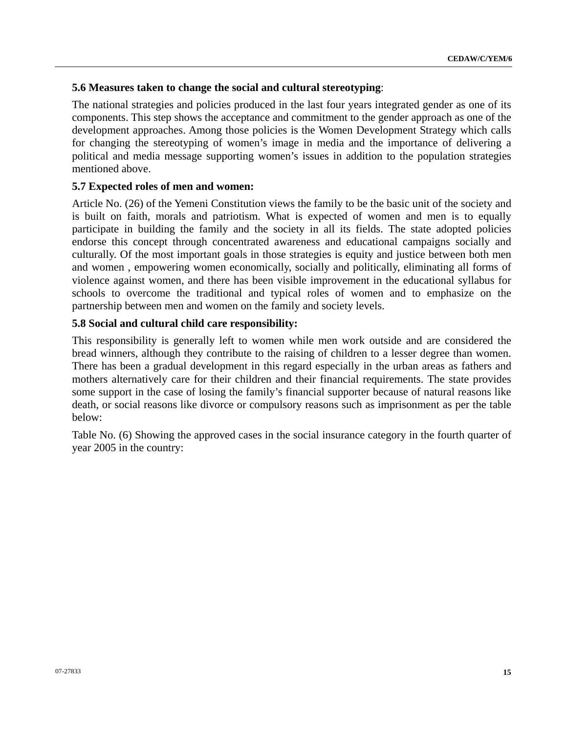# **5.6 Measures taken to change the social and cultural stereotyping**:

The national strategies and policies produced in the last four years integrated gender as one of its components. This step shows the acceptance and commitment to the gender approach as one of the development approaches. Among those policies is the Women Development Strategy which calls for changing the stereotyping of women's image in media and the importance of delivering a political and media message supporting women's issues in addition to the population strategies mentioned above.

# **5.7 Expected roles of men and women:**

Article No. (26) of the Yemeni Constitution views the family to be the basic unit of the society and is built on faith, morals and patriotism. What is expected of women and men is to equally participate in building the family and the society in all its fields. The state adopted policies endorse this concept through concentrated awareness and educational campaigns socially and culturally. Of the most important goals in those strategies is equity and justice between both men and women , empowering women economically, socially and politically, eliminating all forms of violence against women, and there has been visible improvement in the educational syllabus for schools to overcome the traditional and typical roles of women and to emphasize on the partnership between men and women on the family and society levels.

# **5.8 Social and cultural child care responsibility:**

This responsibility is generally left to women while men work outside and are considered the bread winners, although they contribute to the raising of children to a lesser degree than women. There has been a gradual development in this regard especially in the urban areas as fathers and mothers alternatively care for their children and their financial requirements. The state provides some support in the case of losing the family's financial supporter because of natural reasons like death, or social reasons like divorce or compulsory reasons such as imprisonment as per the table below:

Table No. (6) Showing the approved cases in the social insurance category in the fourth quarter of year 2005 in the country: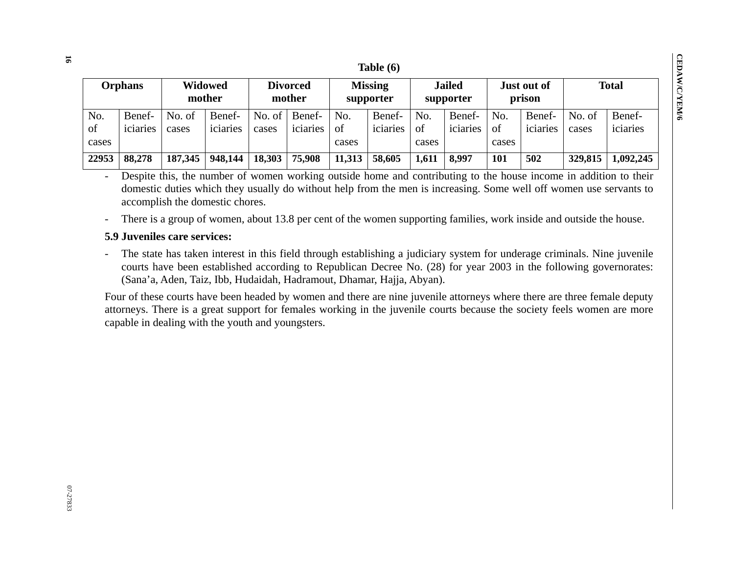| Tadie (O)          |                    |                   |                    |                                                          |                    |                            |                    |                       |                            |                    |                    |                 |                    |
|--------------------|--------------------|-------------------|--------------------|----------------------------------------------------------|--------------------|----------------------------|--------------------|-----------------------|----------------------------|--------------------|--------------------|-----------------|--------------------|
| <b>Orphans</b>     |                    | Widowed<br>mother |                    | <b>Missing</b><br><b>Divorced</b><br>mother<br>supporter |                    | <b>Jailed</b><br>supporter |                    | Just out of<br>prison |                            | <b>Total</b>       |                    |                 |                    |
| No.<br>of<br>cases | Benef-<br>iciaries | No. of<br>cases   | Benef-<br>iciaries | No. of<br>cases                                          | Benef-<br>iciaries | No.<br>of<br>cases         | Benef-<br>iciaries | No.<br>of<br>cases    | Benef-<br><i>s</i> ciaries | No.<br>of<br>cases | Benef-<br>iciaries | No. of<br>cases | Benef-<br>iciaries |
| 22953              | 88,278             | 187,345           | 948,144            | 18,303                                                   | 75,908             | 11,313                     | 58,605             | 1,611                 | 8,997                      | 101                | 502                | 329,815         | 1,092,245          |

**Table (6)** 

- Despite this, the number of women working outside home and contributing to the house income in addition to their domestic duties which they usually do without help from the men is increasing. Some well off women use servants to accomplish the domestic chores.

-There is a group of women, about 13.8 per cent of the women supporting families, work inside and outside the house.

## **5.9 Juveniles care services:**

- The state has taken interest in this field through establishing a judiciary system for underage criminals. Nine juvenile courts have been established according to Republican Decree No. (28) for year 2003 in the following governorates: (Sana'a, Aden, Taiz, Ibb, Hudaidah, Hadramout, Dhamar, Hajja, Abyan).

Four of these courts have been headed by women and there are nine juvenile attorneys where there are three female deputy attorneys. There is a great support for females working in the juvenile courts because the society feels women are more capable in dealing with the youth and youngsters.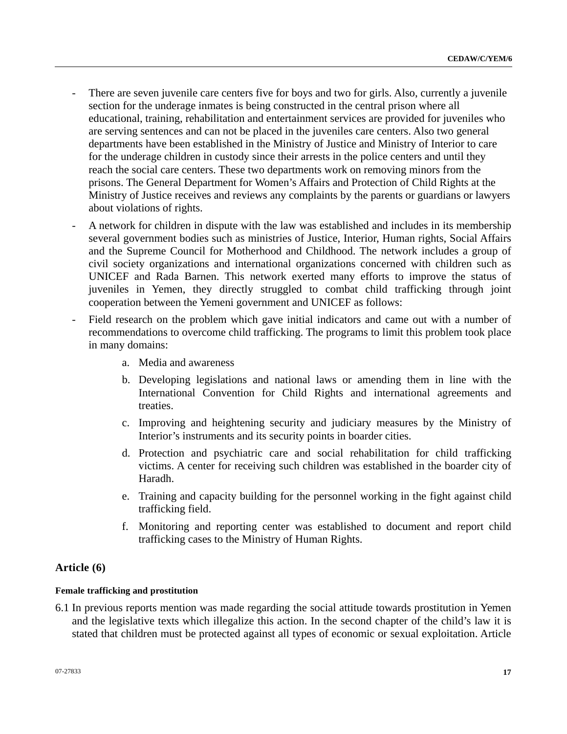- There are seven juvenile care centers five for boys and two for girls. Also, currently a juvenile section for the underage inmates is being constructed in the central prison where all educational, training, rehabilitation and entertainment services are provided for juveniles who are serving sentences and can not be placed in the juveniles care centers. Also two general departments have been established in the Ministry of Justice and Ministry of Interior to care for the underage children in custody since their arrests in the police centers and until they reach the social care centers. These two departments work on removing minors from the prisons. The General Department for Women's Affairs and Protection of Child Rights at the Ministry of Justice receives and reviews any complaints by the parents or guardians or lawyers about violations of rights.
- A network for children in dispute with the law was established and includes in its membership several government bodies such as ministries of Justice, Interior, Human rights, Social Affairs and the Supreme Council for Motherhood and Childhood. The network includes a group of civil society organizations and international organizations concerned with children such as UNICEF and Rada Barnen. This network exerted many efforts to improve the status of juveniles in Yemen, they directly struggled to combat child trafficking through joint cooperation between the Yemeni government and UNICEF as follows:
- Field research on the problem which gave initial indicators and came out with a number of recommendations to overcome child trafficking. The programs to limit this problem took place in many domains:
	- a. Media and awareness
	- b. Developing legislations and national laws or amending them in line with the International Convention for Child Rights and international agreements and treaties.
	- c. Improving and heightening security and judiciary measures by the Ministry of Interior's instruments and its security points in boarder cities.
	- d. Protection and psychiatric care and social rehabilitation for child trafficking victims. A center for receiving such children was established in the boarder city of Haradh.
	- e. Training and capacity building for the personnel working in the fight against child trafficking field.
	- f. Monitoring and reporting center was established to document and report child trafficking cases to the Ministry of Human Rights.

# **Article (6)**

#### **Female trafficking and prostitution**

6.1 In previous reports mention was made regarding the social attitude towards prostitution in Yemen and the legislative texts which illegalize this action. In the second chapter of the child's law it is stated that children must be protected against all types of economic or sexual exploitation. Article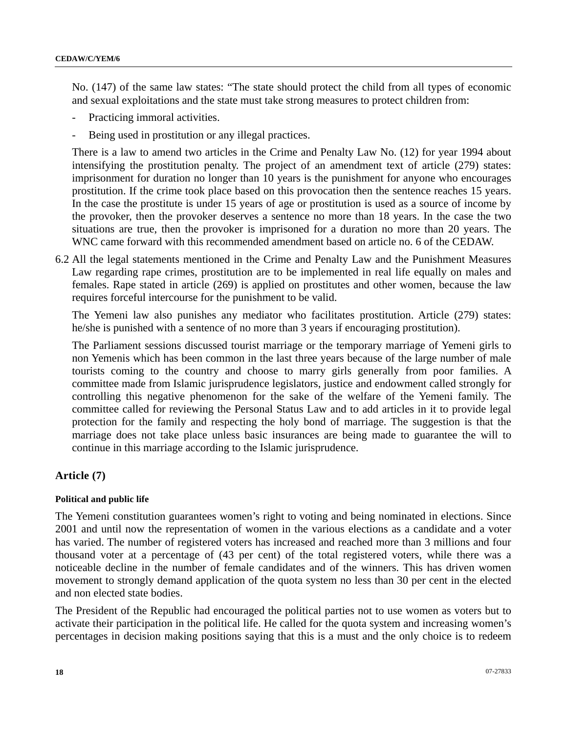No. (147) of the same law states: "The state should protect the child from all types of economic and sexual exploitations and the state must take strong measures to protect children from:

- Practicing immoral activities.
- Being used in prostitution or any illegal practices.

There is a law to amend two articles in the Crime and Penalty Law No. (12) for year 1994 about intensifying the prostitution penalty. The project of an amendment text of article (279) states: imprisonment for duration no longer than 10 years is the punishment for anyone who encourages prostitution. If the crime took place based on this provocation then the sentence reaches 15 years. In the case the prostitute is under 15 years of age or prostitution is used as a source of income by the provoker, then the provoker deserves a sentence no more than 18 years. In the case the two situations are true, then the provoker is imprisoned for a duration no more than 20 years. The WNC came forward with this recommended amendment based on article no. 6 of the CEDAW.

6.2 All the legal statements mentioned in the Crime and Penalty Law and the Punishment Measures Law regarding rape crimes, prostitution are to be implemented in real life equally on males and females. Rape stated in article (269) is applied on prostitutes and other women, because the law requires forceful intercourse for the punishment to be valid.

The Yemeni law also punishes any mediator who facilitates prostitution. Article (279) states: he/she is punished with a sentence of no more than 3 years if encouraging prostitution).

The Parliament sessions discussed tourist marriage or the temporary marriage of Yemeni girls to non Yemenis which has been common in the last three years because of the large number of male tourists coming to the country and choose to marry girls generally from poor families. A committee made from Islamic jurisprudence legislators, justice and endowment called strongly for controlling this negative phenomenon for the sake of the welfare of the Yemeni family. The committee called for reviewing the Personal Status Law and to add articles in it to provide legal protection for the family and respecting the holy bond of marriage. The suggestion is that the marriage does not take place unless basic insurances are being made to guarantee the will to continue in this marriage according to the Islamic jurisprudence.

# **Article (7)**

#### **Political and public life**

The Yemeni constitution guarantees women's right to voting and being nominated in elections. Since 2001 and until now the representation of women in the various elections as a candidate and a voter has varied. The number of registered voters has increased and reached more than 3 millions and four thousand voter at a percentage of (43 per cent) of the total registered voters, while there was a noticeable decline in the number of female candidates and of the winners. This has driven women movement to strongly demand application of the quota system no less than 30 per cent in the elected and non elected state bodies.

The President of the Republic had encouraged the political parties not to use women as voters but to activate their participation in the political life. He called for the quota system and increasing women's percentages in decision making positions saying that this is a must and the only choice is to redeem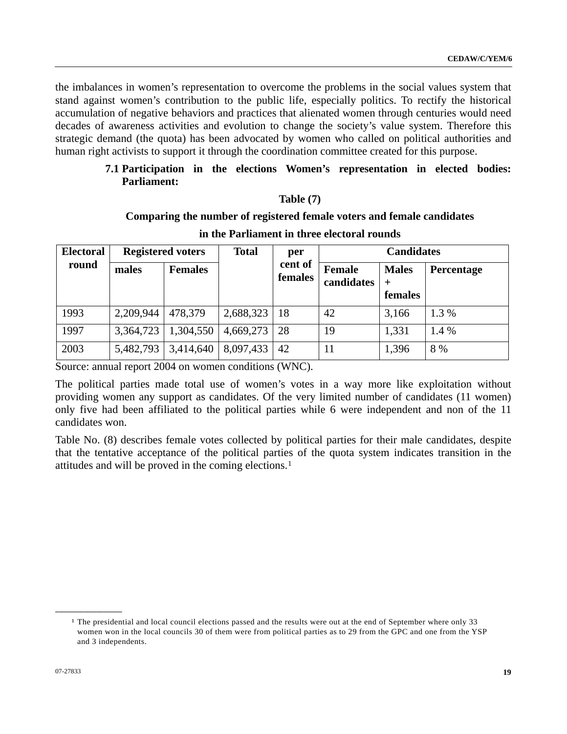<span id="page-18-0"></span>the imbalances in women's representation to overcome the problems in the social values system that stand against women's contribution to the public life, especially politics. To rectify the historical accumulation of negative behaviors and practices that alienated women through centuries would need decades of awareness activities and evolution to change the society's value system. Therefore this strategic demand (the quota) has been advocated by women who called on political authorities and human right activists to support it through the coordination committee created for this purpose.

# **7.1 Participation in the elections Women's representation in elected bodies: Parliament:**

#### **Table (7)**

## **Comparing the number of registered female voters and female candidates**

| <b>Electoral</b> | <b>Registered voters</b> |                | <b>Total</b><br>per |                    | <b>Candidates</b>           |                                   |            |  |
|------------------|--------------------------|----------------|---------------------|--------------------|-----------------------------|-----------------------------------|------------|--|
| round            | males                    | <b>Females</b> |                     | cent of<br>females | <b>Female</b><br>candidates | <b>Males</b><br>$\div$<br>females | Percentage |  |
| 1993             | 2,209,944                | 478,379        | 2,688,323           | 18                 | 42                          | 3,166                             | 1.3 %      |  |
| 1997             | 3,364,723                | 1,304,550      | 4,669,273           | 28                 | 19                          | 1,331                             | 1.4 %      |  |
| 2003             | 5,482,793                | 3,414,640      | 8,097,433           | 42                 | 11                          | 1,396                             | 8 %        |  |

Source: annual report 2004 on women conditions (WNC).

The political parties made total use of women's votes in a way more like exploitation without providing women any support as candidates. Of the very limited number of candidates (11 women) only five had been affiliated to the political parties while 6 were independent and non of the 11 candidates won.

Table No. (8) describes female votes collected by political parties for their male candidates, despite that the tentative acceptance of the political parties of the quota system indicates transition in the attitudes and will be proved in the coming elections.[1](#page-18-0)

**\_\_\_\_\_\_\_\_\_\_\_\_\_\_\_\_\_\_** 

<sup>&</sup>lt;sup>1</sup> The presidential and local council elections passed and the results were out at the end of September where only 33 women won in the local councils 30 of them were from political parties as to 29 from the GPC and one from the YSP and 3 independents.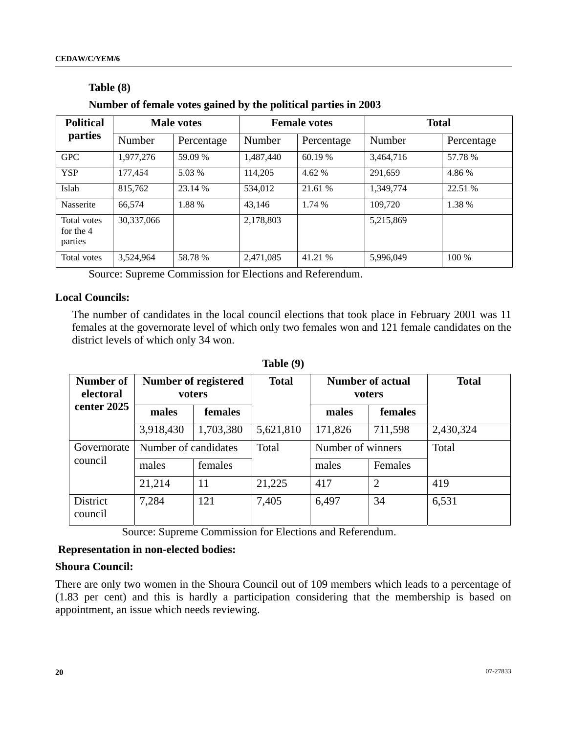#### **Table (8)**

**Number of female votes gained by the political parties in 2003** 

| <b>Political</b>                    |            | <b>Male votes</b> |           | <b>Female votes</b> | <b>Total</b> |            |  |
|-------------------------------------|------------|-------------------|-----------|---------------------|--------------|------------|--|
| parties                             | Number     | Percentage        | Number    | Percentage          | Number       | Percentage |  |
| <b>GPC</b>                          | 1,977,276  | 59.09 %           | 1,487,440 | 60.19 %             | 3,464,716    | 57.78 %    |  |
| <b>YSP</b>                          | 177,454    | 5.03 %            | 114,205   | 4.62 %              | 291,659      | 4.86 %     |  |
| Islah                               | 815,762    | 23.14 %           | 534,012   | 21.61 %             | 1,349,774    | 22.51 %    |  |
| Nasserite                           | 66,574     | 1.88%             | 43,146    | 1.74 %              | 109,720      | 1.38 %     |  |
| Total votes<br>for the 4<br>parties | 30,337,066 |                   | 2,178,803 |                     | 5,215,869    |            |  |
| Total votes                         | 3,524,964  | 58.78 %           | 2,471,085 | 41.21 %             | 5,996,049    | 100 %      |  |

Source: Supreme Commission for Elections and Referendum.

# **Local Councils:**

The number of candidates in the local council elections that took place in February 2001 was 11 females at the governorate level of which only two females won and 121 female candidates on the district levels of which only 34 won.

| Number of<br>electoral |                      | <b>Number of registered</b><br>voters | <b>Total</b> |                   | <b>Number of actual</b><br>voters | <b>Total</b> |
|------------------------|----------------------|---------------------------------------|--------------|-------------------|-----------------------------------|--------------|
| center 2025            | males                | females                               |              | males             | females                           |              |
|                        | 3,918,430            | 1,703,380                             | 5,621,810    | 171,826           | 711,598                           | 2,430,324    |
| Governorate            | Number of candidates |                                       | Total        | Number of winners |                                   | Total        |
| council                | males                | females                               |              | males             | Females                           |              |
|                        | 21,214               | 11                                    | 21,225       | 417               | $\overline{2}$                    | 419          |
| District<br>council    | 7,284                | 121                                   | 7,405        | 6,497             | 34                                | 6,531        |

**Table (9)** 

Source: Supreme Commission for Elections and Referendum.

#### **Representation in non-elected bodies:**

## **Shoura Council:**

There are only two women in the Shoura Council out of 109 members which leads to a percentage of (1.83 per cent) and this is hardly a participation considering that the membership is based on appointment, an issue which needs reviewing.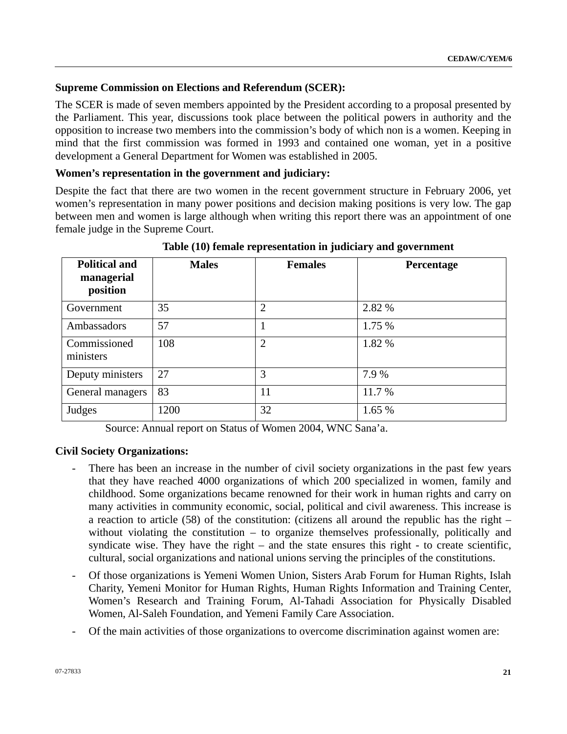# **Supreme Commission on Elections and Referendum (SCER):**

The SCER is made of seven members appointed by the President according to a proposal presented by the Parliament. This year, discussions took place between the political powers in authority and the opposition to increase two members into the commission's body of which non is a women. Keeping in mind that the first commission was formed in 1993 and contained one woman, yet in a positive development a General Department for Women was established in 2005.

## **Women's representation in the government and judiciary:**

Despite the fact that there are two women in the recent government structure in February 2006, yet women's representation in many power positions and decision making positions is very low. The gap between men and women is large although when writing this report there was an appointment of one female judge in the Supreme Court.

| <b>Political and</b><br>managerial<br>position | <b>Males</b> | <b>Females</b> | Percentage |
|------------------------------------------------|--------------|----------------|------------|
| Government                                     | 35           | $\overline{2}$ | 2.82 %     |
| Ambassadors                                    | 57           |                | 1.75 %     |
| Commissioned<br>ministers                      | 108          | $\overline{2}$ | 1.82 %     |
| Deputy ministers                               | 27           | 3              | 7.9 %      |
| General managers                               | 83           | 11             | 11.7 %     |
| Judges                                         | 1200         | 32             | 1.65 %     |

**Table (10) female representation in judiciary and government** 

Source: Annual report on Status of Women 2004, WNC Sana'a.

# **Civil Society Organizations:**

- There has been an increase in the number of civil society organizations in the past few years that they have reached 4000 organizations of which 200 specialized in women, family and childhood. Some organizations became renowned for their work in human rights and carry on many activities in community economic, social, political and civil awareness. This increase is a reaction to article (58) of the constitution: (citizens all around the republic has the right – without violating the constitution – to organize themselves professionally, politically and syndicate wise. They have the right – and the state ensures this right - to create scientific, cultural, social organizations and national unions serving the principles of the constitutions.
- Of those organizations is Yemeni Women Union, Sisters Arab Forum for Human Rights, Islah Charity, Yemeni Monitor for Human Rights, Human Rights Information and Training Center, Women's Research and Training Forum, Al-Tahadi Association for Physically Disabled Women, Al-Saleh Foundation, and Yemeni Family Care Association.
- Of the main activities of those organizations to overcome discrimination against women are: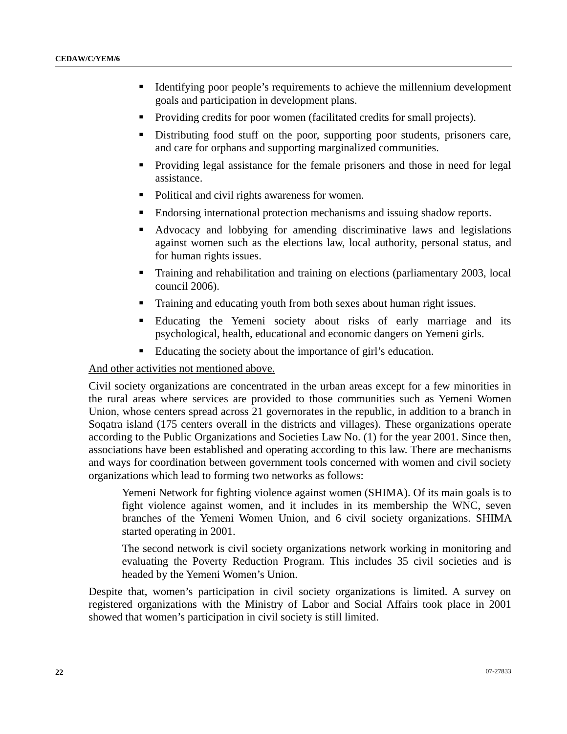- Identifying poor people's requirements to achieve the millennium development goals and participation in development plans.
- Providing credits for poor women (facilitated credits for small projects).
- Distributing food stuff on the poor, supporting poor students, prisoners care, and care for orphans and supporting marginalized communities.
- Providing legal assistance for the female prisoners and those in need for legal assistance.
- Political and civil rights awareness for women.
- Endorsing international protection mechanisms and issuing shadow reports.
- Advocacy and lobbying for amending discriminative laws and legislations against women such as the elections law, local authority, personal status, and for human rights issues.
- Training and rehabilitation and training on elections (parliamentary 2003, local council 2006).
- Training and educating youth from both sexes about human right issues.
- Educating the Yemeni society about risks of early marriage and its psychological, health, educational and economic dangers on Yemeni girls.
- Educating the society about the importance of girl's education.

### And other activities not mentioned above.

Civil society organizations are concentrated in the urban areas except for a few minorities in the rural areas where services are provided to those communities such as Yemeni Women Union, whose centers spread across 21 governorates in the republic, in addition to a branch in Soqatra island (175 centers overall in the districts and villages). These organizations operate according to the Public Organizations and Societies Law No. (1) for the year 2001. Since then, associations have been established and operating according to this law. There are mechanisms and ways for coordination between government tools concerned with women and civil society organizations which lead to forming two networks as follows:

Yemeni Network for fighting violence against women (SHIMA). Of its main goals is to fight violence against women, and it includes in its membership the WNC, seven branches of the Yemeni Women Union, and 6 civil society organizations. SHIMA started operating in 2001.

The second network is civil society organizations network working in monitoring and evaluating the Poverty Reduction Program. This includes 35 civil societies and is headed by the Yemeni Women's Union.

Despite that, women's participation in civil society organizations is limited. A survey on registered organizations with the Ministry of Labor and Social Affairs took place in 2001 showed that women's participation in civil society is still limited.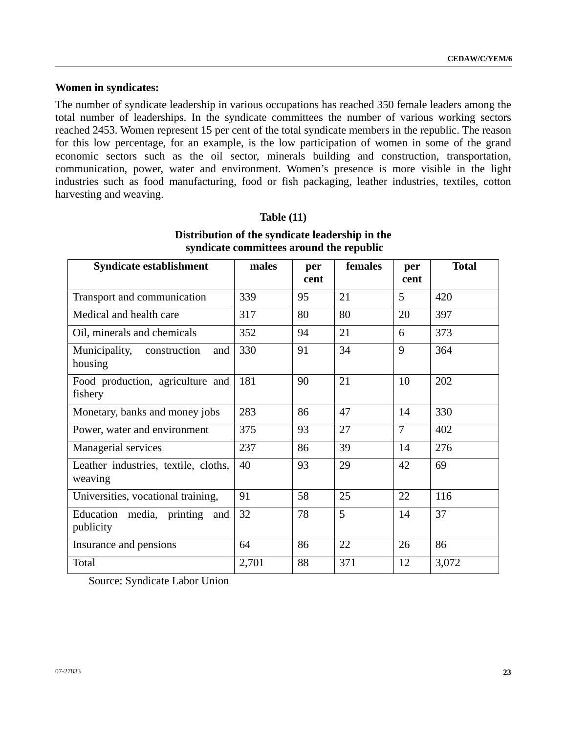### **Women in syndicates:**

The number of syndicate leadership in various occupations has reached 350 female leaders among the total number of leaderships. In the syndicate committees the number of various working sectors reached 2453. Women represent 15 per cent of the total syndicate members in the republic. The reason for this low percentage, for an example, is the low participation of women in some of the grand economic sectors such as the oil sector, minerals building and construction, transportation, communication, power, water and environment. Women's presence is more visible in the light industries such as food manufacturing, food or fish packaging, leather industries, textiles, cotton harvesting and weaving.

| Table $(11)$ |  |
|--------------|--|
|--------------|--|

| Syndicate establishment                          | males | per<br>cent | females | per<br>cent | <b>Total</b> |
|--------------------------------------------------|-------|-------------|---------|-------------|--------------|
| Transport and communication                      | 339   | 95          | 21      | 5           | 420          |
| Medical and health care                          | 317   | 80          | 80      | 20          | 397          |
| Oil, minerals and chemicals                      | 352   | 94          | 21      | 6           | 373          |
| Municipality,<br>construction<br>and<br>housing  | 330   | 91          | 34      | 9           | 364          |
| Food production, agriculture and<br>fishery      | 181   | 90          | 21      | 10          | 202          |
| Monetary, banks and money jobs                   | 283   | 86          | 47      | 14          | 330          |
| Power, water and environment                     | 375   | 93          | 27      | 7           | 402          |
| Managerial services                              | 237   | 86          | 39      | 14          | 276          |
| Leather industries, textile, cloths,<br>weaving  | 40    | 93          | 29      | 42          | 69           |
| Universities, vocational training,               | 91    | 58          | 25      | 22          | 116          |
| Education<br>media, printing<br>and<br>publicity | 32    | 78          | 5       | 14          | 37           |
| Insurance and pensions                           | 64    | 86          | 22      | 26          | 86           |
| Total                                            | 2,701 | 88          | 371     | 12          | 3,072        |

# **Distribution of the syndicate leadership in the syndicate committees around the republic**

Source: Syndicate Labor Union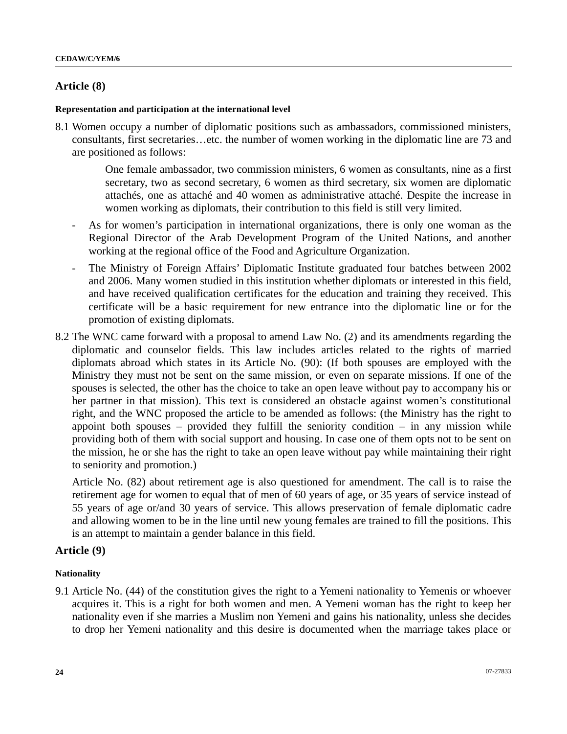# **Article (8)**

#### **Representation and participation at the international level**

8.1 Women occupy a number of diplomatic positions such as ambassadors, commissioned ministers, consultants, first secretaries…etc. the number of women working in the diplomatic line are 73 and are positioned as follows:

> One female ambassador, two commission ministers, 6 women as consultants, nine as a first secretary, two as second secretary, 6 women as third secretary, six women are diplomatic attachés, one as attaché and 40 women as administrative attaché. Despite the increase in women working as diplomats, their contribution to this field is still very limited.

- As for women's participation in international organizations, there is only one woman as the Regional Director of the Arab Development Program of the United Nations, and another working at the regional office of the Food and Agriculture Organization.
- The Ministry of Foreign Affairs' Diplomatic Institute graduated four batches between 2002 and 2006. Many women studied in this institution whether diplomats or interested in this field, and have received qualification certificates for the education and training they received. This certificate will be a basic requirement for new entrance into the diplomatic line or for the promotion of existing diplomats.
- 8.2 The WNC came forward with a proposal to amend Law No. (2) and its amendments regarding the diplomatic and counselor fields. This law includes articles related to the rights of married diplomats abroad which states in its Article No. (90): (If both spouses are employed with the Ministry they must not be sent on the same mission, or even on separate missions. If one of the spouses is selected, the other has the choice to take an open leave without pay to accompany his or her partner in that mission). This text is considered an obstacle against women's constitutional right, and the WNC proposed the article to be amended as follows: (the Ministry has the right to appoint both spouses – provided they fulfill the seniority condition – in any mission while providing both of them with social support and housing. In case one of them opts not to be sent on the mission, he or she has the right to take an open leave without pay while maintaining their right to seniority and promotion.)

Article No. (82) about retirement age is also questioned for amendment. The call is to raise the retirement age for women to equal that of men of 60 years of age, or 35 years of service instead of 55 years of age or/and 30 years of service. This allows preservation of female diplomatic cadre and allowing women to be in the line until new young females are trained to fill the positions. This is an attempt to maintain a gender balance in this field.

#### **Article (9)**

#### **Nationality**

9.1 Article No. (44) of the constitution gives the right to a Yemeni nationality to Yemenis or whoever acquires it. This is a right for both women and men. A Yemeni woman has the right to keep her nationality even if she marries a Muslim non Yemeni and gains his nationality, unless she decides to drop her Yemeni nationality and this desire is documented when the marriage takes place or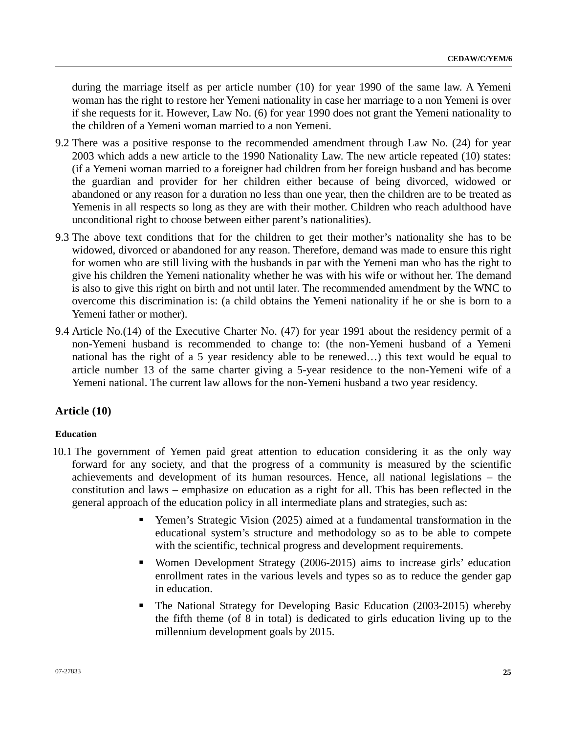during the marriage itself as per article number (10) for year 1990 of the same law. A Yemeni woman has the right to restore her Yemeni nationality in case her marriage to a non Yemeni is over if she requests for it. However, Law No. (6) for year 1990 does not grant the Yemeni nationality to the children of a Yemeni woman married to a non Yemeni.

- 9.2 There was a positive response to the recommended amendment through Law No. (24) for year 2003 which adds a new article to the 1990 Nationality Law. The new article repeated (10) states: (if a Yemeni woman married to a foreigner had children from her foreign husband and has become the guardian and provider for her children either because of being divorced, widowed or abandoned or any reason for a duration no less than one year, then the children are to be treated as Yemenis in all respects so long as they are with their mother. Children who reach adulthood have unconditional right to choose between either parent's nationalities).
- 9.3 The above text conditions that for the children to get their mother's nationality she has to be widowed, divorced or abandoned for any reason. Therefore, demand was made to ensure this right for women who are still living with the husbands in par with the Yemeni man who has the right to give his children the Yemeni nationality whether he was with his wife or without her. The demand is also to give this right on birth and not until later. The recommended amendment by the WNC to overcome this discrimination is: (a child obtains the Yemeni nationality if he or she is born to a Yemeni father or mother).
- 9.4 Article No.(14) of the Executive Charter No. (47) for year 1991 about the residency permit of a non-Yemeni husband is recommended to change to: (the non-Yemeni husband of a Yemeni national has the right of a 5 year residency able to be renewed…) this text would be equal to article number 13 of the same charter giving a 5-year residence to the non-Yemeni wife of a Yemeni national. The current law allows for the non-Yemeni husband a two year residency.

# **Article (10)**

#### **Education**

- 10.1 The government of Yemen paid great attention to education considering it as the only way forward for any society, and that the progress of a community is measured by the scientific achievements and development of its human resources. Hence, all national legislations – the constitution and laws – emphasize on education as a right for all. This has been reflected in the general approach of the education policy in all intermediate plans and strategies, such as:
	- Yemen's Strategic Vision (2025) aimed at a fundamental transformation in the educational system's structure and methodology so as to be able to compete with the scientific, technical progress and development requirements.
	- Women Development Strategy (2006-2015) aims to increase girls' education enrollment rates in the various levels and types so as to reduce the gender gap in education.
	- The National Strategy for Developing Basic Education (2003-2015) whereby the fifth theme (of 8 in total) is dedicated to girls education living up to the millennium development goals by 2015.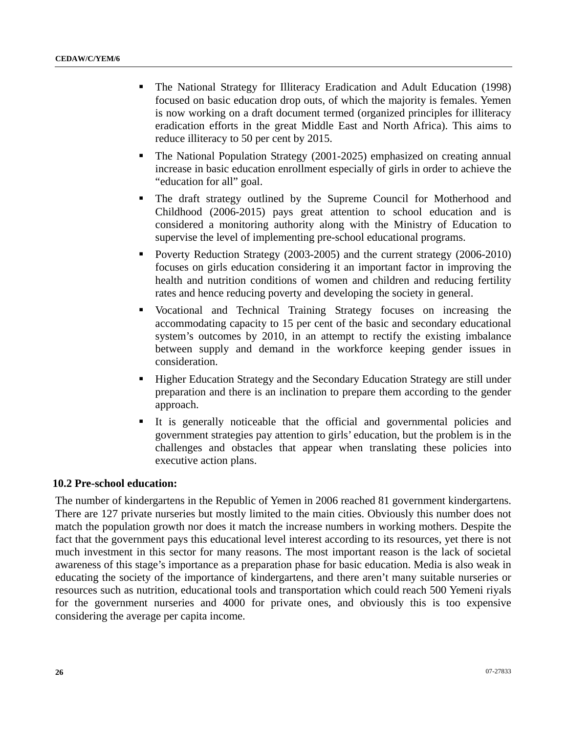- The National Strategy for Illiteracy Eradication and Adult Education (1998) focused on basic education drop outs, of which the majority is females. Yemen is now working on a draft document termed (organized principles for illiteracy eradication efforts in the great Middle East and North Africa). This aims to reduce illiteracy to 50 per cent by 2015.
- The National Population Strategy (2001-2025) emphasized on creating annual increase in basic education enrollment especially of girls in order to achieve the "education for all" goal.
- The draft strategy outlined by the Supreme Council for Motherhood and Childhood (2006-2015) pays great attention to school education and is considered a monitoring authority along with the Ministry of Education to supervise the level of implementing pre-school educational programs.
- Poverty Reduction Strategy (2003-2005) and the current strategy (2006-2010) focuses on girls education considering it an important factor in improving the health and nutrition conditions of women and children and reducing fertility rates and hence reducing poverty and developing the society in general.
- Vocational and Technical Training Strategy focuses on increasing the accommodating capacity to 15 per cent of the basic and secondary educational system's outcomes by 2010, in an attempt to rectify the existing imbalance between supply and demand in the workforce keeping gender issues in consideration.
- Higher Education Strategy and the Secondary Education Strategy are still under preparation and there is an inclination to prepare them according to the gender approach.
- It is generally noticeable that the official and governmental policies and government strategies pay attention to girls' education, but the problem is in the challenges and obstacles that appear when translating these policies into executive action plans.

#### **10.2 Pre-school education:**

The number of kindergartens in the Republic of Yemen in 2006 reached 81 government kindergartens. There are 127 private nurseries but mostly limited to the main cities. Obviously this number does not match the population growth nor does it match the increase numbers in working mothers. Despite the fact that the government pays this educational level interest according to its resources, yet there is not much investment in this sector for many reasons. The most important reason is the lack of societal awareness of this stage's importance as a preparation phase for basic education. Media is also weak in educating the society of the importance of kindergartens, and there aren't many suitable nurseries or resources such as nutrition, educational tools and transportation which could reach 500 Yemeni riyals for the government nurseries and 4000 for private ones, and obviously this is too expensive considering the average per capita income.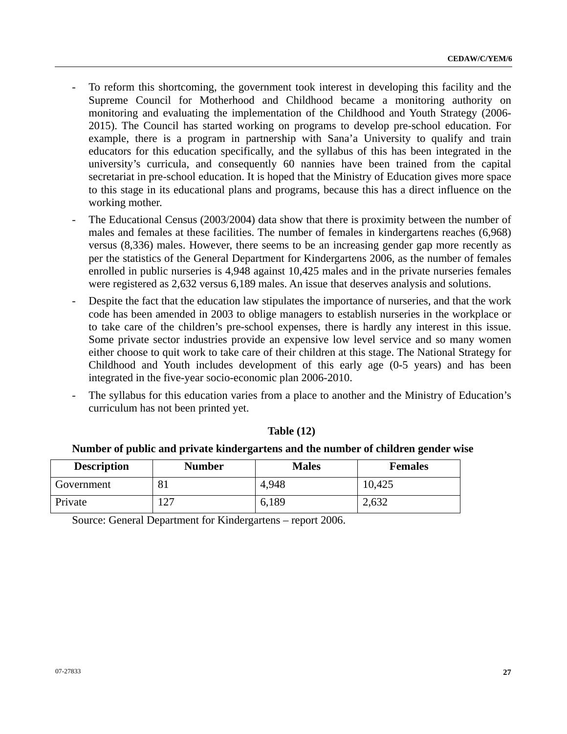- To reform this shortcoming, the government took interest in developing this facility and the Supreme Council for Motherhood and Childhood became a monitoring authority on monitoring and evaluating the implementation of the Childhood and Youth Strategy (2006- 2015). The Council has started working on programs to develop pre-school education. For example, there is a program in partnership with Sana'a University to qualify and train educators for this education specifically, and the syllabus of this has been integrated in the university's curricula, and consequently 60 nannies have been trained from the capital secretariat in pre-school education. It is hoped that the Ministry of Education gives more space to this stage in its educational plans and programs, because this has a direct influence on the working mother.
- The Educational Census (2003/2004) data show that there is proximity between the number of males and females at these facilities. The number of females in kindergartens reaches (6,968) versus (8,336) males. However, there seems to be an increasing gender gap more recently as per the statistics of the General Department for Kindergartens 2006, as the number of females enrolled in public nurseries is 4,948 against 10,425 males and in the private nurseries females were registered as 2,632 versus 6,189 males. An issue that deserves analysis and solutions.
- Despite the fact that the education law stipulates the importance of nurseries, and that the work code has been amended in 2003 to oblige managers to establish nurseries in the workplace or to take care of the children's pre-school expenses, there is hardly any interest in this issue. Some private sector industries provide an expensive low level service and so many women either choose to quit work to take care of their children at this stage. The National Strategy for Childhood and Youth includes development of this early age (0-5 years) and has been integrated in the five-year socio-economic plan 2006-2010.
- The syllabus for this education varies from a place to another and the Ministry of Education's curriculum has not been printed yet.

# **Table (12)**

#### **Number of public and private kindergartens and the number of children gender wise**

| <b>Description</b> | <b>Number</b> | <b>Males</b> | <b>Females</b> |
|--------------------|---------------|--------------|----------------|
| Government         | 81            | 4,948        | 10,425         |
| Private            | 127           | 6,189        | 2,632          |

Source: General Department for Kindergartens – report 2006.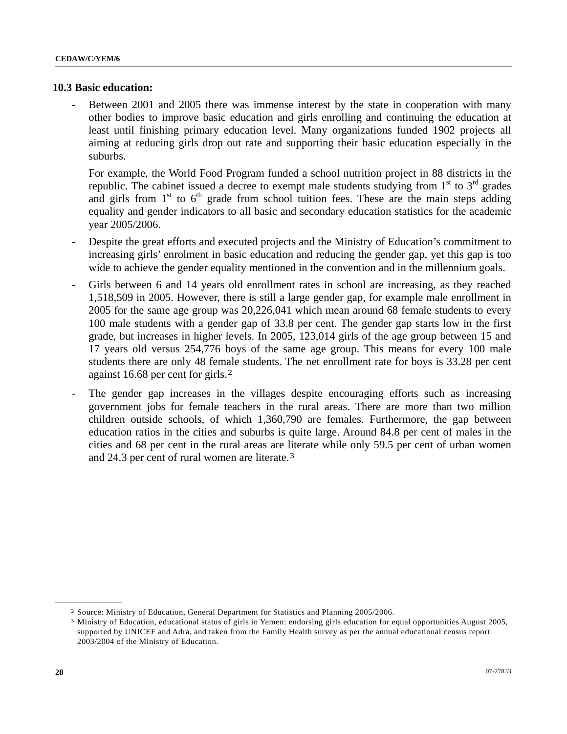#### <span id="page-27-0"></span>**10.3 Basic education:**

- Between 2001 and 2005 there was immense interest by the state in cooperation with many other bodies to improve basic education and girls enrolling and continuing the education at least until finishing primary education level. Many organizations funded 1902 projects all aiming at reducing girls drop out rate and supporting their basic education especially in the suburbs.

For example, the World Food Program funded a school nutrition project in 88 districts in the republic. The cabinet issued a decree to exempt male students studying from  $1<sup>st</sup>$  to  $3<sup>rd</sup>$  grades and girls from  $1<sup>st</sup>$  to  $6<sup>th</sup>$  grade from school tuition fees. These are the main steps adding equality and gender indicators to all basic and secondary education statistics for the academic year 2005/2006.

- Despite the great efforts and executed projects and the Ministry of Education's commitment to increasing girls' enrolment in basic education and reducing the gender gap, yet this gap is too wide to achieve the gender equality mentioned in the convention and in the millennium goals.
- Girls between 6 and 14 years old enrollment rates in school are increasing, as they reached 1,518,509 in 2005. However, there is still a large gender gap, for example male enrollment in 2005 for the same age group was 20,226,041 which mean around 68 female students to every 100 male students with a gender gap of 33.8 per cent. The gender gap starts low in the first grade, but increases in higher levels. In 2005, 123,014 girls of the age group between 15 and 17 years old versus 254,776 boys of the same age group. This means for every 100 male students there are only 48 female students. The net enrollment rate for boys is 33.28 per cent against 16.68 per cent for girls.[2](#page-27-0)
- The gender gap increases in the villages despite encouraging efforts such as increasing government jobs for female teachers in the rural areas. There are more than two million children outside schools, of which 1,360,790 are females. Furthermore, the gap between education ratios in the cities and suburbs is quite large. Around 84.8 per cent of males in the cities and 68 per cent in the rural areas are literate while only 59.5 per cent of urban women and 24.3 per cent of rural women are literate.[3](#page-27-0)

**\_\_\_\_\_\_\_\_\_\_\_\_\_\_\_\_\_\_** 

<sup>2</sup> Source: Ministry of Education, General Department for Statistics and Planning 2005/2006. 3 Ministry of Education, educational status of girls in Yemen: endorsing girls education for equal opportunities August 2005, supported by UNICEF and Adra, and taken from the Family Health survey as per the annual educational census report 2003/2004 of the Ministry of Education.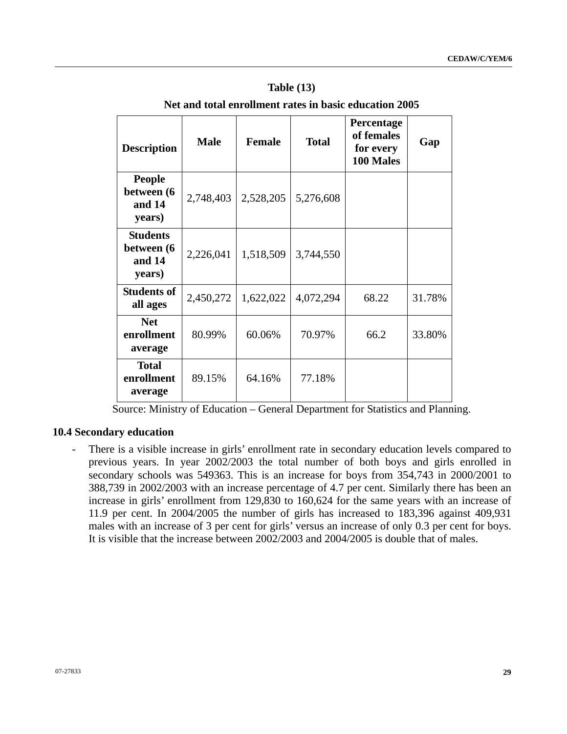| Net and total enrollment rates in basic education 2005 |             |               |              |                                                           |        |  |  |  |  |
|--------------------------------------------------------|-------------|---------------|--------------|-----------------------------------------------------------|--------|--|--|--|--|
| <b>Description</b>                                     | <b>Male</b> | <b>Female</b> | <b>Total</b> | <b>Percentage</b><br>of females<br>for every<br>100 Males | Gap    |  |  |  |  |
| <b>People</b><br>between (6<br>and 14<br>years)        | 2,748,403   | 2,528,205     | 5,276,608    |                                                           |        |  |  |  |  |
| <b>Students</b><br>between (6<br>and 14<br>years)      | 2,226,041   | 1,518,509     | 3,744,550    |                                                           |        |  |  |  |  |
| <b>Students of</b><br>all ages                         | 2,450,272   | 1,622,022     | 4,072,294    | 68.22                                                     | 31.78% |  |  |  |  |
| <b>Net</b><br>enrollment<br>average                    | 80.99%      | 60.06%        | 70.97%       | 66.2                                                      | 33.80% |  |  |  |  |
| <b>Total</b><br>enrollment<br>average                  | 89.15%      | 64.16%        | 77.18%       |                                                           |        |  |  |  |  |

**Table (13) Net and total enrollment rates in basic education 2005** 

Source: Ministry of Education – General Department for Statistics and Planning.

# **10.4 Secondary education**

- There is a visible increase in girls' enrollment rate in secondary education levels compared to previous years. In year 2002/2003 the total number of both boys and girls enrolled in secondary schools was 549363. This is an increase for boys from 354,743 in 2000/2001 to 388,739 in 2002/2003 with an increase percentage of 4.7 per cent. Similarly there has been an increase in girls' enrollment from 129,830 to 160,624 for the same years with an increase of 11.9 per cent. In 2004/2005 the number of girls has increased to 183,396 against 409,931 males with an increase of 3 per cent for girls' versus an increase of only 0.3 per cent for boys. It is visible that the increase between 2002/2003 and 2004/2005 is double that of males.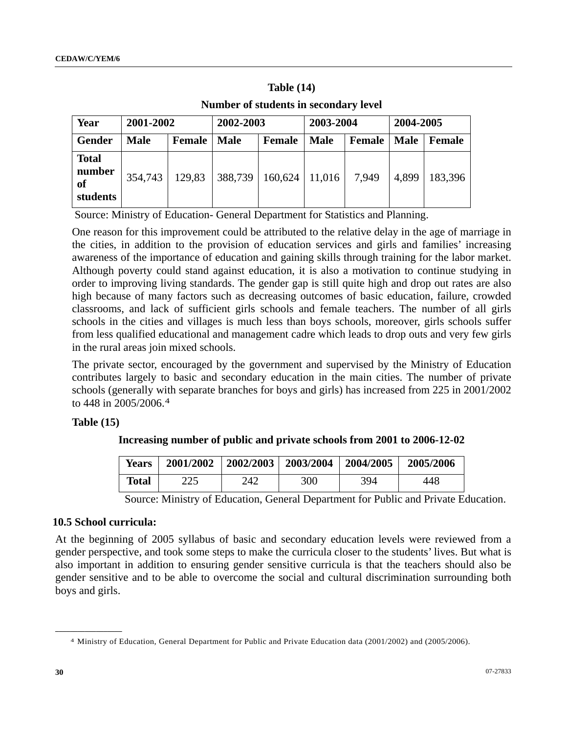<span id="page-29-0"></span>

| Number of students in secondary level           |             |               |             |               |             |               |             |         |
|-------------------------------------------------|-------------|---------------|-------------|---------------|-------------|---------------|-------------|---------|
| <b>Year</b>                                     | 2001-2002   | 2002-2003     |             |               | 2003-2004   |               | 2004-2005   |         |
| <b>Gender</b>                                   | <b>Male</b> | <b>Female</b> | <b>Male</b> | <b>Female</b> | <b>Male</b> | <b>Female</b> | <b>Male</b> | Female  |
| <b>Total</b><br>number<br><b>of</b><br>students | 354,743     | 129,83        | 388,739     | 160,624       | 11,016      | 7,949         | 4,899       | 183,396 |

**Table (14)** 

Source: Ministry of Education- General Department for Statistics and Planning.

One reason for this improvement could be attributed to the relative delay in the age of marriage in the cities, in addition to the provision of education services and girls and families' increasing awareness of the importance of education and gaining skills through training for the labor market. Although poverty could stand against education, it is also a motivation to continue studying in order to improving living standards. The gender gap is still quite high and drop out rates are also high because of many factors such as decreasing outcomes of basic education, failure, crowded classrooms, and lack of sufficient girls schools and female teachers. The number of all girls schools in the cities and villages is much less than boys schools, moreover, girls schools suffer from less qualified educational and management cadre which leads to drop outs and very few girls in the rural areas join mixed schools.

The private sector, encouraged by the government and supervised by the Ministry of Education contributes largely to basic and secondary education in the main cities. The number of private schools (generally with separate branches for boys and girls) has increased from 225 in 2001/2002 to 448 in 2005/2006.[4](#page-29-0)

# **Table (15)**

**Increasing number of public and private schools from 2001 to 2006-12-02** 

| <b>Years</b> | 2001/2002 |     | $2002/2003$   $2003/2004$   $2004/2005$ |     | 2005/2006 |
|--------------|-----------|-----|-----------------------------------------|-----|-----------|
| <b>Total</b> | 225       | 242 | 300                                     | 394 | 448       |

Source: Ministry of Education, General Department for Public and Private Education.

# **10.5 School curricula:**

**\_\_\_\_\_\_\_\_\_\_\_\_\_\_\_\_\_\_** 

At the beginning of 2005 syllabus of basic and secondary education levels were reviewed from a gender perspective, and took some steps to make the curricula closer to the students' lives. But what is also important in addition to ensuring gender sensitive curricula is that the teachers should also be gender sensitive and to be able to overcome the social and cultural discrimination surrounding both boys and girls.

<sup>4</sup> Ministry of Education, General Department for Public and Private Education data (2001/2002) and (2005/2006).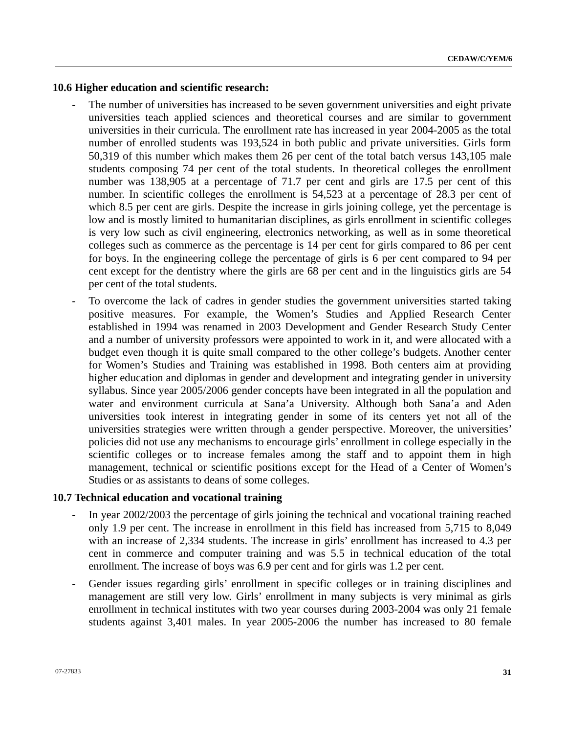### **10.6 Higher education and scientific research:**

- The number of universities has increased to be seven government universities and eight private universities teach applied sciences and theoretical courses and are similar to government universities in their curricula. The enrollment rate has increased in year 2004-2005 as the total number of enrolled students was 193,524 in both public and private universities. Girls form 50,319 of this number which makes them 26 per cent of the total batch versus 143,105 male students composing 74 per cent of the total students. In theoretical colleges the enrollment number was 138,905 at a percentage of 71.7 per cent and girls are 17.5 per cent of this number. In scientific colleges the enrollment is 54,523 at a percentage of 28.3 per cent of which 8.5 per cent are girls. Despite the increase in girls joining college, yet the percentage is low and is mostly limited to humanitarian disciplines, as girls enrollment in scientific colleges is very low such as civil engineering, electronics networking, as well as in some theoretical colleges such as commerce as the percentage is 14 per cent for girls compared to 86 per cent for boys. In the engineering college the percentage of girls is 6 per cent compared to 94 per cent except for the dentistry where the girls are 68 per cent and in the linguistics girls are 54 per cent of the total students.
- To overcome the lack of cadres in gender studies the government universities started taking positive measures. For example, the Women's Studies and Applied Research Center established in 1994 was renamed in 2003 Development and Gender Research Study Center and a number of university professors were appointed to work in it, and were allocated with a budget even though it is quite small compared to the other college's budgets. Another center for Women's Studies and Training was established in 1998. Both centers aim at providing higher education and diplomas in gender and development and integrating gender in university syllabus. Since year 2005/2006 gender concepts have been integrated in all the population and water and environment curricula at Sana'a University. Although both Sana'a and Aden universities took interest in integrating gender in some of its centers yet not all of the universities strategies were written through a gender perspective. Moreover, the universities' policies did not use any mechanisms to encourage girls' enrollment in college especially in the scientific colleges or to increase females among the staff and to appoint them in high management, technical or scientific positions except for the Head of a Center of Women's Studies or as assistants to deans of some colleges.

#### **10.7 Technical education and vocational training**

- In year 2002/2003 the percentage of girls joining the technical and vocational training reached only 1.9 per cent. The increase in enrollment in this field has increased from 5,715 to 8,049 with an increase of 2,334 students. The increase in girls' enrollment has increased to 4.3 per cent in commerce and computer training and was 5.5 in technical education of the total enrollment. The increase of boys was 6.9 per cent and for girls was 1.2 per cent.
- Gender issues regarding girls' enrollment in specific colleges or in training disciplines and management are still very low. Girls' enrollment in many subjects is very minimal as girls enrollment in technical institutes with two year courses during 2003-2004 was only 21 female students against 3,401 males. In year 2005-2006 the number has increased to 80 female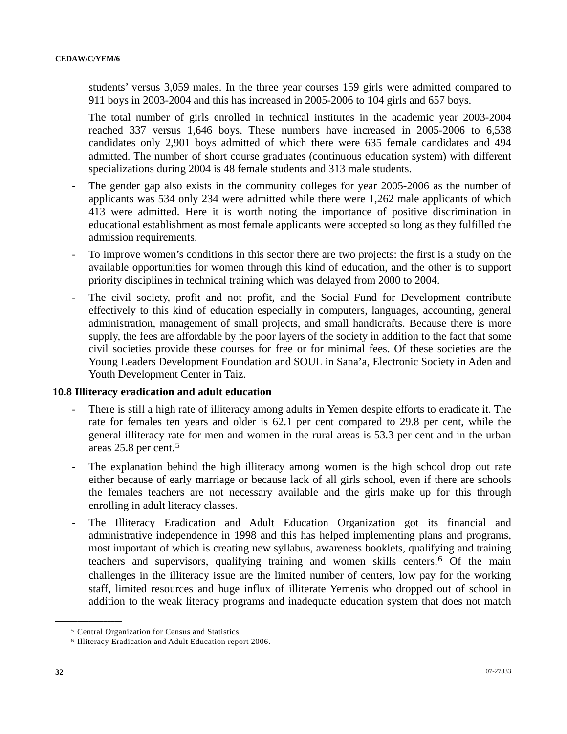<span id="page-31-0"></span>students' versus 3,059 males. In the three year courses 159 girls were admitted compared to 911 boys in 2003-2004 and this has increased in 2005-2006 to 104 girls and 657 boys.

The total number of girls enrolled in technical institutes in the academic year 2003-2004 reached 337 versus 1,646 boys. These numbers have increased in 2005-2006 to 6,538 candidates only 2,901 boys admitted of which there were 635 female candidates and 494 admitted. The number of short course graduates (continuous education system) with different specializations during 2004 is 48 female students and 313 male students.

- The gender gap also exists in the community colleges for year 2005-2006 as the number of applicants was 534 only 234 were admitted while there were 1,262 male applicants of which 413 were admitted. Here it is worth noting the importance of positive discrimination in educational establishment as most female applicants were accepted so long as they fulfilled the admission requirements.
- To improve women's conditions in this sector there are two projects: the first is a study on the available opportunities for women through this kind of education, and the other is to support priority disciplines in technical training which was delayed from 2000 to 2004.
- The civil society, profit and not profit, and the Social Fund for Development contribute effectively to this kind of education especially in computers, languages, accounting, general administration, management of small projects, and small handicrafts. Because there is more supply, the fees are affordable by the poor layers of the society in addition to the fact that some civil societies provide these courses for free or for minimal fees. Of these societies are the Young Leaders Development Foundation and SOUL in Sana'a, Electronic Society in Aden and Youth Development Center in Taiz.

#### **10.8 Illiteracy eradication and adult education**

- There is still a high rate of illiteracy among adults in Yemen despite efforts to eradicate it. The rate for females ten years and older is 62.1 per cent compared to 29.8 per cent, while the general illiteracy rate for men and women in the rural areas is 53.3 per cent and in the urban areas 25.8 per cent.[5](#page-31-0)
- The explanation behind the high illiteracy among women is the high school drop out rate either because of early marriage or because lack of all girls school, even if there are schools the females teachers are not necessary available and the girls make up for this through enrolling in adult literacy classes.
- The Illiteracy Eradication and Adult Education Organization got its financial and administrative independence in 1998 and this has helped implementing plans and programs, most important of which is creating new syllabus, awareness booklets, qualifying and training teachers and supervisors, qualifying training and women skills centers.<sup>[6](#page-31-0)</sup> Of the main challenges in the illiteracy issue are the limited number of centers, low pay for the working staff, limited resources and huge influx of illiterate Yemenis who dropped out of school in addition to the weak literacy programs and inadequate education system that does not match

**\_\_\_\_\_\_\_\_\_\_\_\_\_\_\_\_\_\_** 

<sup>5</sup> Central Organization for Census and Statistics.

<sup>6</sup> Illiteracy Eradication and Adult Education report 2006.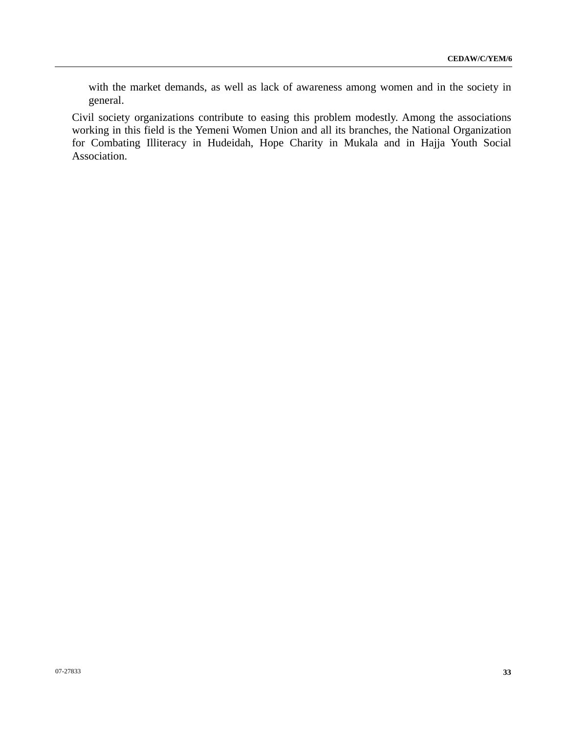with the market demands, as well as lack of awareness among women and in the society in general.

Civil society organizations contribute to easing this problem modestly. Among the associations working in this field is the Yemeni Women Union and all its branches, the National Organization for Combating Illiteracy in Hudeidah, Hope Charity in Mukala and in Hajja Youth Social Association.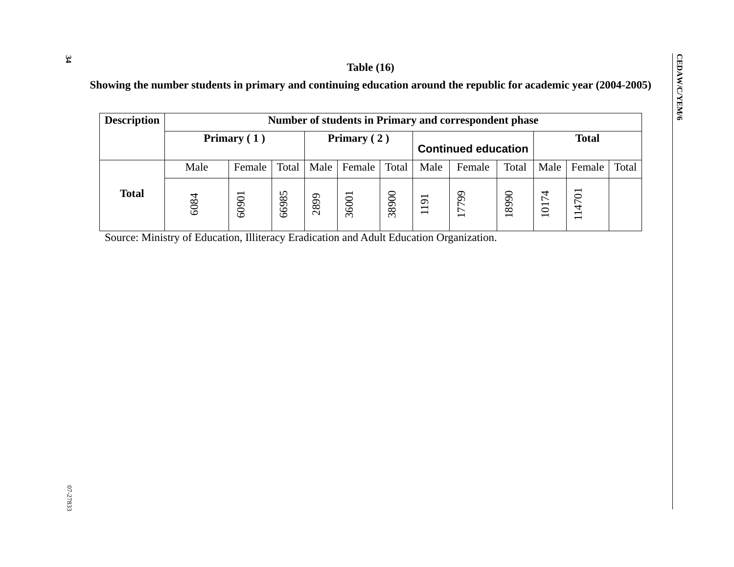# **Table (16)**

# **Showing the number students in primary and continuing education around the republic for academic year (2004-2005)**

| <b>Description</b> | Number of students in Primary and correspondent phase |        |               |      |                            |       |                                 |        |                                  |          |                                                             |       |
|--------------------|-------------------------------------------------------|--------|---------------|------|----------------------------|-------|---------------------------------|--------|----------------------------------|----------|-------------------------------------------------------------|-------|
|                    | Primary $(1)$                                         |        | Primary $(2)$ |      | <b>Continued education</b> |       | <b>Total</b>                    |        |                                  |          |                                                             |       |
|                    | Male                                                  | Female | Total         | Male | Female                     | Total | Male                            | Female | Total                            | Male     | Female                                                      | Total |
| <b>Total</b>       | 6084                                                  | 60901  | 66985         | 2899 | 36001                      | 38900 | 191<br>$\overline{\phantom{0}}$ | 99     | 8990<br>$\overline{\phantom{0}}$ | ব<br>101 | 701<br>$\overline{\phantom{0}}$<br>$\overline{\phantom{0}}$ |       |

Source: Ministry of Education, Illiteracy Eradication and Adult Education Organization.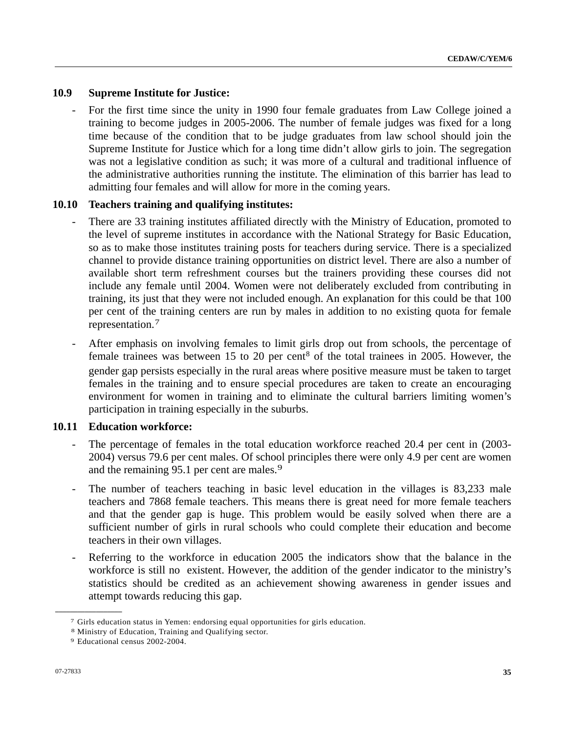# <span id="page-34-0"></span>**10.9 Supreme Institute for Justice:**

- For the first time since the unity in 1990 four female graduates from Law College joined a training to become judges in 2005-2006. The number of female judges was fixed for a long time because of the condition that to be judge graduates from law school should join the Supreme Institute for Justice which for a long time didn't allow girls to join. The segregation was not a legislative condition as such; it was more of a cultural and traditional influence of the administrative authorities running the institute. The elimination of this barrier has lead to admitting four females and will allow for more in the coming years.

## **10.10 Teachers training and qualifying institutes:**

- There are 33 training institutes affiliated directly with the Ministry of Education, promoted to the level of supreme institutes in accordance with the National Strategy for Basic Education, so as to make those institutes training posts for teachers during service. There is a specialized channel to provide distance training opportunities on district level. There are also a number of available short term refreshment courses but the trainers providing these courses did not include any female until 2004. Women were not deliberately excluded from contributing in training, its just that they were not included enough. An explanation for this could be that 100 per cent of the training centers are run by males in addition to no existing quota for female representation.[7](#page-34-0)
- After emphasis on involving females to limit girls drop out from schools, the percentage of female trainees was between 15 to 20 per cent<sup>8</sup> of the total trainees in 2005. However, the gender gap persists especially in the rural areas where positive measure must be taken to target females in the training and to ensure special procedures are taken to create an encouraging environment for women in training and to eliminate the cultural barriers limiting women's participation in training especially in the suburbs.

# **10.11 Education workforce:**

- The percentage of females in the total education workforce reached 20.4 per cent in  $(2003-$ 2004) versus 79.6 per cent males. Of school principles there were only 4.9 per cent are women and the remaining [9](#page-34-0)5.1 per cent are males.<sup>9</sup>
- The number of teachers teaching in basic level education in the villages is 83,233 male teachers and 7868 female teachers. This means there is great need for more female teachers and that the gender gap is huge. This problem would be easily solved when there are a sufficient number of girls in rural schools who could complete their education and become teachers in their own villages.
- Referring to the workforce in education 2005 the indicators show that the balance in the workforce is still no existent. However, the addition of the gender indicator to the ministry's statistics should be credited as an achievement showing awareness in gender issues and attempt towards reducing this gap.

**\_\_\_\_\_\_\_\_\_\_\_\_\_\_\_\_\_\_** 

<sup>7</sup> Girls education status in Yemen: endorsing equal opportunities for girls education. 8 Ministry of Education, Training and Qualifying sector.

<sup>9</sup> Educational census 2002-2004.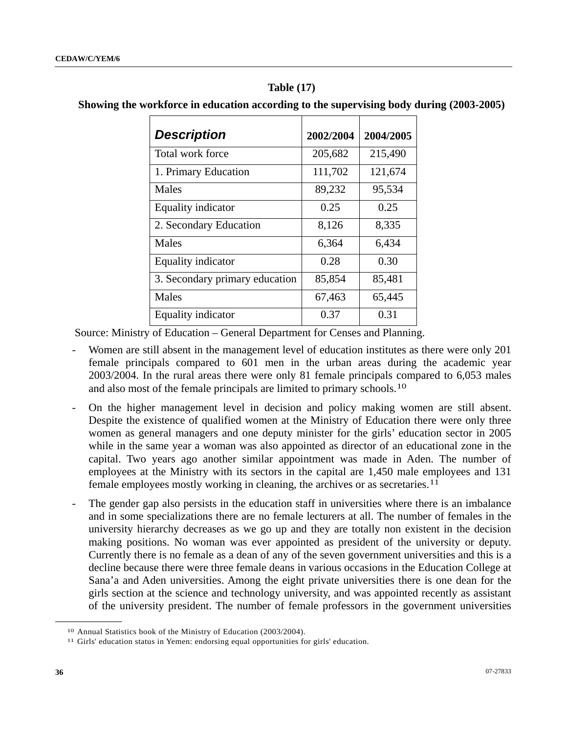# **Table (17)**

<span id="page-35-0"></span>**Showing the workforce in education according to the supervising body during (2003-2005)** 

| <b>Description</b>             | 2002/2004 | 2004/2005 |
|--------------------------------|-----------|-----------|
| Total work force               | 205,682   | 215,490   |
| 1. Primary Education           | 111,702   | 121,674   |
| Males                          | 89,232    | 95,534    |
| Equality indicator             | 0.25      | 0.25      |
| 2. Secondary Education         | 8,126     | 8,335     |
| Males                          | 6,364     | 6,434     |
| Equality indicator             | 0.28      | 0.30      |
| 3. Secondary primary education | 85,854    | 85,481    |
| Males                          | 67,463    | 65,445    |
| Equality indicator             | 0.37      | 0.31      |

Source: Ministry of Education – General Department for Censes and Planning.

- Women are still absent in the management level of education institutes as there were only 201 female principals compared to 601 men in the urban areas during the academic year 2003/2004. In the rural areas there were only 81 female principals compared to 6,053 males and also most of the female principals are limited to primary schools.[10](#page-35-0)
- On the higher management level in decision and policy making women are still absent. Despite the existence of qualified women at the Ministry of Education there were only three women as general managers and one deputy minister for the girls' education sector in 2005 while in the same year a woman was also appointed as director of an educational zone in the capital. Two years ago another similar appointment was made in Aden. The number of employees at the Ministry with its sectors in the capital are 1,450 male employees and 131 female employees mostly working in cleaning, the archives or as secretaries.[1](#page-35-0)1
- The gender gap also persists in the education staff in universities where there is an imbalance and in some specializations there are no female lecturers at all. The number of females in the university hierarchy decreases as we go up and they are totally non existent in the decision making positions. No woman was ever appointed as president of the university or deputy. Currently there is no female as a dean of any of the seven government universities and this is a decline because there were three female deans in various occasions in the Education College at Sana'a and Aden universities. Among the eight private universities there is one dean for the girls section at the science and technology university, and was appointed recently as assistant of the university president. The number of female professors in the government universities

**\_\_\_\_\_\_\_\_\_\_\_\_\_\_\_\_\_\_** 

<sup>&</sup>lt;sup>10</sup> Annual Statistics book of the Ministry of Education (2003/2004).<br><sup>11</sup> Girls' education status in Yemen: endorsing equal opportunities for girls' education.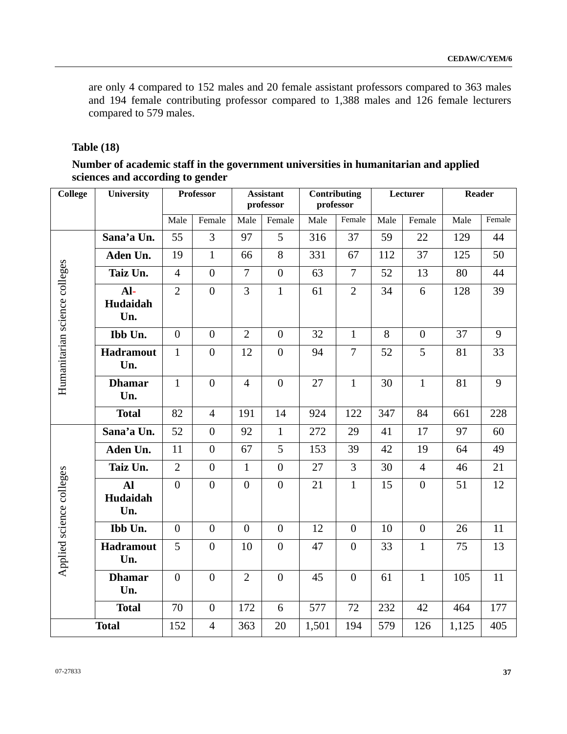are only 4 compared to 152 males and 20 female assistant professors compared to 363 males and 194 female contributing professor compared to 1,388 males and 126 female lecturers compared to 579 males.

## **Table (18)**

| Number of academic staff in the government universities in humanitarian and applied |  |
|-------------------------------------------------------------------------------------|--|
| sciences and according to gender                                                    |  |

| <b>College</b>                | <b>University</b>            |                  | <b>Professor</b> |                | <b>Assistant</b><br>professor | Contributing<br>professor |                  |      | Lecturer         | <b>Reader</b> |        |
|-------------------------------|------------------------------|------------------|------------------|----------------|-------------------------------|---------------------------|------------------|------|------------------|---------------|--------|
|                               |                              | Male             | Female           | Male           | Female                        | Male                      | Female           | Male | Female           | Male          | Female |
|                               | Sana'a Un.                   | 55               | 3                | 97             | $\overline{5}$                | 316                       | 37               | 59   | 22               | 129           | 44     |
|                               | Aden Un.                     | 19               | $\mathbf{1}$     | 66             | 8                             | 331                       | 67               | 112  | 37               | 125           | 50     |
|                               | Taiz Un.                     | $\overline{4}$   | $\overline{0}$   | $\overline{7}$ | $\theta$                      | 63                        | $\tau$           | 52   | 13               | 80            | 44     |
| Humanitarian science colleges | Al-<br>Hudaidah<br>Un.       | $\overline{2}$   | $\overline{0}$   | $\overline{3}$ | $\mathbf{1}$                  | 61                        | $\overline{2}$   | 34   | 6                | 128           | 39     |
|                               | Ibb Un.                      | $\Omega$         | $\theta$         | $\overline{2}$ | $\Omega$                      | 32                        | $\mathbf{1}$     | 8    | $\overline{0}$   | 37            | 9      |
|                               | Hadramout<br>Un.             | $\mathbf{1}$     | $\overline{0}$   | 12             | $\overline{0}$                | 94                        | $\overline{7}$   | 52   | 5                | 81            | 33     |
|                               | <b>Dhamar</b><br>Un.         | $\mathbf{1}$     | $\overline{0}$   | $\overline{4}$ | $\Omega$                      | 27                        | $\mathbf{1}$     | 30   | $\mathbf{1}$     | 81            | 9      |
|                               | <b>Total</b>                 | 82               | $\overline{4}$   | 191            | 14                            | 924                       | 122              | 347  | 84               | 661           | 228    |
|                               | Sana'a Un.                   | 52               | $\theta$         | 92             | $\mathbf{1}$                  | 272                       | 29               | 41   | 17               | 97            | 60     |
|                               | Aden Un.                     | 11               | $\overline{0}$   | 67             | 5                             | 153                       | 39               | 42   | 19               | 64            | 49     |
|                               | Taiz Un.                     | $\overline{2}$   | $\overline{0}$   | $\mathbf{1}$   | $\overline{0}$                | 27                        | $\overline{3}$   | 30   | $\overline{4}$   | 46            | 21     |
| Applied science colleges      | <b>Al</b><br>Hudaidah<br>Un. | $\overline{0}$   | $\boldsymbol{0}$ | $\overline{0}$ | $\boldsymbol{0}$              | 21                        | $\mathbf{1}$     | 15   | $\boldsymbol{0}$ | 51            | 12     |
|                               | Ibb Un.                      | $\overline{0}$   | $\boldsymbol{0}$ | $\overline{0}$ | $\overline{0}$                | 12                        | $\overline{0}$   | 10   | $\overline{0}$   | 26            | 11     |
|                               | Hadramout<br>Un.             | 5                | $\boldsymbol{0}$ | 10             | $\boldsymbol{0}$              | 47                        | $\boldsymbol{0}$ | 33   | $\mathbf{1}$     | 75            | 13     |
|                               | <b>Dhamar</b><br>Un.         | $\boldsymbol{0}$ | $\boldsymbol{0}$ | $\overline{2}$ | $\overline{0}$                | 45                        | $\overline{0}$   | 61   | $\mathbf{1}$     | 105           | 11     |
|                               | <b>Total</b>                 | 70               | $\overline{0}$   | 172            | 6                             | 577                       | 72               | 232  | 42               | 464           | 177    |
|                               | <b>Total</b>                 | 152              | $\overline{4}$   | 363            | 20                            | 1,501                     | 194              | 579  | 126              | 1,125         | 405    |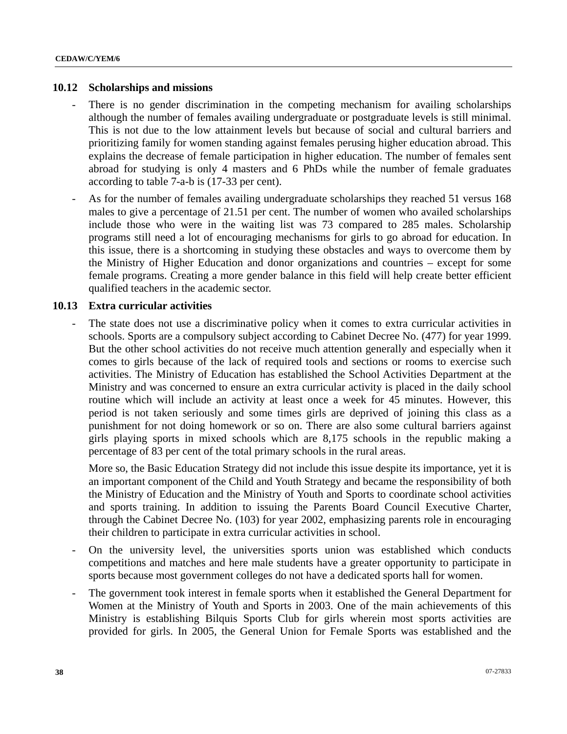#### **10.12 Scholarships and missions**

- There is no gender discrimination in the competing mechanism for availing scholarships although the number of females availing undergraduate or postgraduate levels is still minimal. This is not due to the low attainment levels but because of social and cultural barriers and prioritizing family for women standing against females perusing higher education abroad. This explains the decrease of female participation in higher education. The number of females sent abroad for studying is only 4 masters and 6 PhDs while the number of female graduates according to table 7-a-b is (17-33 per cent).
- As for the number of females availing undergraduate scholarships they reached 51 versus 168 males to give a percentage of 21.51 per cent. The number of women who availed scholarships include those who were in the waiting list was 73 compared to 285 males. Scholarship programs still need a lot of encouraging mechanisms for girls to go abroad for education. In this issue, there is a shortcoming in studying these obstacles and ways to overcome them by the Ministry of Higher Education and donor organizations and countries – except for some female programs. Creating a more gender balance in this field will help create better efficient qualified teachers in the academic sector.

#### **10.13 Extra curricular activities**

The state does not use a discriminative policy when it comes to extra curricular activities in schools. Sports are a compulsory subject according to Cabinet Decree No. (477) for year 1999. But the other school activities do not receive much attention generally and especially when it comes to girls because of the lack of required tools and sections or rooms to exercise such activities. The Ministry of Education has established the School Activities Department at the Ministry and was concerned to ensure an extra curricular activity is placed in the daily school routine which will include an activity at least once a week for 45 minutes. However, this period is not taken seriously and some times girls are deprived of joining this class as a punishment for not doing homework or so on. There are also some cultural barriers against girls playing sports in mixed schools which are 8,175 schools in the republic making a percentage of 83 per cent of the total primary schools in the rural areas.

More so, the Basic Education Strategy did not include this issue despite its importance, yet it is an important component of the Child and Youth Strategy and became the responsibility of both the Ministry of Education and the Ministry of Youth and Sports to coordinate school activities and sports training. In addition to issuing the Parents Board Council Executive Charter, through the Cabinet Decree No. (103) for year 2002, emphasizing parents role in encouraging their children to participate in extra curricular activities in school.

- On the university level, the universities sports union was established which conducts competitions and matches and here male students have a greater opportunity to participate in sports because most government colleges do not have a dedicated sports hall for women.
- The government took interest in female sports when it established the General Department for Women at the Ministry of Youth and Sports in 2003. One of the main achievements of this Ministry is establishing Bilquis Sports Club for girls wherein most sports activities are provided for girls. In 2005, the General Union for Female Sports was established and the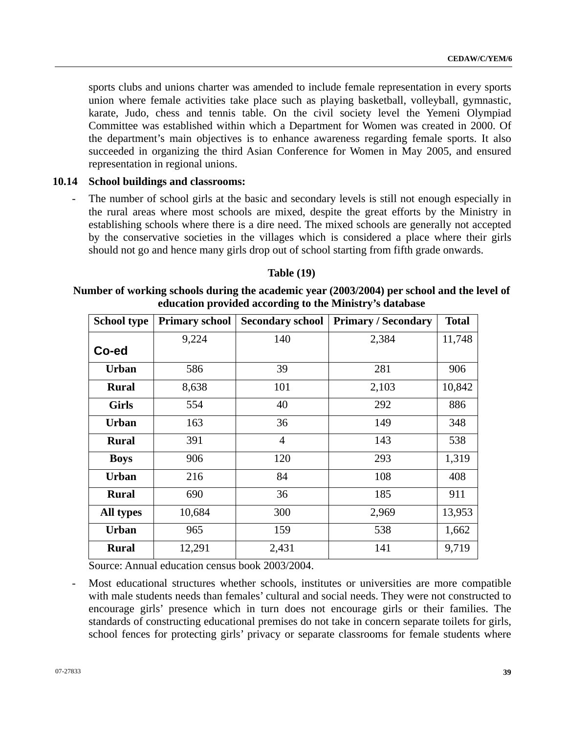sports clubs and unions charter was amended to include female representation in every sports union where female activities take place such as playing basketball, volleyball, gymnastic, karate, Judo, chess and tennis table. On the civil society level the Yemeni Olympiad Committee was established within which a Department for Women was created in 2000. Of the department's main objectives is to enhance awareness regarding female sports. It also succeeded in organizing the third Asian Conference for Women in May 2005, and ensured representation in regional unions.

#### **10.14 School buildings and classrooms:**

The number of school girls at the basic and secondary levels is still not enough especially in the rural areas where most schools are mixed, despite the great efforts by the Ministry in establishing schools where there is a dire need. The mixed schools are generally not accepted by the conservative societies in the villages which is considered a place where their girls should not go and hence many girls drop out of school starting from fifth grade onwards.

## **Number of working schools during the academic year (2003/2004) per school and the level of education provided according to the Ministry's database**

**Table (19)** 

| <b>School type</b> | <b>Primary school</b> | <b>Secondary school</b> | <b>Primary / Secondary</b> | <b>Total</b> |
|--------------------|-----------------------|-------------------------|----------------------------|--------------|
|                    | 9,224                 | 140                     | 2,384                      | 11,748       |
| Co-ed              |                       |                         |                            |              |
| <b>Urban</b>       | 586                   | 39                      | 281                        | 906          |
| <b>Rural</b>       | 8,638                 | 101                     | 2,103                      | 10,842       |
| <b>Girls</b>       | 554                   | 40                      | 292                        | 886          |
| <b>Urban</b>       | 163                   | 36                      | 149                        | 348          |
| <b>Rural</b>       | 391                   | $\overline{4}$          | 143                        | 538          |
| <b>Boys</b>        | 906                   | 120                     | 293                        | 1,319        |
| <b>Urban</b>       | 216                   | 84                      | 108                        | 408          |
| <b>Rural</b>       | 690                   | 36                      | 185                        | 911          |
| All types          | 10,684                | 300                     | 2,969                      | 13,953       |
| <b>Urban</b>       | 965                   | 159                     | 538                        | 1,662        |
| <b>Rural</b>       | 12,291                | 2,431                   | 141                        | 9,719        |

Source: Annual education census book 2003/2004.

- Most educational structures whether schools, institutes or universities are more compatible with male students needs than females' cultural and social needs. They were not constructed to encourage girls' presence which in turn does not encourage girls or their families. The standards of constructing educational premises do not take in concern separate toilets for girls, school fences for protecting girls' privacy or separate classrooms for female students where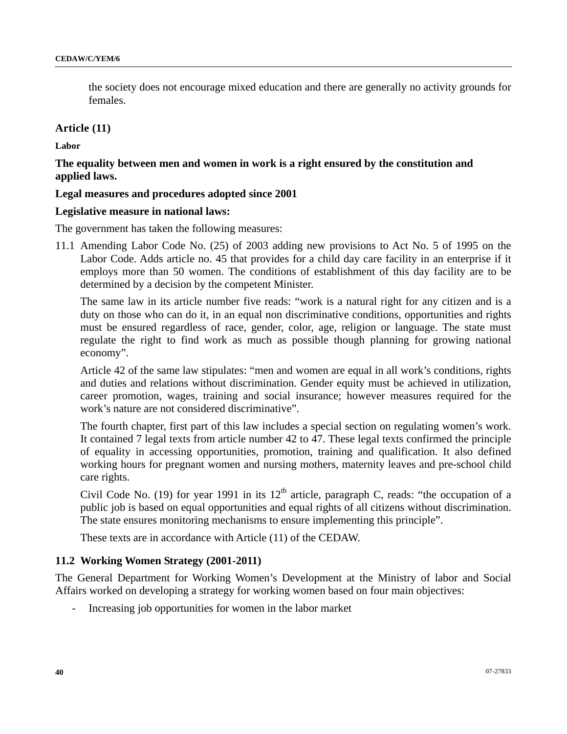the society does not encourage mixed education and there are generally no activity grounds for females.

#### **Article (11)**

**Labor** 

## **The equality between men and women in work is a right ensured by the constitution and applied laws.**

#### **Legal measures and procedures adopted since 2001**

#### **Legislative measure in national laws:**

The government has taken the following measures:

11.1 Amending Labor Code No. (25) of 2003 adding new provisions to Act No. 5 of 1995 on the Labor Code. Adds article no. 45 that provides for a child day care facility in an enterprise if it employs more than 50 women. The conditions of establishment of this day facility are to be determined by a decision by the competent Minister.

The same law in its article number five reads: "work is a natural right for any citizen and is a duty on those who can do it, in an equal non discriminative conditions, opportunities and rights must be ensured regardless of race, gender, color, age, religion or language. The state must regulate the right to find work as much as possible though planning for growing national economy".

Article 42 of the same law stipulates: "men and women are equal in all work's conditions, rights and duties and relations without discrimination. Gender equity must be achieved in utilization, career promotion, wages, training and social insurance; however measures required for the work's nature are not considered discriminative".

The fourth chapter, first part of this law includes a special section on regulating women's work. It contained 7 legal texts from article number 42 to 47. These legal texts confirmed the principle of equality in accessing opportunities, promotion, training and qualification. It also defined working hours for pregnant women and nursing mothers, maternity leaves and pre-school child care rights.

Civil Code No. (19) for year 1991 in its  $12<sup>th</sup>$  article, paragraph C, reads: "the occupation of a public job is based on equal opportunities and equal rights of all citizens without discrimination. The state ensures monitoring mechanisms to ensure implementing this principle".

These texts are in accordance with Article (11) of the CEDAW.

#### **11.2 Working Women Strategy (2001-2011)**

The General Department for Working Women's Development at the Ministry of labor and Social Affairs worked on developing a strategy for working women based on four main objectives:

- Increasing job opportunities for women in the labor market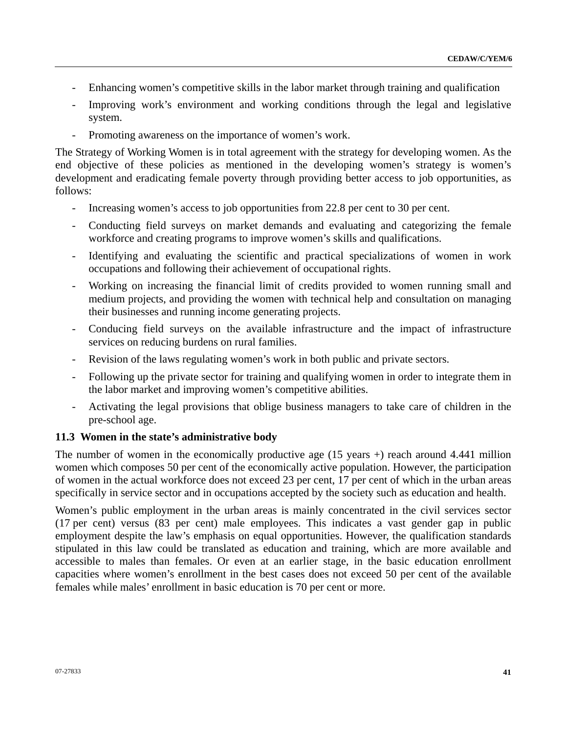- Enhancing women's competitive skills in the labor market through training and qualification
- Improving work's environment and working conditions through the legal and legislative system.
- Promoting awareness on the importance of women's work.

The Strategy of Working Women is in total agreement with the strategy for developing women. As the end objective of these policies as mentioned in the developing women's strategy is women's development and eradicating female poverty through providing better access to job opportunities, as follows:

- Increasing women's access to job opportunities from 22.8 per cent to 30 per cent.
- Conducting field surveys on market demands and evaluating and categorizing the female workforce and creating programs to improve women's skills and qualifications.
- Identifying and evaluating the scientific and practical specializations of women in work occupations and following their achievement of occupational rights.
- Working on increasing the financial limit of credits provided to women running small and medium projects, and providing the women with technical help and consultation on managing their businesses and running income generating projects.
- Conducing field surveys on the available infrastructure and the impact of infrastructure services on reducing burdens on rural families.
- Revision of the laws regulating women's work in both public and private sectors.
- Following up the private sector for training and qualifying women in order to integrate them in the labor market and improving women's competitive abilities.
- Activating the legal provisions that oblige business managers to take care of children in the pre-school age.

#### **11.3 Women in the state's administrative body**

The number of women in the economically productive age  $(15 \text{ years} +)$  reach around 4.441 million women which composes 50 per cent of the economically active population. However, the participation of women in the actual workforce does not exceed 23 per cent, 17 per cent of which in the urban areas specifically in service sector and in occupations accepted by the society such as education and health.

Women's public employment in the urban areas is mainly concentrated in the civil services sector (17 per cent) versus (83 per cent) male employees. This indicates a vast gender gap in public employment despite the law's emphasis on equal opportunities. However, the qualification standards stipulated in this law could be translated as education and training, which are more available and accessible to males than females. Or even at an earlier stage, in the basic education enrollment capacities where women's enrollment in the best cases does not exceed 50 per cent of the available females while males' enrollment in basic education is 70 per cent or more.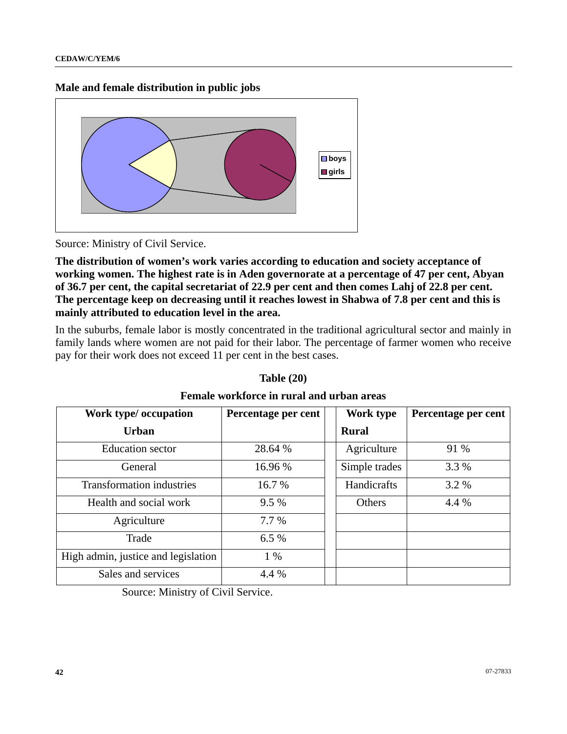**Male and female distribution in public jobs** 



Source: Ministry of Civil Service.

**The distribution of women's work varies according to education and society acceptance of working women. The highest rate is in Aden governorate at a percentage of 47 per cent, Abyan of 36.7 per cent, the capital secretariat of 22.9 per cent and then comes Lahj of 22.8 per cent. The percentage keep on decreasing until it reaches lowest in Shabwa of 7.8 per cent and this is mainly attributed to education level in the area.** 

In the suburbs, female labor is mostly concentrated in the traditional agricultural sector and mainly in family lands where women are not paid for their labor. The percentage of farmer women who receive pay for their work does not exceed 11 per cent in the best cases.

| Work type/ occupation               | Percentage per cent | Work type     | Percentage per cent |
|-------------------------------------|---------------------|---------------|---------------------|
| <b>Urban</b>                        |                     | <b>Rural</b>  |                     |
| <b>Education</b> sector             | 28.64 %             | Agriculture   | 91 %                |
| General                             | 16.96 %             | Simple trades | 3.3 %               |
| <b>Transformation industries</b>    | 16.7 %              | Handicrafts   | 3.2 %               |
| Health and social work              | $9.5\%$             | Others        | 4.4 %               |
| Agriculture                         | 7.7 %               |               |                     |
| Trade                               | 6.5%                |               |                     |
| High admin, justice and legislation | $1\%$               |               |                     |
| Sales and services                  | 4.4 %               |               |                     |

## **Table (20)**

**Female workforce in rural and urban areas** 

Source: Ministry of Civil Service.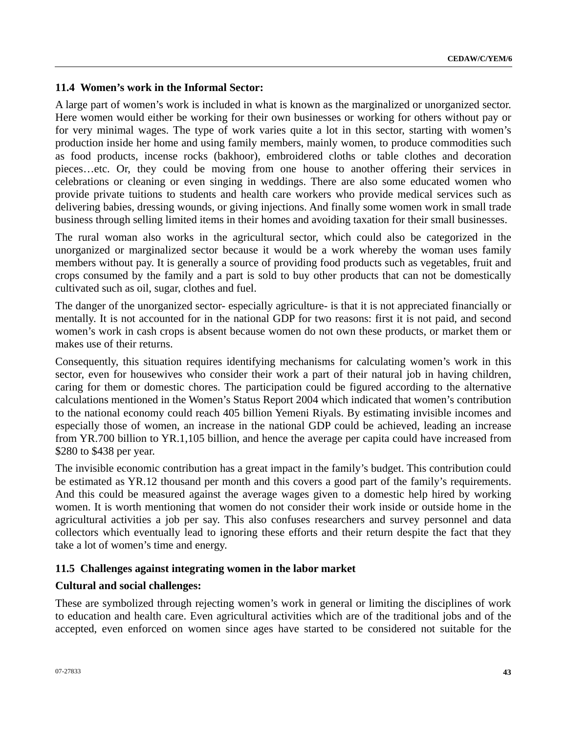## **11.4 Women's work in the Informal Sector:**

A large part of women's work is included in what is known as the marginalized or unorganized sector. Here women would either be working for their own businesses or working for others without pay or for very minimal wages. The type of work varies quite a lot in this sector, starting with women's production inside her home and using family members, mainly women, to produce commodities such as food products, incense rocks (bakhoor), embroidered cloths or table clothes and decoration pieces…etc. Or, they could be moving from one house to another offering their services in celebrations or cleaning or even singing in weddings. There are also some educated women who provide private tuitions to students and health care workers who provide medical services such as delivering babies, dressing wounds, or giving injections. And finally some women work in small trade business through selling limited items in their homes and avoiding taxation for their small businesses.

The rural woman also works in the agricultural sector, which could also be categorized in the unorganized or marginalized sector because it would be a work whereby the woman uses family members without pay. It is generally a source of providing food products such as vegetables, fruit and crops consumed by the family and a part is sold to buy other products that can not be domestically cultivated such as oil, sugar, clothes and fuel.

The danger of the unorganized sector- especially agriculture- is that it is not appreciated financially or mentally. It is not accounted for in the national GDP for two reasons: first it is not paid, and second women's work in cash crops is absent because women do not own these products, or market them or makes use of their returns.

Consequently, this situation requires identifying mechanisms for calculating women's work in this sector, even for housewives who consider their work a part of their natural job in having children, caring for them or domestic chores. The participation could be figured according to the alternative calculations mentioned in the Women's Status Report 2004 which indicated that women's contribution to the national economy could reach 405 billion Yemeni Riyals. By estimating invisible incomes and especially those of women, an increase in the national GDP could be achieved, leading an increase from YR.700 billion to YR.1,105 billion, and hence the average per capita could have increased from \$280 to \$438 per year.

The invisible economic contribution has a great impact in the family's budget. This contribution could be estimated as YR.12 thousand per month and this covers a good part of the family's requirements. And this could be measured against the average wages given to a domestic help hired by working women. It is worth mentioning that women do not consider their work inside or outside home in the agricultural activities a job per say. This also confuses researchers and survey personnel and data collectors which eventually lead to ignoring these efforts and their return despite the fact that they take a lot of women's time and energy.

## **11.5 Challenges against integrating women in the labor market**

## **Cultural and social challenges:**

These are symbolized through rejecting women's work in general or limiting the disciplines of work to education and health care. Even agricultural activities which are of the traditional jobs and of the accepted, even enforced on women since ages have started to be considered not suitable for the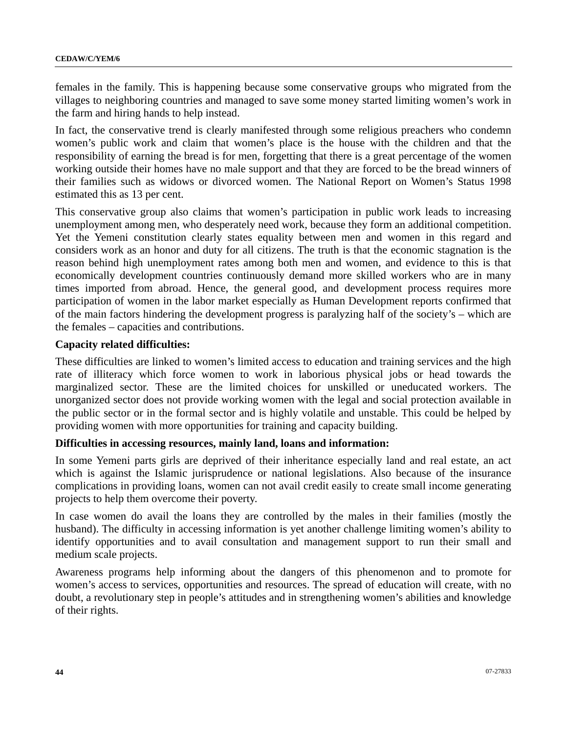females in the family. This is happening because some conservative groups who migrated from the villages to neighboring countries and managed to save some money started limiting women's work in the farm and hiring hands to help instead.

In fact, the conservative trend is clearly manifested through some religious preachers who condemn women's public work and claim that women's place is the house with the children and that the responsibility of earning the bread is for men, forgetting that there is a great percentage of the women working outside their homes have no male support and that they are forced to be the bread winners of their families such as widows or divorced women. The National Report on Women's Status 1998 estimated this as 13 per cent.

This conservative group also claims that women's participation in public work leads to increasing unemployment among men, who desperately need work, because they form an additional competition. Yet the Yemeni constitution clearly states equality between men and women in this regard and considers work as an honor and duty for all citizens. The truth is that the economic stagnation is the reason behind high unemployment rates among both men and women, and evidence to this is that economically development countries continuously demand more skilled workers who are in many times imported from abroad. Hence, the general good, and development process requires more participation of women in the labor market especially as Human Development reports confirmed that of the main factors hindering the development progress is paralyzing half of the society's – which are the females – capacities and contributions.

#### **Capacity related difficulties:**

These difficulties are linked to women's limited access to education and training services and the high rate of illiteracy which force women to work in laborious physical jobs or head towards the marginalized sector. These are the limited choices for unskilled or uneducated workers. The unorganized sector does not provide working women with the legal and social protection available in the public sector or in the formal sector and is highly volatile and unstable. This could be helped by providing women with more opportunities for training and capacity building.

## **Difficulties in accessing resources, mainly land, loans and information:**

In some Yemeni parts girls are deprived of their inheritance especially land and real estate, an act which is against the Islamic jurisprudence or national legislations. Also because of the insurance complications in providing loans, women can not avail credit easily to create small income generating projects to help them overcome their poverty.

In case women do avail the loans they are controlled by the males in their families (mostly the husband). The difficulty in accessing information is yet another challenge limiting women's ability to identify opportunities and to avail consultation and management support to run their small and medium scale projects.

Awareness programs help informing about the dangers of this phenomenon and to promote for women's access to services, opportunities and resources. The spread of education will create, with no doubt, a revolutionary step in people's attitudes and in strengthening women's abilities and knowledge of their rights.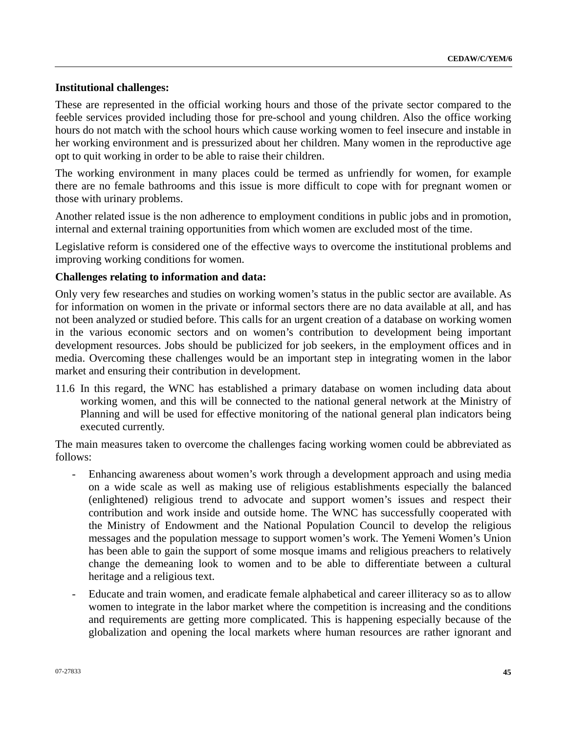#### **Institutional challenges:**

These are represented in the official working hours and those of the private sector compared to the feeble services provided including those for pre-school and young children. Also the office working hours do not match with the school hours which cause working women to feel insecure and instable in her working environment and is pressurized about her children. Many women in the reproductive age opt to quit working in order to be able to raise their children.

The working environment in many places could be termed as unfriendly for women, for example there are no female bathrooms and this issue is more difficult to cope with for pregnant women or those with urinary problems.

Another related issue is the non adherence to employment conditions in public jobs and in promotion, internal and external training opportunities from which women are excluded most of the time.

Legislative reform is considered one of the effective ways to overcome the institutional problems and improving working conditions for women.

#### **Challenges relating to information and data:**

Only very few researches and studies on working women's status in the public sector are available. As for information on women in the private or informal sectors there are no data available at all, and has not been analyzed or studied before. This calls for an urgent creation of a database on working women in the various economic sectors and on women's contribution to development being important development resources. Jobs should be publicized for job seekers, in the employment offices and in media. Overcoming these challenges would be an important step in integrating women in the labor market and ensuring their contribution in development.

11.6 In this regard, the WNC has established a primary database on women including data about working women, and this will be connected to the national general network at the Ministry of Planning and will be used for effective monitoring of the national general plan indicators being executed currently.

The main measures taken to overcome the challenges facing working women could be abbreviated as follows:

- Enhancing awareness about women's work through a development approach and using media on a wide scale as well as making use of religious establishments especially the balanced (enlightened) religious trend to advocate and support women's issues and respect their contribution and work inside and outside home. The WNC has successfully cooperated with the Ministry of Endowment and the National Population Council to develop the religious messages and the population message to support women's work. The Yemeni Women's Union has been able to gain the support of some mosque imams and religious preachers to relatively change the demeaning look to women and to be able to differentiate between a cultural heritage and a religious text.
- Educate and train women, and eradicate female alphabetical and career illiteracy so as to allow women to integrate in the labor market where the competition is increasing and the conditions and requirements are getting more complicated. This is happening especially because of the globalization and opening the local markets where human resources are rather ignorant and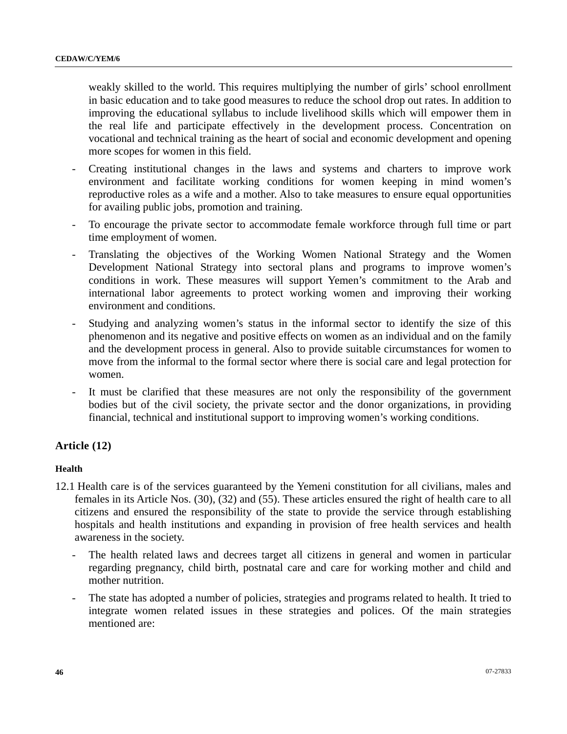weakly skilled to the world. This requires multiplying the number of girls' school enrollment in basic education and to take good measures to reduce the school drop out rates. In addition to improving the educational syllabus to include livelihood skills which will empower them in the real life and participate effectively in the development process. Concentration on vocational and technical training as the heart of social and economic development and opening more scopes for women in this field.

- Creating institutional changes in the laws and systems and charters to improve work environment and facilitate working conditions for women keeping in mind women's reproductive roles as a wife and a mother. Also to take measures to ensure equal opportunities for availing public jobs, promotion and training.
- To encourage the private sector to accommodate female workforce through full time or part time employment of women.
- Translating the objectives of the Working Women National Strategy and the Women Development National Strategy into sectoral plans and programs to improve women's conditions in work. These measures will support Yemen's commitment to the Arab and international labor agreements to protect working women and improving their working environment and conditions.
- Studying and analyzing women's status in the informal sector to identify the size of this phenomenon and its negative and positive effects on women as an individual and on the family and the development process in general. Also to provide suitable circumstances for women to move from the informal to the formal sector where there is social care and legal protection for women.
- It must be clarified that these measures are not only the responsibility of the government bodies but of the civil society, the private sector and the donor organizations, in providing financial, technical and institutional support to improving women's working conditions.

## **Article (12)**

#### **Health**

- 12.1 Health care is of the services guaranteed by the Yemeni constitution for all civilians, males and females in its Article Nos. (30), (32) and (55). These articles ensured the right of health care to all citizens and ensured the responsibility of the state to provide the service through establishing hospitals and health institutions and expanding in provision of free health services and health awareness in the society.
	- The health related laws and decrees target all citizens in general and women in particular regarding pregnancy, child birth, postnatal care and care for working mother and child and mother nutrition.
	- The state has adopted a number of policies, strategies and programs related to health. It tried to integrate women related issues in these strategies and polices. Of the main strategies mentioned are: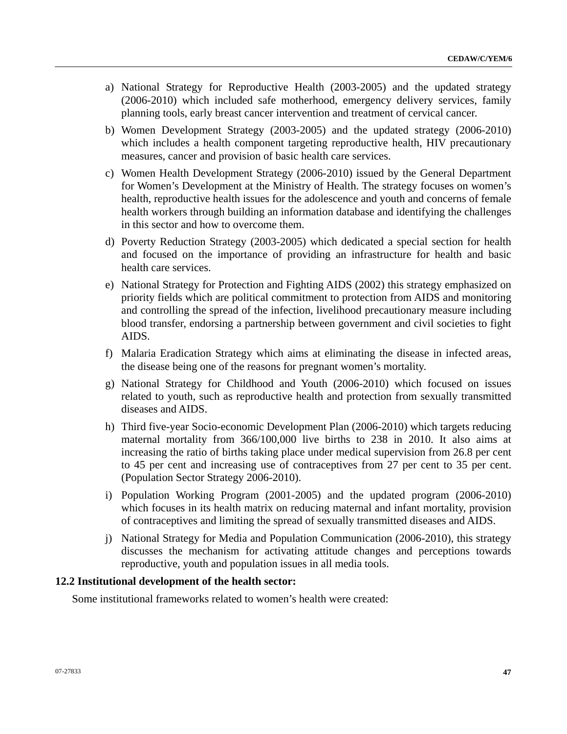- a) National Strategy for Reproductive Health (2003-2005) and the updated strategy (2006-2010) which included safe motherhood, emergency delivery services, family planning tools, early breast cancer intervention and treatment of cervical cancer.
- b) Women Development Strategy (2003-2005) and the updated strategy (2006-2010) which includes a health component targeting reproductive health, HIV precautionary measures, cancer and provision of basic health care services.
- c) Women Health Development Strategy (2006-2010) issued by the General Department for Women's Development at the Ministry of Health. The strategy focuses on women's health, reproductive health issues for the adolescence and youth and concerns of female health workers through building an information database and identifying the challenges in this sector and how to overcome them.
- d) Poverty Reduction Strategy (2003-2005) which dedicated a special section for health and focused on the importance of providing an infrastructure for health and basic health care services.
- e) National Strategy for Protection and Fighting AIDS (2002) this strategy emphasized on priority fields which are political commitment to protection from AIDS and monitoring and controlling the spread of the infection, livelihood precautionary measure including blood transfer, endorsing a partnership between government and civil societies to fight AIDS.
- f) Malaria Eradication Strategy which aims at eliminating the disease in infected areas, the disease being one of the reasons for pregnant women's mortality.
- g) National Strategy for Childhood and Youth (2006-2010) which focused on issues related to youth, such as reproductive health and protection from sexually transmitted diseases and AIDS.
- h) Third five-year Socio-economic Development Plan (2006-2010) which targets reducing maternal mortality from 366/100,000 live births to 238 in 2010. It also aims at increasing the ratio of births taking place under medical supervision from 26.8 per cent to 45 per cent and increasing use of contraceptives from 27 per cent to 35 per cent. (Population Sector Strategy 2006-2010).
- i) Population Working Program (2001-2005) and the updated program (2006-2010) which focuses in its health matrix on reducing maternal and infant mortality, provision of contraceptives and limiting the spread of sexually transmitted diseases and AIDS.
- j) National Strategy for Media and Population Communication (2006-2010), this strategy discusses the mechanism for activating attitude changes and perceptions towards reproductive, youth and population issues in all media tools.

#### **12.2 Institutional development of the health sector:**

Some institutional frameworks related to women's health were created: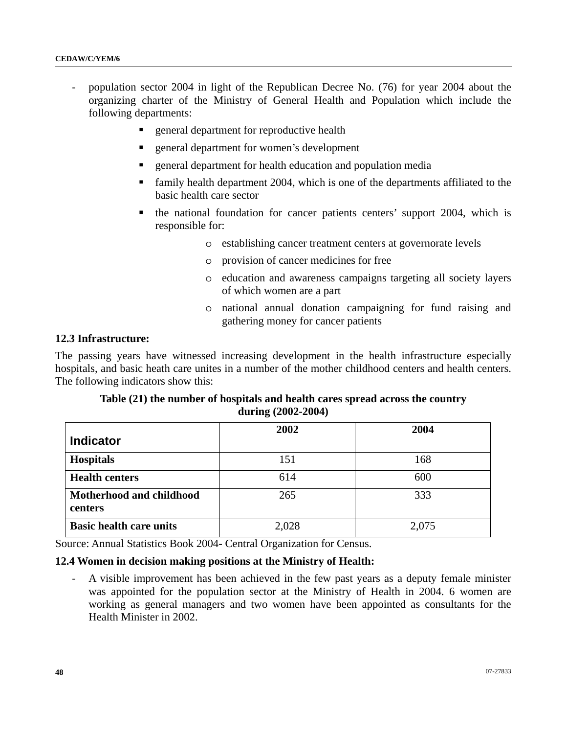- population sector 2004 in light of the Republican Decree No. (76) for year 2004 about the organizing charter of the Ministry of General Health and Population which include the following departments:
	- general department for reproductive health
	- general department for women's development
	- general department for health education and population media
	- family health department 2004, which is one of the departments affiliated to the basic health care sector
	- the national foundation for cancer patients centers' support 2004, which is responsible for:
		- o establishing cancer treatment centers at governorate levels
		- o provision of cancer medicines for free
		- o education and awareness campaigns targeting all society layers of which women are a part
		- o national annual donation campaigning for fund raising and gathering money for cancer patients

#### **12.3 Infrastructure:**

The passing years have witnessed increasing development in the health infrastructure especially hospitals, and basic heath care unites in a number of the mother childhood centers and health centers. The following indicators show this:

## **Table (21) the number of hospitals and health cares spread across the country during (2002-2004)**

|                                            | 2002  | 2004  |
|--------------------------------------------|-------|-------|
| <b>Indicator</b>                           |       |       |
| <b>Hospitals</b>                           | 151   | 168   |
| <b>Health centers</b>                      | 614   | 600   |
| <b>Motherhood and childhood</b><br>centers | 265   | 333   |
| <b>Basic health care units</b>             | 2,028 | 2,075 |

Source: Annual Statistics Book 2004- Central Organization for Census.

#### **12.4 Women in decision making positions at the Ministry of Health:**

- A visible improvement has been achieved in the few past years as a deputy female minister was appointed for the population sector at the Ministry of Health in 2004. 6 women are working as general managers and two women have been appointed as consultants for the Health Minister in 2002.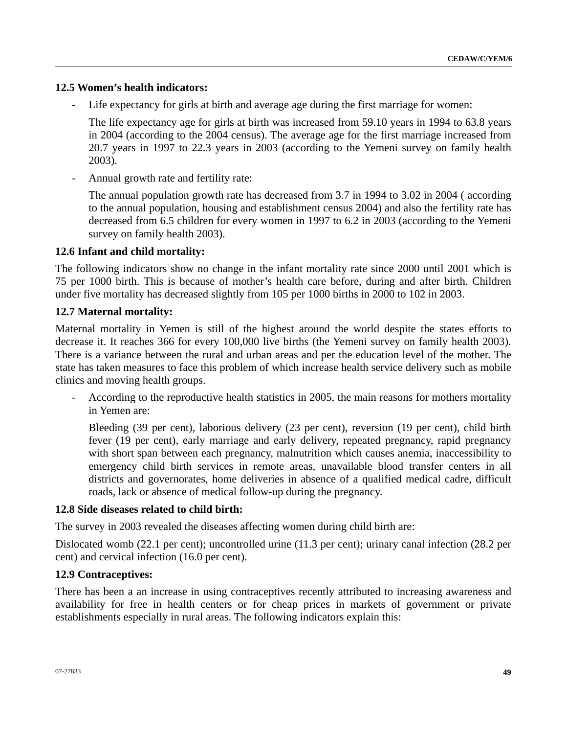## **12.5 Women's health indicators:**

- Life expectancy for girls at birth and average age during the first marriage for women:

The life expectancy age for girls at birth was increased from 59.10 years in 1994 to 63.8 years in 2004 (according to the 2004 census). The average age for the first marriage increased from 20.7 years in 1997 to 22.3 years in 2003 (according to the Yemeni survey on family health 2003).

- Annual growth rate and fertility rate:

The annual population growth rate has decreased from 3.7 in 1994 to 3.02 in 2004 ( according to the annual population, housing and establishment census 2004) and also the fertility rate has decreased from 6.5 children for every women in 1997 to 6.2 in 2003 (according to the Yemeni survey on family health 2003).

#### **12.6 Infant and child mortality:**

The following indicators show no change in the infant mortality rate since 2000 until 2001 which is 75 per 1000 birth. This is because of mother's health care before, during and after birth. Children under five mortality has decreased slightly from 105 per 1000 births in 2000 to 102 in 2003.

#### **12.7 Maternal mortality:**

Maternal mortality in Yemen is still of the highest around the world despite the states efforts to decrease it. It reaches 366 for every 100,000 live births (the Yemeni survey on family health 2003). There is a variance between the rural and urban areas and per the education level of the mother. The state has taken measures to face this problem of which increase health service delivery such as mobile clinics and moving health groups.

- According to the reproductive health statistics in 2005, the main reasons for mothers mortality in Yemen are:

Bleeding (39 per cent), laborious delivery (23 per cent), reversion (19 per cent), child birth fever (19 per cent), early marriage and early delivery, repeated pregnancy, rapid pregnancy with short span between each pregnancy, malnutrition which causes anemia, inaccessibility to emergency child birth services in remote areas, unavailable blood transfer centers in all districts and governorates, home deliveries in absence of a qualified medical cadre, difficult roads, lack or absence of medical follow-up during the pregnancy.

#### **12.8 Side diseases related to child birth:**

The survey in 2003 revealed the diseases affecting women during child birth are:

Dislocated womb (22.1 per cent); uncontrolled urine (11.3 per cent); urinary canal infection (28.2 per cent) and cervical infection (16.0 per cent).

## **12.9 Contraceptives:**

There has been a an increase in using contraceptives recently attributed to increasing awareness and availability for free in health centers or for cheap prices in markets of government or private establishments especially in rural areas. The following indicators explain this: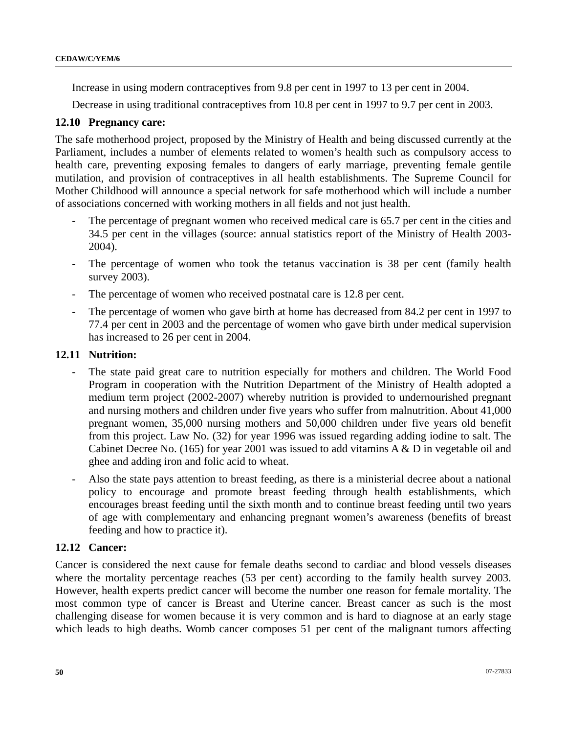Increase in using modern contraceptives from 9.8 per cent in 1997 to 13 per cent in 2004.

Decrease in using traditional contraceptives from 10.8 per cent in 1997 to 9.7 per cent in 2003.

#### **12.10 Pregnancy care:**

The safe motherhood project, proposed by the Ministry of Health and being discussed currently at the Parliament, includes a number of elements related to women's health such as compulsory access to health care, preventing exposing females to dangers of early marriage, preventing female gentile mutilation, and provision of contraceptives in all health establishments. The Supreme Council for Mother Childhood will announce a special network for safe motherhood which will include a number of associations concerned with working mothers in all fields and not just health.

- The percentage of pregnant women who received medical care is 65.7 per cent in the cities and 34.5 per cent in the villages (source: annual statistics report of the Ministry of Health 2003- 2004).
- The percentage of women who took the tetanus vaccination is 38 per cent (family health survey 2003).
- The percentage of women who received postnatal care is 12.8 per cent.
- The percentage of women who gave birth at home has decreased from 84.2 per cent in 1997 to 77.4 per cent in 2003 and the percentage of women who gave birth under medical supervision has increased to 26 per cent in 2004.

#### **12.11 Nutrition:**

- The state paid great care to nutrition especially for mothers and children. The World Food Program in cooperation with the Nutrition Department of the Ministry of Health adopted a medium term project (2002-2007) whereby nutrition is provided to undernourished pregnant and nursing mothers and children under five years who suffer from malnutrition. About 41,000 pregnant women, 35,000 nursing mothers and 50,000 children under five years old benefit from this project. Law No. (32) for year 1996 was issued regarding adding iodine to salt. The Cabinet Decree No. (165) for year 2001 was issued to add vitamins  $A \& D$  in vegetable oil and ghee and adding iron and folic acid to wheat.
- Also the state pays attention to breast feeding, as there is a ministerial decree about a national policy to encourage and promote breast feeding through health establishments, which encourages breast feeding until the sixth month and to continue breast feeding until two years of age with complementary and enhancing pregnant women's awareness (benefits of breast feeding and how to practice it).

#### **12.12 Cancer:**

Cancer is considered the next cause for female deaths second to cardiac and blood vessels diseases where the mortality percentage reaches (53 per cent) according to the family health survey 2003. However, health experts predict cancer will become the number one reason for female mortality. The most common type of cancer is Breast and Uterine cancer. Breast cancer as such is the most challenging disease for women because it is very common and is hard to diagnose at an early stage which leads to high deaths. Womb cancer composes 51 per cent of the malignant tumors affecting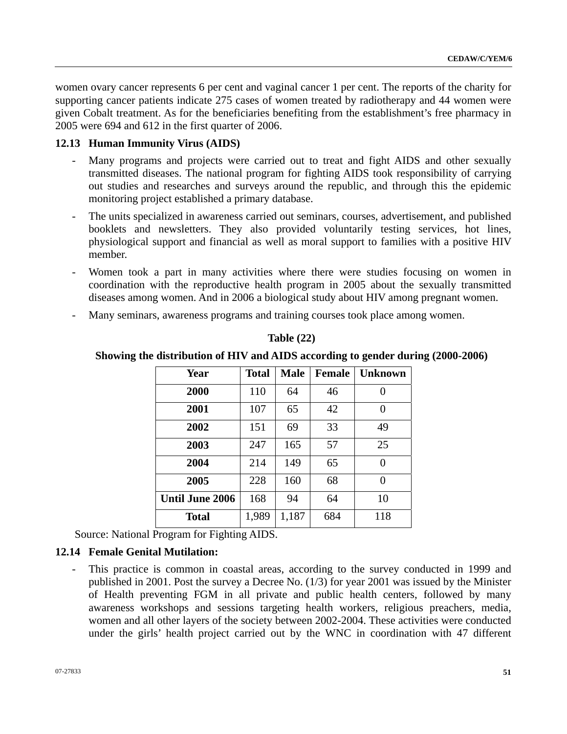women ovary cancer represents 6 per cent and vaginal cancer 1 per cent. The reports of the charity for supporting cancer patients indicate 275 cases of women treated by radiotherapy and 44 women were given Cobalt treatment. As for the beneficiaries benefiting from the establishment's free pharmacy in 2005 were 694 and 612 in the first quarter of 2006.

#### **12.13 Human Immunity Virus (AIDS)**

- Many programs and projects were carried out to treat and fight AIDS and other sexually transmitted diseases. The national program for fighting AIDS took responsibility of carrying out studies and researches and surveys around the republic, and through this the epidemic monitoring project established a primary database.
- The units specialized in awareness carried out seminars, courses, advertisement, and published booklets and newsletters. They also provided voluntarily testing services, hot lines, physiological support and financial as well as moral support to families with a positive HIV member.
- Women took a part in many activities where there were studies focusing on women in coordination with the reproductive health program in 2005 about the sexually transmitted diseases among women. And in 2006 a biological study about HIV among pregnant women.
- Many seminars, awareness programs and training courses took place among women.

| Table (22 |  |
|-----------|--|
|-----------|--|

**Showing the distribution of HIV and AIDS according to gender during (2000-2006)** 

| Year                   | <b>Total</b> | <b>Male</b> | <b>Female</b> | <b>Unknown</b> |
|------------------------|--------------|-------------|---------------|----------------|
| 2000                   | 110          | 64          | 46            |                |
| 2001                   | 107          | 65          | 42            | 0              |
| 2002                   | 151          | 69          | 33            | 49             |
| 2003                   | 247          | 165         | 57            | 25             |
| 2004                   | 214          | 149         | 65            |                |
| 2005                   | 228          | 160         | 68            | 0              |
| <b>Until June 2006</b> | 168          | 94          | 64            | 10             |
| <b>Total</b>           | 1,989        | 1,187       | 684           | 118            |

Source: National Program for Fighting AIDS.

## **12.14 Female Genital Mutilation:**

- This practice is common in coastal areas, according to the survey conducted in 1999 and published in 2001. Post the survey a Decree No. (1/3) for year 2001 was issued by the Minister of Health preventing FGM in all private and public health centers, followed by many awareness workshops and sessions targeting health workers, religious preachers, media, women and all other layers of the society between 2002-2004. These activities were conducted under the girls' health project carried out by the WNC in coordination with 47 different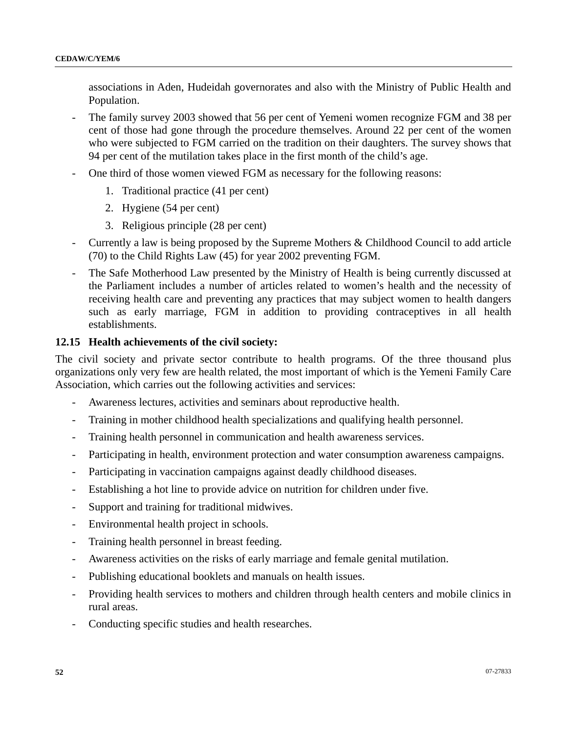associations in Aden, Hudeidah governorates and also with the Ministry of Public Health and Population.

- The family survey 2003 showed that 56 per cent of Yemeni women recognize FGM and 38 per cent of those had gone through the procedure themselves. Around 22 per cent of the women who were subjected to FGM carried on the tradition on their daughters. The survey shows that 94 per cent of the mutilation takes place in the first month of the child's age.
- One third of those women viewed FGM as necessary for the following reasons:
	- 1. Traditional practice (41 per cent)
	- 2. Hygiene (54 per cent)
	- 3. Religious principle (28 per cent)
- Currently a law is being proposed by the Supreme Mothers & Childhood Council to add article (70) to the Child Rights Law (45) for year 2002 preventing FGM.
- The Safe Motherhood Law presented by the Ministry of Health is being currently discussed at the Parliament includes a number of articles related to women's health and the necessity of receiving health care and preventing any practices that may subject women to health dangers such as early marriage, FGM in addition to providing contraceptives in all health establishments.

#### **12.15 Health achievements of the civil society:**

The civil society and private sector contribute to health programs. Of the three thousand plus organizations only very few are health related, the most important of which is the Yemeni Family Care Association, which carries out the following activities and services:

- Awareness lectures, activities and seminars about reproductive health.
- Training in mother childhood health specializations and qualifying health personnel.
- Training health personnel in communication and health awareness services.
- Participating in health, environment protection and water consumption awareness campaigns.
- Participating in vaccination campaigns against deadly childhood diseases.
- Establishing a hot line to provide advice on nutrition for children under five.
- Support and training for traditional midwives.
- Environmental health project in schools.
- Training health personnel in breast feeding.
- Awareness activities on the risks of early marriage and female genital mutilation.
- Publishing educational booklets and manuals on health issues.
- Providing health services to mothers and children through health centers and mobile clinics in rural areas.
- Conducting specific studies and health researches.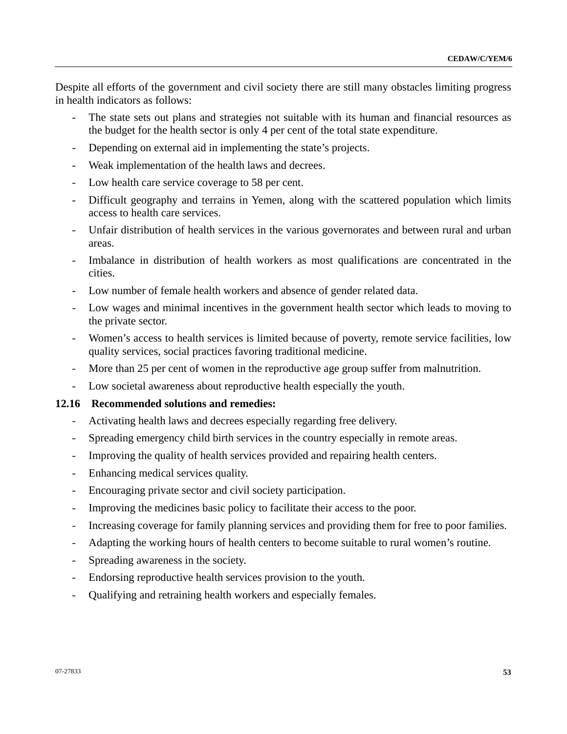Despite all efforts of the government and civil society there are still many obstacles limiting progress in health indicators as follows:

- The state sets out plans and strategies not suitable with its human and financial resources as the budget for the health sector is only 4 per cent of the total state expenditure.
- Depending on external aid in implementing the state's projects.
- Weak implementation of the health laws and decrees.
- Low health care service coverage to 58 per cent.
- Difficult geography and terrains in Yemen, along with the scattered population which limits access to health care services.
- Unfair distribution of health services in the various governorates and between rural and urban areas.
- Imbalance in distribution of health workers as most qualifications are concentrated in the cities.
- Low number of female health workers and absence of gender related data.
- Low wages and minimal incentives in the government health sector which leads to moving to the private sector.
- Women's access to health services is limited because of poverty, remote service facilities, low quality services, social practices favoring traditional medicine.
- More than 25 per cent of women in the reproductive age group suffer from malnutrition.
- Low societal awareness about reproductive health especially the youth.

#### **12.16 Recommended solutions and remedies:**

- Activating health laws and decrees especially regarding free delivery.
- Spreading emergency child birth services in the country especially in remote areas.
- Improving the quality of health services provided and repairing health centers.
- Enhancing medical services quality.
- Encouraging private sector and civil society participation.
- Improving the medicines basic policy to facilitate their access to the poor.
- Increasing coverage for family planning services and providing them for free to poor families.
- Adapting the working hours of health centers to become suitable to rural women's routine.
- Spreading awareness in the society.
- Endorsing reproductive health services provision to the youth.
- Qualifying and retraining health workers and especially females.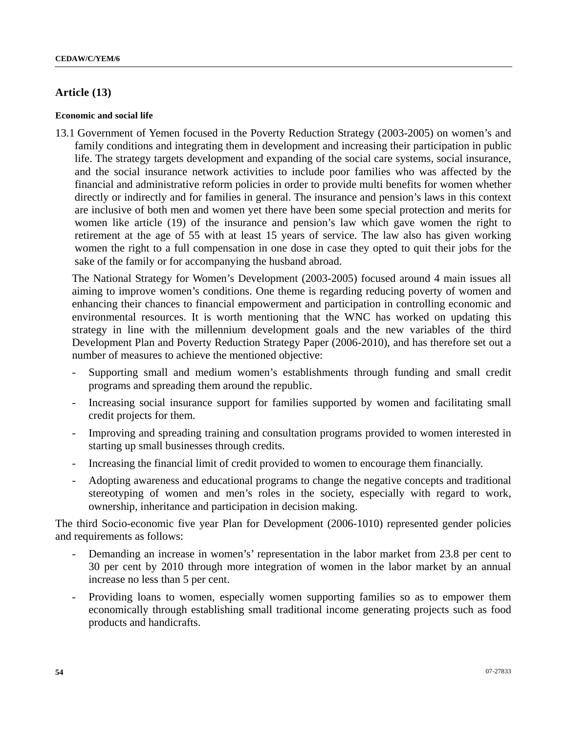## **Article (13)**

#### **Economic and social life**

13.1 Government of Yemen focused in the Poverty Reduction Strategy (2003-2005) on women's and family conditions and integrating them in development and increasing their participation in public life. The strategy targets development and expanding of the social care systems, social insurance, and the social insurance network activities to include poor families who was affected by the financial and administrative reform policies in order to provide multi benefits for women whether directly or indirectly and for families in general. The insurance and pension's laws in this context are inclusive of both men and women yet there have been some special protection and merits for women like article (19) of the insurance and pension's law which gave women the right to retirement at the age of 55 with at least 15 years of service. The law also has given working women the right to a full compensation in one dose in case they opted to quit their jobs for the sake of the family or for accompanying the husband abroad.

The National Strategy for Women's Development (2003-2005) focused around 4 main issues all aiming to improve women's conditions. One theme is regarding reducing poverty of women and enhancing their chances to financial empowerment and participation in controlling economic and environmental resources. It is worth mentioning that the WNC has worked on updating this strategy in line with the millennium development goals and the new variables of the third Development Plan and Poverty Reduction Strategy Paper (2006-2010), and has therefore set out a number of measures to achieve the mentioned objective:

- Supporting small and medium women's establishments through funding and small credit programs and spreading them around the republic.
- Increasing social insurance support for families supported by women and facilitating small credit projects for them.
- Improving and spreading training and consultation programs provided to women interested in starting up small businesses through credits.
- Increasing the financial limit of credit provided to women to encourage them financially.
- Adopting awareness and educational programs to change the negative concepts and traditional stereotyping of women and men's roles in the society, especially with regard to work, ownership, inheritance and participation in decision making.

The third Socio-economic five year Plan for Development (2006-1010) represented gender policies and requirements as follows:

- Demanding an increase in women's' representation in the labor market from 23.8 per cent to 30 per cent by 2010 through more integration of women in the labor market by an annual increase no less than 5 per cent.
- Providing loans to women, especially women supporting families so as to empower them economically through establishing small traditional income generating projects such as food products and handicrafts.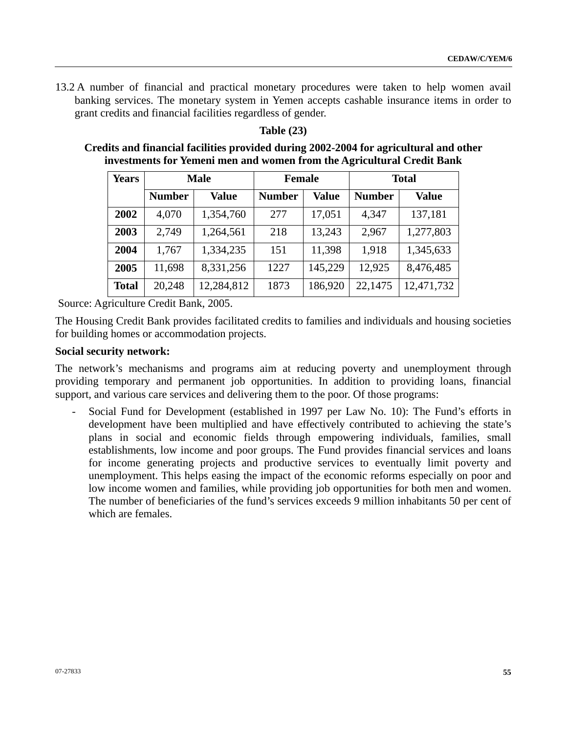13.2 A number of financial and practical monetary procedures were taken to help women avail banking services. The monetary system in Yemen accepts cashable insurance items in order to grant credits and financial facilities regardless of gender.

| <b>Years</b> |               | <b>Male</b>  | <b>Female</b> |         |               | <b>Total</b> |
|--------------|---------------|--------------|---------------|---------|---------------|--------------|
|              | <b>Number</b> | <b>Value</b> | <b>Number</b> | Value   | <b>Number</b> | <b>Value</b> |
| 2002         | 4,070         | 1,354,760    | 277           | 17,051  | 4,347         | 137,181      |
| 2003         | 2,749         | 1,264,561    | 218           | 13,243  | 2,967         | 1,277,803    |
| 2004         | 1,767         | 1,334,235    | 151           | 11,398  | 1,918         | 1,345,633    |
| 2005         | 11,698        | 8,331,256    | 1227          | 145,229 | 12,925        | 8,476,485    |
| <b>Total</b> | 20,248        | 12,284,812   | 1873          | 186,920 | 22,1475       | 12,471,732   |

## **Table (23)**

**Credits and financial facilities provided during 2002-2004 for agricultural and other investments for Yemeni men and women from the Agricultural Credit Bank** 

Source: Agriculture Credit Bank, 2005.

The Housing Credit Bank provides facilitated credits to families and individuals and housing societies for building homes or accommodation projects.

#### **Social security network:**

The network's mechanisms and programs aim at reducing poverty and unemployment through providing temporary and permanent job opportunities. In addition to providing loans, financial support, and various care services and delivering them to the poor. Of those programs:

Social Fund for Development (established in 1997 per Law No. 10): The Fund's efforts in development have been multiplied and have effectively contributed to achieving the state's plans in social and economic fields through empowering individuals, families, small establishments, low income and poor groups. The Fund provides financial services and loans for income generating projects and productive services to eventually limit poverty and unemployment. This helps easing the impact of the economic reforms especially on poor and low income women and families, while providing job opportunities for both men and women. The number of beneficiaries of the fund's services exceeds 9 million inhabitants 50 per cent of which are females.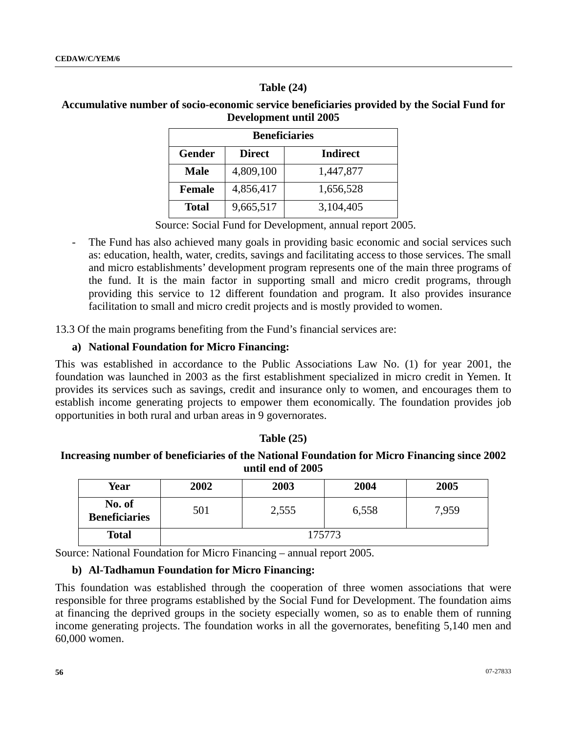## **Table (24)**

## **Accumulative number of socio-economic service beneficiaries provided by the Social Fund for Development until 2005**

| <b>Beneficiaries</b> |               |           |  |  |  |
|----------------------|---------------|-----------|--|--|--|
| <b>Gender</b>        | <b>Direct</b> | Indirect  |  |  |  |
| <b>Male</b>          | 4,809,100     | 1,447,877 |  |  |  |
| <b>Female</b>        | 4,856,417     | 1,656,528 |  |  |  |
| <b>Total</b>         | 9,665,517     | 3,104,405 |  |  |  |

Source: Social Fund for Development, annual report 2005.

- The Fund has also achieved many goals in providing basic economic and social services such as: education, health, water, credits, savings and facilitating access to those services. The small and micro establishments' development program represents one of the main three programs of the fund. It is the main factor in supporting small and micro credit programs, through providing this service to 12 different foundation and program. It also provides insurance facilitation to small and micro credit projects and is mostly provided to women.

13.3 Of the main programs benefiting from the Fund's financial services are:

## **a) National Foundation for Micro Financing:**

This was established in accordance to the Public Associations Law No. (1) for year 2001, the foundation was launched in 2003 as the first establishment specialized in micro credit in Yemen. It provides its services such as savings, credit and insurance only to women, and encourages them to establish income generating projects to empower them economically. The foundation provides job opportunities in both rural and urban areas in 9 governorates.

## **Table (25)**

**Increasing number of beneficiaries of the National Foundation for Micro Financing since 2002 until end of 2005** 

| Year                           | 2002   | 2003  | 2004  | 2005  |
|--------------------------------|--------|-------|-------|-------|
| No. of<br><b>Beneficiaries</b> | 501    | 2,555 | 6,558 | 7,959 |
| <b>Total</b>                   | 175773 |       |       |       |

Source: National Foundation for Micro Financing – annual report 2005.

## **b) Al-Tadhamun Foundation for Micro Financing:**

This foundation was established through the cooperation of three women associations that were responsible for three programs established by the Social Fund for Development. The foundation aims at financing the deprived groups in the society especially women, so as to enable them of running income generating projects. The foundation works in all the governorates, benefiting 5,140 men and 60,000 women.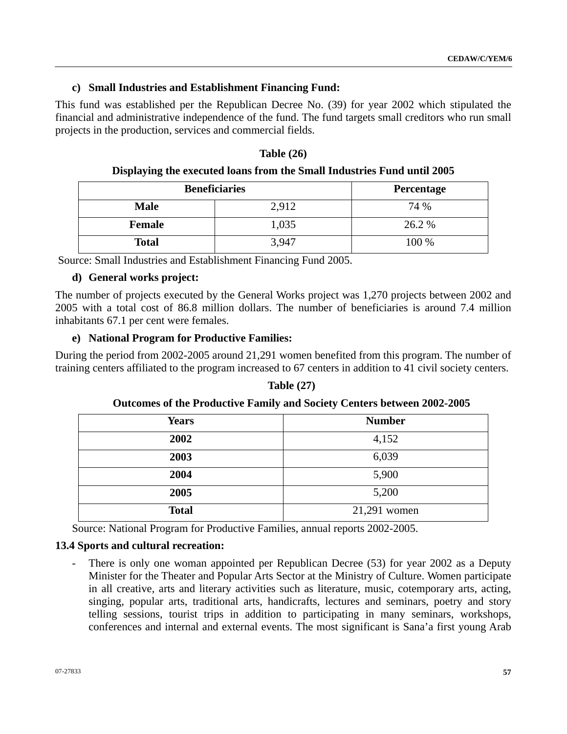## **c) Small Industries and Establishment Financing Fund:**

This fund was established per the Republican Decree No. (39) for year 2002 which stipulated the financial and administrative independence of the fund. The fund targets small creditors who run small projects in the production, services and commercial fields.

## **Table (26)**

## **Displaying the executed loans from the Small Industries Fund until 2005**

| <b>Beneficiaries</b> | Percentage |        |
|----------------------|------------|--------|
| <b>Male</b>          | 2,912      | 74 %   |
| <b>Female</b>        | 1,035      | 26.2 % |
| <b>Total</b>         | 3,947      | 100 %  |

Source: Small Industries and Establishment Financing Fund 2005.

## **d) General works project:**

The number of projects executed by the General Works project was 1,270 projects between 2002 and 2005 with a total cost of 86.8 million dollars. The number of beneficiaries is around 7.4 million inhabitants 67.1 per cent were females.

## **e) National Program for Productive Families:**

During the period from 2002-2005 around 21,291 women benefited from this program. The number of training centers affiliated to the program increased to 67 centers in addition to 41 civil society centers.

## **Table (27)**

## **Outcomes of the Productive Family and Society Centers between 2002-2005**

| <b>Years</b> | <b>Number</b> |
|--------------|---------------|
| 2002         | 4,152         |
| 2003         | 6,039         |
| 2004         | 5,900         |
| 2005         | 5,200         |
| <b>Total</b> | 21,291 women  |

Source: National Program for Productive Families, annual reports 2002-2005.

## **13.4 Sports and cultural recreation:**

- There is only one woman appointed per Republican Decree (53) for year 2002 as a Deputy Minister for the Theater and Popular Arts Sector at the Ministry of Culture. Women participate in all creative, arts and literary activities such as literature, music, cotemporary arts, acting, singing, popular arts, traditional arts, handicrafts, lectures and seminars, poetry and story telling sessions, tourist trips in addition to participating in many seminars, workshops, conferences and internal and external events. The most significant is Sana'a first young Arab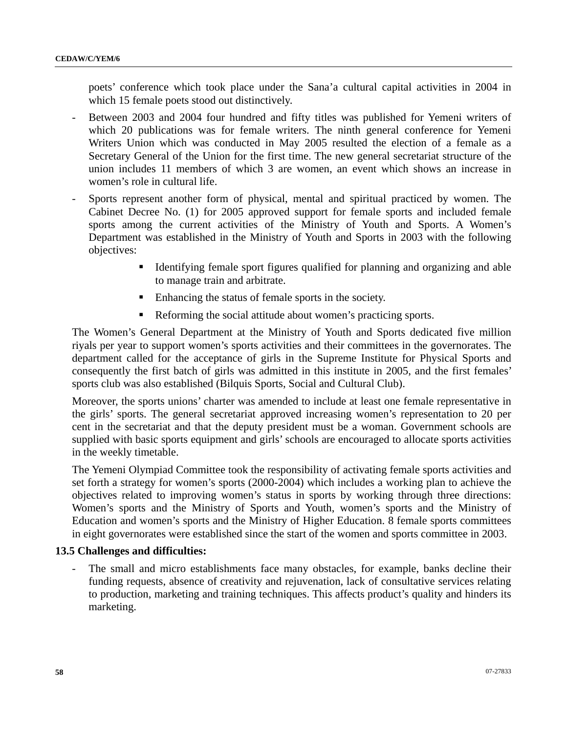poets' conference which took place under the Sana'a cultural capital activities in 2004 in which 15 female poets stood out distinctively.

- Between 2003 and 2004 four hundred and fifty titles was published for Yemeni writers of which 20 publications was for female writers. The ninth general conference for Yemeni Writers Union which was conducted in May 2005 resulted the election of a female as a Secretary General of the Union for the first time. The new general secretariat structure of the union includes 11 members of which 3 are women, an event which shows an increase in women's role in cultural life.
- Sports represent another form of physical, mental and spiritual practiced by women. The Cabinet Decree No. (1) for 2005 approved support for female sports and included female sports among the current activities of the Ministry of Youth and Sports. A Women's Department was established in the Ministry of Youth and Sports in 2003 with the following objectives:
	- Identifying female sport figures qualified for planning and organizing and able to manage train and arbitrate.
	- Enhancing the status of female sports in the society.
	- Reforming the social attitude about women's practicing sports.

The Women's General Department at the Ministry of Youth and Sports dedicated five million riyals per year to support women's sports activities and their committees in the governorates. The department called for the acceptance of girls in the Supreme Institute for Physical Sports and consequently the first batch of girls was admitted in this institute in 2005, and the first females' sports club was also established (Bilquis Sports, Social and Cultural Club).

Moreover, the sports unions' charter was amended to include at least one female representative in the girls' sports. The general secretariat approved increasing women's representation to 20 per cent in the secretariat and that the deputy president must be a woman. Government schools are supplied with basic sports equipment and girls' schools are encouraged to allocate sports activities in the weekly timetable.

The Yemeni Olympiad Committee took the responsibility of activating female sports activities and set forth a strategy for women's sports (2000-2004) which includes a working plan to achieve the objectives related to improving women's status in sports by working through three directions: Women's sports and the Ministry of Sports and Youth, women's sports and the Ministry of Education and women's sports and the Ministry of Higher Education. 8 female sports committees in eight governorates were established since the start of the women and sports committee in 2003.

## **13.5 Challenges and difficulties:**

- The small and micro establishments face many obstacles, for example, banks decline their funding requests, absence of creativity and rejuvenation, lack of consultative services relating to production, marketing and training techniques. This affects product's quality and hinders its marketing.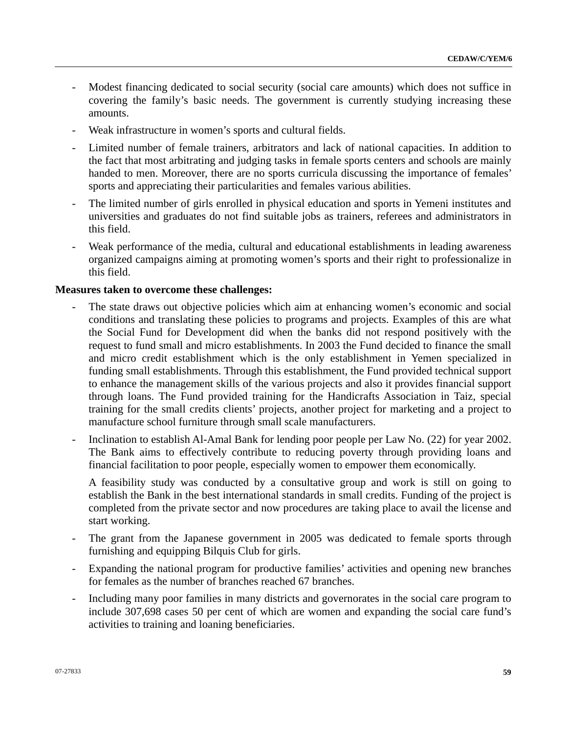- Modest financing dedicated to social security (social care amounts) which does not suffice in covering the family's basic needs. The government is currently studying increasing these amounts.
- Weak infrastructure in women's sports and cultural fields.
- Limited number of female trainers, arbitrators and lack of national capacities. In addition to the fact that most arbitrating and judging tasks in female sports centers and schools are mainly handed to men. Moreover, there are no sports curricula discussing the importance of females' sports and appreciating their particularities and females various abilities.
- The limited number of girls enrolled in physical education and sports in Yemeni institutes and universities and graduates do not find suitable jobs as trainers, referees and administrators in this field.
- Weak performance of the media, cultural and educational establishments in leading awareness organized campaigns aiming at promoting women's sports and their right to professionalize in this field.

#### **Measures taken to overcome these challenges:**

- The state draws out objective policies which aim at enhancing women's economic and social conditions and translating these policies to programs and projects. Examples of this are what the Social Fund for Development did when the banks did not respond positively with the request to fund small and micro establishments. In 2003 the Fund decided to finance the small and micro credit establishment which is the only establishment in Yemen specialized in funding small establishments. Through this establishment, the Fund provided technical support to enhance the management skills of the various projects and also it provides financial support through loans. The Fund provided training for the Handicrafts Association in Taiz, special training for the small credits clients' projects, another project for marketing and a project to manufacture school furniture through small scale manufacturers.
- Inclination to establish Al-Amal Bank for lending poor people per Law No. (22) for year 2002. The Bank aims to effectively contribute to reducing poverty through providing loans and financial facilitation to poor people, especially women to empower them economically.

A feasibility study was conducted by a consultative group and work is still on going to establish the Bank in the best international standards in small credits. Funding of the project is completed from the private sector and now procedures are taking place to avail the license and start working.

- The grant from the Japanese government in 2005 was dedicated to female sports through furnishing and equipping Bilquis Club for girls.
- Expanding the national program for productive families' activities and opening new branches for females as the number of branches reached 67 branches.
- Including many poor families in many districts and governorates in the social care program to include 307,698 cases 50 per cent of which are women and expanding the social care fund's activities to training and loaning beneficiaries.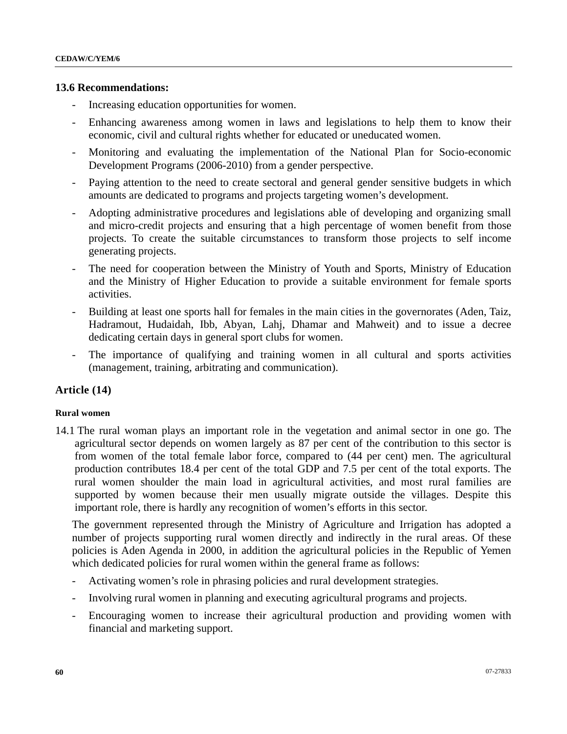#### **13.6 Recommendations:**

- Increasing education opportunities for women.
- Enhancing awareness among women in laws and legislations to help them to know their economic, civil and cultural rights whether for educated or uneducated women.
- Monitoring and evaluating the implementation of the National Plan for Socio-economic Development Programs (2006-2010) from a gender perspective.
- Paying attention to the need to create sectoral and general gender sensitive budgets in which amounts are dedicated to programs and projects targeting women's development.
- Adopting administrative procedures and legislations able of developing and organizing small and micro-credit projects and ensuring that a high percentage of women benefit from those projects. To create the suitable circumstances to transform those projects to self income generating projects.
- The need for cooperation between the Ministry of Youth and Sports, Ministry of Education and the Ministry of Higher Education to provide a suitable environment for female sports activities.
- Building at least one sports hall for females in the main cities in the governorates (Aden, Taiz, Hadramout, Hudaidah, Ibb, Abyan, Lahj, Dhamar and Mahweit) and to issue a decree dedicating certain days in general sport clubs for women.
- The importance of qualifying and training women in all cultural and sports activities (management, training, arbitrating and communication).

#### **Article (14)**

#### **Rural women**

14.1 The rural woman plays an important role in the vegetation and animal sector in one go. The agricultural sector depends on women largely as 87 per cent of the contribution to this sector is from women of the total female labor force, compared to (44 per cent) men. The agricultural production contributes 18.4 per cent of the total GDP and 7.5 per cent of the total exports. The rural women shoulder the main load in agricultural activities, and most rural families are supported by women because their men usually migrate outside the villages. Despite this important role, there is hardly any recognition of women's efforts in this sector.

The government represented through the Ministry of Agriculture and Irrigation has adopted a number of projects supporting rural women directly and indirectly in the rural areas. Of these policies is Aden Agenda in 2000, in addition the agricultural policies in the Republic of Yemen which dedicated policies for rural women within the general frame as follows:

- Activating women's role in phrasing policies and rural development strategies.
- Involving rural women in planning and executing agricultural programs and projects.
- Encouraging women to increase their agricultural production and providing women with financial and marketing support.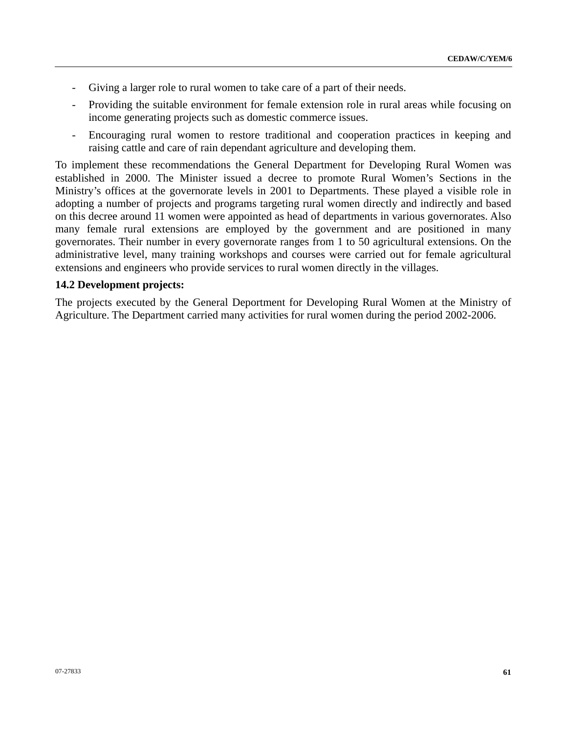- Giving a larger role to rural women to take care of a part of their needs.
- Providing the suitable environment for female extension role in rural areas while focusing on income generating projects such as domestic commerce issues.
- Encouraging rural women to restore traditional and cooperation practices in keeping and raising cattle and care of rain dependant agriculture and developing them.

To implement these recommendations the General Department for Developing Rural Women was established in 2000. The Minister issued a decree to promote Rural Women's Sections in the Ministry's offices at the governorate levels in 2001 to Departments. These played a visible role in adopting a number of projects and programs targeting rural women directly and indirectly and based on this decree around 11 women were appointed as head of departments in various governorates. Also many female rural extensions are employed by the government and are positioned in many governorates. Their number in every governorate ranges from 1 to 50 agricultural extensions. On the administrative level, many training workshops and courses were carried out for female agricultural extensions and engineers who provide services to rural women directly in the villages.

#### **14.2 Development projects:**

The projects executed by the General Deportment for Developing Rural Women at the Ministry of Agriculture. The Department carried many activities for rural women during the period 2002-2006.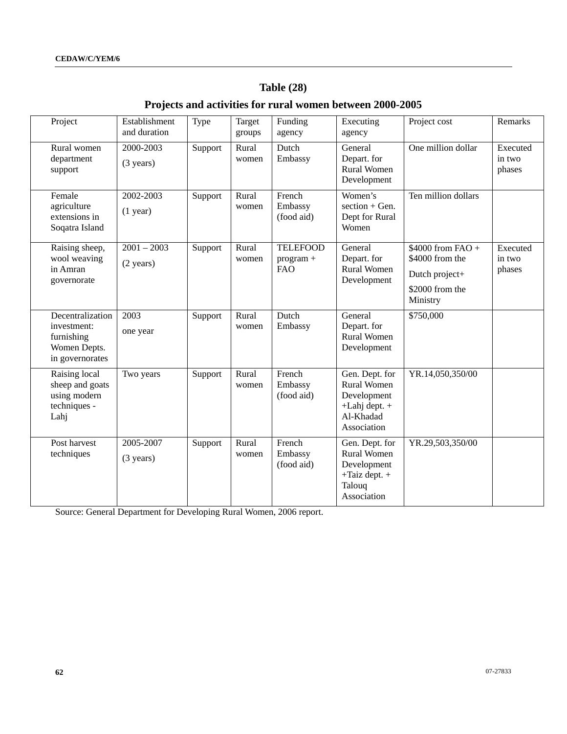## **Table (28)**

## **Projects and activities for rural women between 2000-2005**

| Project                                                                          | Establishment<br>and duration        | Type    | Target<br>groups | Funding<br>agency                            | Executing<br>agency                                                                                   | Project cost                                                                          | Remarks                      |
|----------------------------------------------------------------------------------|--------------------------------------|---------|------------------|----------------------------------------------|-------------------------------------------------------------------------------------------------------|---------------------------------------------------------------------------------------|------------------------------|
| Rural women<br>department<br>support                                             | 2000-2003<br>$(3 \text{ years})$     | Support | Rural<br>women   | Dutch<br>Embassy                             | General<br>Depart. for<br><b>Rural Women</b><br>Development                                           | One million dollar                                                                    | Executed<br>in two<br>phases |
| Female<br>agriculture<br>extensions in<br>Soqatra Island                         | 2002-2003<br>$(1$ year)              | Support | Rural<br>women   | French<br>Embassy<br>(food aid)              | Women's<br>section + Gen.<br>Dept for Rural<br>Women                                                  | Ten million dollars                                                                   |                              |
| Raising sheep,<br>wool weaving<br>in Amran<br>governorate                        | $2001 - 2003$<br>$(2 \text{ years})$ | Support | Rural<br>women   | <b>TELEFOOD</b><br>$program +$<br><b>FAO</b> | General<br>Depart. for<br><b>Rural Women</b><br>Development                                           | \$4000 from FAO +<br>\$4000 from the<br>Dutch project+<br>\$2000 from the<br>Ministry | Executed<br>in two<br>phases |
| Decentralization<br>investment:<br>furnishing<br>Women Depts.<br>in governorates | 2003<br>one year                     | Support | Rural<br>women   | Dutch<br>Embassy                             | General<br>Depart. for<br><b>Rural Women</b><br>Development                                           | \$750,000                                                                             |                              |
| Raising local<br>sheep and goats<br>using modern<br>techniques -<br>Lahj         | Two years                            | Support | Rural<br>women   | French<br>Embassy<br>(food aid)              | Gen. Dept. for<br><b>Rural Women</b><br>Development<br>$+$ Lahj dept. $+$<br>Al-Khadad<br>Association | YR.14,050,350/00                                                                      |                              |
| Post harvest<br>techniques                                                       | 2005-2007<br>$(3 \text{ years})$     | Support | Rural<br>women   | French<br>Embassy<br>(food aid)              | Gen. Dept. for<br><b>Rural Women</b><br>Development<br>$+$ Taiz dept. $+$<br>Talouq<br>Association    | YR.29,503,350/00                                                                      |                              |

Source: General Department for Developing Rural Women, 2006 report.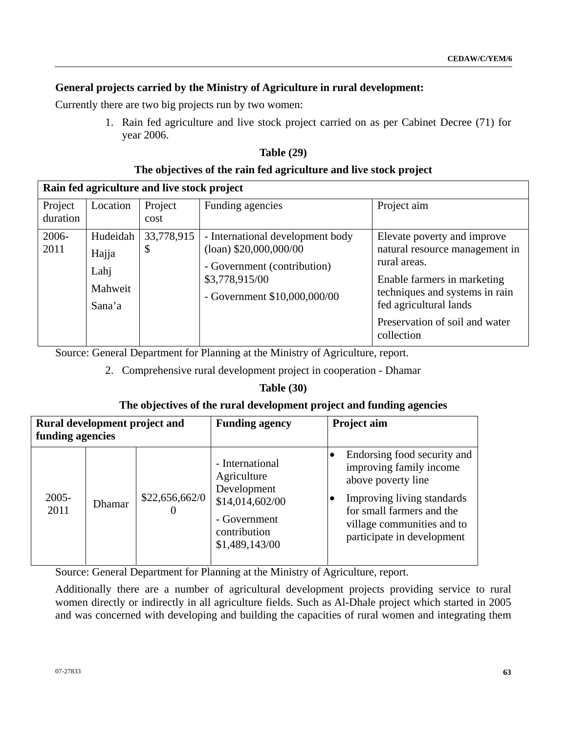## **General projects carried by the Ministry of Agriculture in rural development:**

Currently there are two big projects run by two women:

1. Rain fed agriculture and live stock project carried on as per Cabinet Decree (71) for year 2006.

| <b>Table (29)</b> |  |
|-------------------|--|
|-------------------|--|

## **The objectives of the rain fed agriculture and live stock project**

| Rain fed agriculture and live stock project |                                                |                  |                                                                                                                                               |                                                                                                                                                                                                                          |  |
|---------------------------------------------|------------------------------------------------|------------------|-----------------------------------------------------------------------------------------------------------------------------------------------|--------------------------------------------------------------------------------------------------------------------------------------------------------------------------------------------------------------------------|--|
| Project<br>duration                         | Location                                       | Project<br>cost  | Funding agencies                                                                                                                              | Project aim                                                                                                                                                                                                              |  |
| 2006-<br>2011                               | Hudeidah<br>Hajja<br>Lahj<br>Mahweit<br>Sana'a | 33,778,915<br>\$ | - International development body<br>$(loan)$ \$20,000,000/00<br>- Government (contribution)<br>\$3,778,915/00<br>- Government \$10,000,000/00 | Elevate poverty and improve<br>natural resource management in<br>rural areas.<br>Enable farmers in marketing<br>techniques and systems in rain<br>fed agricultural lands<br>Preservation of soil and water<br>collection |  |

Source: General Department for Planning at the Ministry of Agriculture, report.

2. Comprehensive rural development project in cooperation - Dhamar

## **Table (30)**

## **The objectives of the rural development project and funding agencies**

| Rural development project and<br>funding agencies |               |                | <b>Funding agency</b>                                                                                              | Project aim                                                                                                                                                                                         |  |
|---------------------------------------------------|---------------|----------------|--------------------------------------------------------------------------------------------------------------------|-----------------------------------------------------------------------------------------------------------------------------------------------------------------------------------------------------|--|
| $2005 -$<br>2011                                  | <b>Dhamar</b> | \$22,656,662/0 | - International<br>Agriculture<br>Development<br>\$14,014,602/00<br>- Government<br>contribution<br>\$1,489,143/00 | Endorsing food security and<br>improving family income<br>above poverty line<br>Improving living standards<br>for small farmers and the<br>village communities and to<br>participate in development |  |

Source: General Department for Planning at the Ministry of Agriculture, report.

Additionally there are a number of agricultural development projects providing service to rural women directly or indirectly in all agriculture fields. Such as Al-Dhale project which started in 2005 and was concerned with developing and building the capacities of rural women and integrating them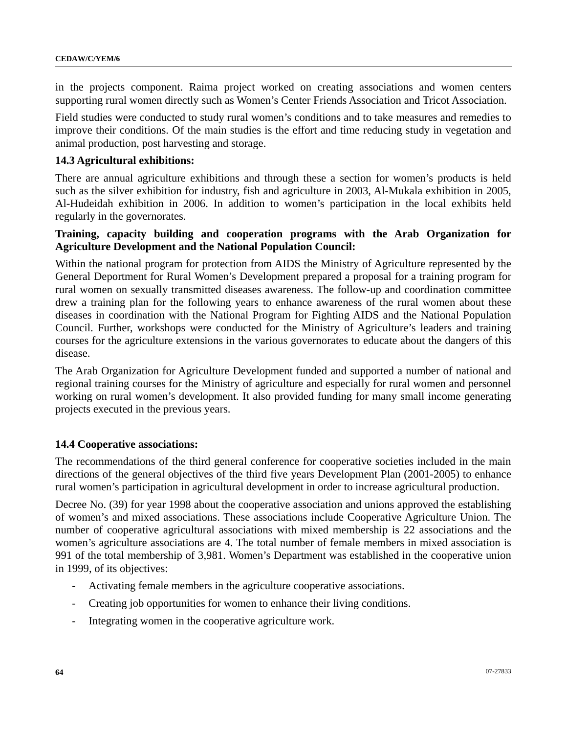in the projects component. Raima project worked on creating associations and women centers supporting rural women directly such as Women's Center Friends Association and Tricot Association.

Field studies were conducted to study rural women's conditions and to take measures and remedies to improve their conditions. Of the main studies is the effort and time reducing study in vegetation and animal production, post harvesting and storage.

#### **14.3 Agricultural exhibitions:**

There are annual agriculture exhibitions and through these a section for women's products is held such as the silver exhibition for industry, fish and agriculture in 2003, Al-Mukala exhibition in 2005, Al-Hudeidah exhibition in 2006. In addition to women's participation in the local exhibits held regularly in the governorates.

## **Training, capacity building and cooperation programs with the Arab Organization for Agriculture Development and the National Population Council:**

Within the national program for protection from AIDS the Ministry of Agriculture represented by the General Deportment for Rural Women's Development prepared a proposal for a training program for rural women on sexually transmitted diseases awareness. The follow-up and coordination committee drew a training plan for the following years to enhance awareness of the rural women about these diseases in coordination with the National Program for Fighting AIDS and the National Population Council. Further, workshops were conducted for the Ministry of Agriculture's leaders and training courses for the agriculture extensions in the various governorates to educate about the dangers of this disease.

The Arab Organization for Agriculture Development funded and supported a number of national and regional training courses for the Ministry of agriculture and especially for rural women and personnel working on rural women's development. It also provided funding for many small income generating projects executed in the previous years.

#### **14.4 Cooperative associations:**

The recommendations of the third general conference for cooperative societies included in the main directions of the general objectives of the third five years Development Plan (2001-2005) to enhance rural women's participation in agricultural development in order to increase agricultural production.

Decree No. (39) for year 1998 about the cooperative association and unions approved the establishing of women's and mixed associations. These associations include Cooperative Agriculture Union. The number of cooperative agricultural associations with mixed membership is 22 associations and the women's agriculture associations are 4. The total number of female members in mixed association is 991 of the total membership of 3,981. Women's Department was established in the cooperative union in 1999, of its objectives:

- Activating female members in the agriculture cooperative associations.
- Creating job opportunities for women to enhance their living conditions.
- Integrating women in the cooperative agriculture work.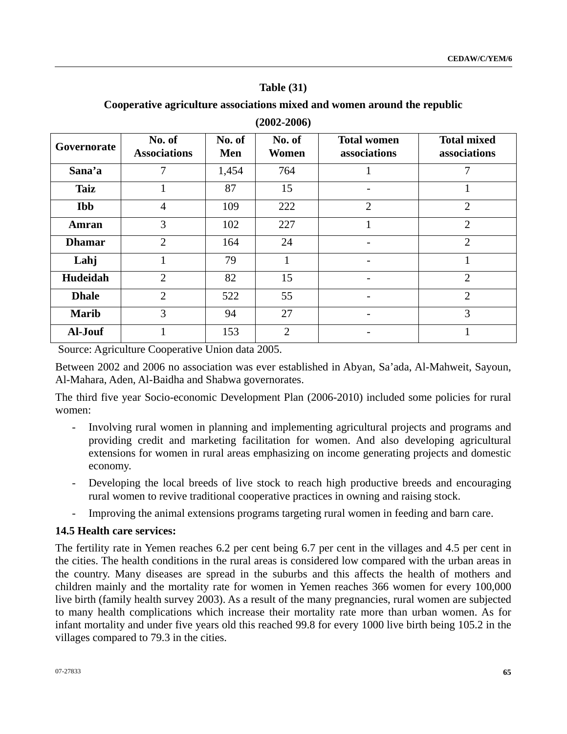#### **Table (31)**

**Cooperative agriculture associations mixed and women around the republic** 

| Governorate   | No. of<br><b>Associations</b> | No. of<br>Men | No. of<br>Women | <b>Total women</b><br>associations | <b>Total mixed</b><br>associations |
|---------------|-------------------------------|---------------|-----------------|------------------------------------|------------------------------------|
| Sana'a        | 7                             | 1,454         | 764             |                                    | 7                                  |
| <b>Taiz</b>   |                               | 87            | 15              |                                    |                                    |
| <b>Ibb</b>    | $\overline{4}$                | 109           | 222             | $\overline{2}$                     | $\overline{2}$                     |
| Amran         | 3                             | 102           | 227             |                                    | $\overline{2}$                     |
| <b>Dhamar</b> | $\overline{2}$                | 164           | 24              |                                    | $\overline{2}$                     |
| Lahj          |                               | 79            | $\mathbf{1}$    |                                    |                                    |
| Hudeidah      | $\overline{2}$                | 82            | 15              |                                    | $\overline{2}$                     |
| <b>Dhale</b>  | $\overline{2}$                | 522           | 55              |                                    | $\overline{2}$                     |
| <b>Marib</b>  | 3                             | 94            | 27              |                                    | 3                                  |
| Al-Jouf       |                               | 153           | 2               |                                    |                                    |

**(2002-2006)** 

Source: Agriculture Cooperative Union data 2005.

Between 2002 and 2006 no association was ever established in Abyan, Sa'ada, Al-Mahweit, Sayoun, Al-Mahara, Aden, Al-Baidha and Shabwa governorates.

The third five year Socio-economic Development Plan (2006-2010) included some policies for rural women:

- Involving rural women in planning and implementing agricultural projects and programs and providing credit and marketing facilitation for women. And also developing agricultural extensions for women in rural areas emphasizing on income generating projects and domestic economy.
- Developing the local breeds of live stock to reach high productive breeds and encouraging rural women to revive traditional cooperative practices in owning and raising stock.
- Improving the animal extensions programs targeting rural women in feeding and barn care.

## **14.5 Health care services:**

The fertility rate in Yemen reaches 6.2 per cent being 6.7 per cent in the villages and 4.5 per cent in the cities. The health conditions in the rural areas is considered low compared with the urban areas in the country. Many diseases are spread in the suburbs and this affects the health of mothers and children mainly and the mortality rate for women in Yemen reaches 366 women for every 100,000 live birth (family health survey 2003). As a result of the many pregnancies, rural women are subjected to many health complications which increase their mortality rate more than urban women. As for infant mortality and under five years old this reached 99.8 for every 1000 live birth being 105.2 in the villages compared to 79.3 in the cities.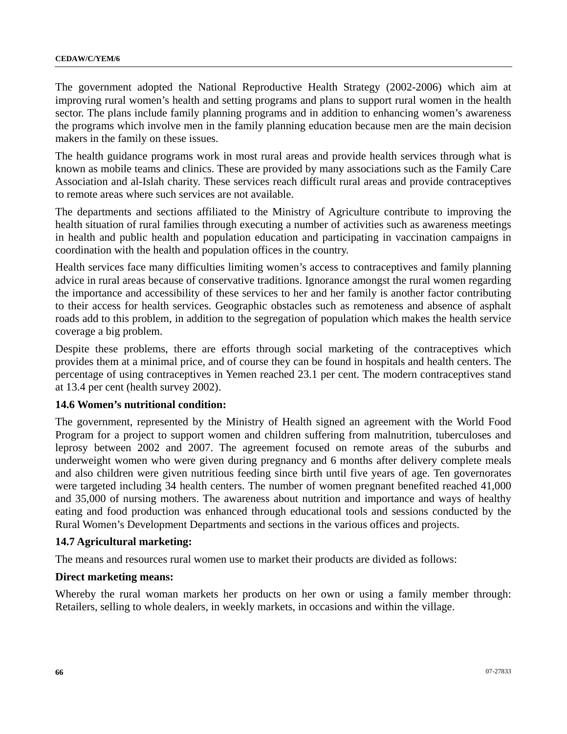The government adopted the National Reproductive Health Strategy (2002-2006) which aim at improving rural women's health and setting programs and plans to support rural women in the health sector. The plans include family planning programs and in addition to enhancing women's awareness the programs which involve men in the family planning education because men are the main decision makers in the family on these issues.

The health guidance programs work in most rural areas and provide health services through what is known as mobile teams and clinics. These are provided by many associations such as the Family Care Association and al-Islah charity. These services reach difficult rural areas and provide contraceptives to remote areas where such services are not available.

The departments and sections affiliated to the Ministry of Agriculture contribute to improving the health situation of rural families through executing a number of activities such as awareness meetings in health and public health and population education and participating in vaccination campaigns in coordination with the health and population offices in the country.

Health services face many difficulties limiting women's access to contraceptives and family planning advice in rural areas because of conservative traditions. Ignorance amongst the rural women regarding the importance and accessibility of these services to her and her family is another factor contributing to their access for health services. Geographic obstacles such as remoteness and absence of asphalt roads add to this problem, in addition to the segregation of population which makes the health service coverage a big problem.

Despite these problems, there are efforts through social marketing of the contraceptives which provides them at a minimal price, and of course they can be found in hospitals and health centers. The percentage of using contraceptives in Yemen reached 23.1 per cent. The modern contraceptives stand at 13.4 per cent (health survey 2002).

## **14.6 Women's nutritional condition:**

The government, represented by the Ministry of Health signed an agreement with the World Food Program for a project to support women and children suffering from malnutrition, tuberculoses and leprosy between 2002 and 2007. The agreement focused on remote areas of the suburbs and underweight women who were given during pregnancy and 6 months after delivery complete meals and also children were given nutritious feeding since birth until five years of age. Ten governorates were targeted including 34 health centers. The number of women pregnant benefited reached 41,000 and 35,000 of nursing mothers. The awareness about nutrition and importance and ways of healthy eating and food production was enhanced through educational tools and sessions conducted by the Rural Women's Development Departments and sections in the various offices and projects.

#### **14.7 Agricultural marketing:**

The means and resources rural women use to market their products are divided as follows:

#### **Direct marketing means:**

Whereby the rural woman markets her products on her own or using a family member through: Retailers, selling to whole dealers, in weekly markets, in occasions and within the village.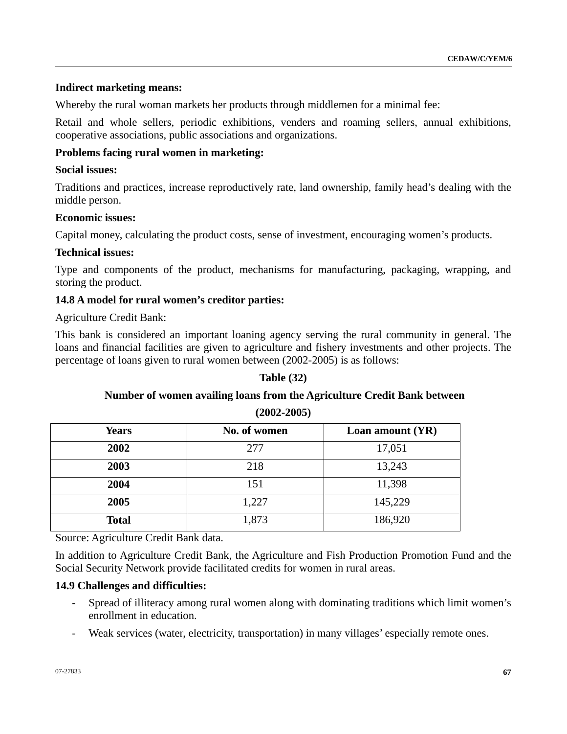#### **Indirect marketing means:**

Whereby the rural woman markets her products through middlemen for a minimal fee:

Retail and whole sellers, periodic exhibitions, venders and roaming sellers, annual exhibitions, cooperative associations, public associations and organizations.

## **Problems facing rural women in marketing:**

#### **Social issues:**

Traditions and practices, increase reproductively rate, land ownership, family head's dealing with the middle person.

#### **Economic issues:**

Capital money, calculating the product costs, sense of investment, encouraging women's products.

#### **Technical issues:**

Type and components of the product, mechanisms for manufacturing, packaging, wrapping, and storing the product.

## **14.8 A model for rural women's creditor parties:**

Agriculture Credit Bank:

This bank is considered an important loaning agency serving the rural community in general. The loans and financial facilities are given to agriculture and fishery investments and other projects. The percentage of loans given to rural women between (2002-2005) is as follows:

## **(2002-2005)**  Years No. of women Loan amount (YR) **2002 277** 17,051 **2003** 218 13,243 **2004** 151 11,398 **2005** 1,227 145,229 **Total** 1,873 186,920

# **Table (32)**

## **Number of women availing loans from the Agriculture Credit Bank between**

Source: Agriculture Credit Bank data.

In addition to Agriculture Credit Bank, the Agriculture and Fish Production Promotion Fund and the Social Security Network provide facilitated credits for women in rural areas.

## **14.9 Challenges and difficulties:**

- Spread of illiteracy among rural women along with dominating traditions which limit women's enrollment in education.
- Weak services (water, electricity, transportation) in many villages' especially remote ones.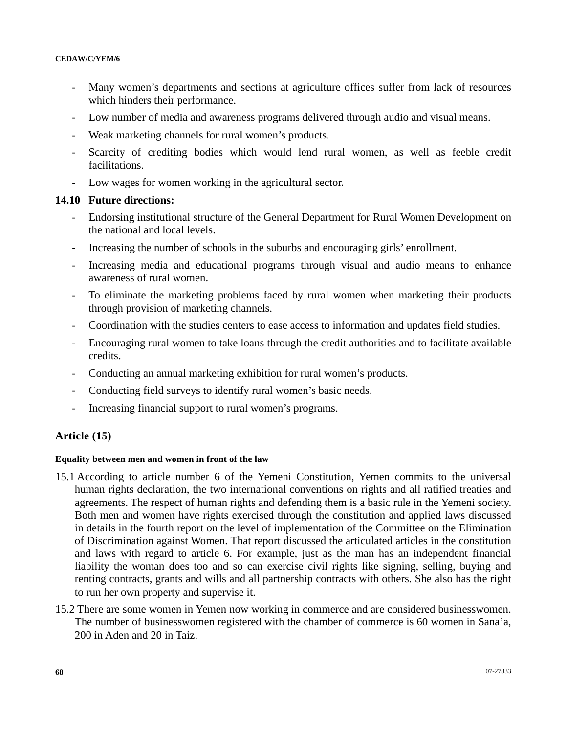- Many women's departments and sections at agriculture offices suffer from lack of resources which hinders their performance.
- Low number of media and awareness programs delivered through audio and visual means.
- Weak marketing channels for rural women's products.
- Scarcity of crediting bodies which would lend rural women, as well as feeble credit facilitations.
- Low wages for women working in the agricultural sector.

#### **14.10 Future directions:**

- Endorsing institutional structure of the General Department for Rural Women Development on the national and local levels.
- Increasing the number of schools in the suburbs and encouraging girls' enrollment.
- Increasing media and educational programs through visual and audio means to enhance awareness of rural women.
- To eliminate the marketing problems faced by rural women when marketing their products through provision of marketing channels.
- Coordination with the studies centers to ease access to information and updates field studies.
- Encouraging rural women to take loans through the credit authorities and to facilitate available credits.
- Conducting an annual marketing exhibition for rural women's products.
- Conducting field surveys to identify rural women's basic needs.
- Increasing financial support to rural women's programs.

## **Article (15)**

#### **Equality between men and women in front of the law**

- 15.1 According to article number 6 of the Yemeni Constitution, Yemen commits to the universal human rights declaration, the two international conventions on rights and all ratified treaties and agreements. The respect of human rights and defending them is a basic rule in the Yemeni society. Both men and women have rights exercised through the constitution and applied laws discussed in details in the fourth report on the level of implementation of the Committee on the Elimination of Discrimination against Women. That report discussed the articulated articles in the constitution and laws with regard to article 6. For example, just as the man has an independent financial liability the woman does too and so can exercise civil rights like signing, selling, buying and renting contracts, grants and wills and all partnership contracts with others. She also has the right to run her own property and supervise it.
- 15.2 There are some women in Yemen now working in commerce and are considered businesswomen. The number of businesswomen registered with the chamber of commerce is 60 women in Sana'a, 200 in Aden and 20 in Taiz.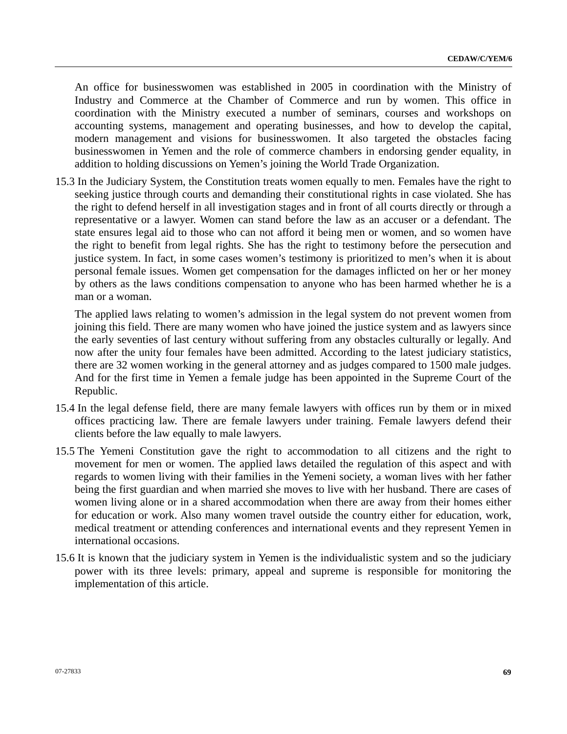An office for businesswomen was established in 2005 in coordination with the Ministry of Industry and Commerce at the Chamber of Commerce and run by women. This office in coordination with the Ministry executed a number of seminars, courses and workshops on accounting systems, management and operating businesses, and how to develop the capital, modern management and visions for businesswomen. It also targeted the obstacles facing businesswomen in Yemen and the role of commerce chambers in endorsing gender equality, in addition to holding discussions on Yemen's joining the World Trade Organization.

15.3 In the Judiciary System, the Constitution treats women equally to men. Females have the right to seeking justice through courts and demanding their constitutional rights in case violated. She has the right to defend herself in all investigation stages and in front of all courts directly or through a representative or a lawyer. Women can stand before the law as an accuser or a defendant. The state ensures legal aid to those who can not afford it being men or women, and so women have the right to benefit from legal rights. She has the right to testimony before the persecution and justice system. In fact, in some cases women's testimony is prioritized to men's when it is about personal female issues. Women get compensation for the damages inflicted on her or her money by others as the laws conditions compensation to anyone who has been harmed whether he is a man or a woman.

The applied laws relating to women's admission in the legal system do not prevent women from joining this field. There are many women who have joined the justice system and as lawyers since the early seventies of last century without suffering from any obstacles culturally or legally. And now after the unity four females have been admitted. According to the latest judiciary statistics, there are 32 women working in the general attorney and as judges compared to 1500 male judges. And for the first time in Yemen a female judge has been appointed in the Supreme Court of the Republic.

- 15.4 In the legal defense field, there are many female lawyers with offices run by them or in mixed offices practicing law. There are female lawyers under training. Female lawyers defend their clients before the law equally to male lawyers.
- 15.5 The Yemeni Constitution gave the right to accommodation to all citizens and the right to movement for men or women. The applied laws detailed the regulation of this aspect and with regards to women living with their families in the Yemeni society, a woman lives with her father being the first guardian and when married she moves to live with her husband. There are cases of women living alone or in a shared accommodation when there are away from their homes either for education or work. Also many women travel outside the country either for education, work, medical treatment or attending conferences and international events and they represent Yemen in international occasions.
- 15.6 It is known that the judiciary system in Yemen is the individualistic system and so the judiciary power with its three levels: primary, appeal and supreme is responsible for monitoring the implementation of this article.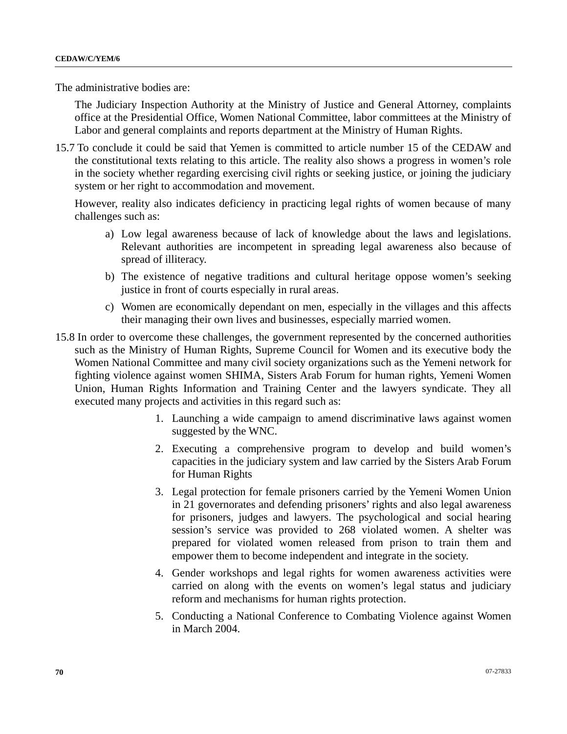The administrative bodies are:

The Judiciary Inspection Authority at the Ministry of Justice and General Attorney, complaints office at the Presidential Office, Women National Committee, labor committees at the Ministry of Labor and general complaints and reports department at the Ministry of Human Rights.

15.7 To conclude it could be said that Yemen is committed to article number 15 of the CEDAW and the constitutional texts relating to this article. The reality also shows a progress in women's role in the society whether regarding exercising civil rights or seeking justice, or joining the judiciary system or her right to accommodation and movement.

However, reality also indicates deficiency in practicing legal rights of women because of many challenges such as:

- a) Low legal awareness because of lack of knowledge about the laws and legislations. Relevant authorities are incompetent in spreading legal awareness also because of spread of illiteracy.
- b) The existence of negative traditions and cultural heritage oppose women's seeking justice in front of courts especially in rural areas.
- c) Women are economically dependant on men, especially in the villages and this affects their managing their own lives and businesses, especially married women.
- 15.8 In order to overcome these challenges, the government represented by the concerned authorities such as the Ministry of Human Rights, Supreme Council for Women and its executive body the Women National Committee and many civil society organizations such as the Yemeni network for fighting violence against women SHIMA, Sisters Arab Forum for human rights, Yemeni Women Union, Human Rights Information and Training Center and the lawyers syndicate. They all executed many projects and activities in this regard such as:
	- 1. Launching a wide campaign to amend discriminative laws against women suggested by the WNC.
	- 2. Executing a comprehensive program to develop and build women's capacities in the judiciary system and law carried by the Sisters Arab Forum for Human Rights
	- 3. Legal protection for female prisoners carried by the Yemeni Women Union in 21 governorates and defending prisoners' rights and also legal awareness for prisoners, judges and lawyers. The psychological and social hearing session's service was provided to 268 violated women. A shelter was prepared for violated women released from prison to train them and empower them to become independent and integrate in the society.
	- 4. Gender workshops and legal rights for women awareness activities were carried on along with the events on women's legal status and judiciary reform and mechanisms for human rights protection.
	- 5. Conducting a National Conference to Combating Violence against Women in March 2004.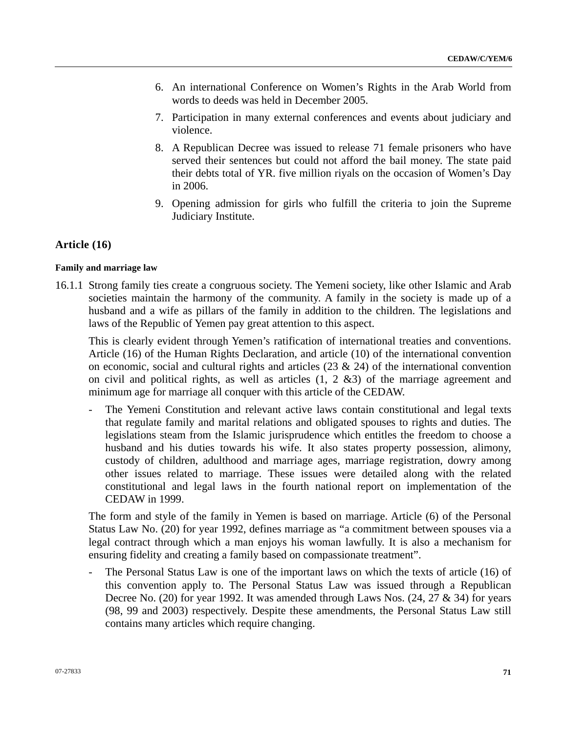- 6. An international Conference on Women's Rights in the Arab World from words to deeds was held in December 2005.
- 7. Participation in many external conferences and events about judiciary and violence.
- 8. A Republican Decree was issued to release 71 female prisoners who have served their sentences but could not afford the bail money. The state paid their debts total of YR. five million riyals on the occasion of Women's Day in 2006.
- 9. Opening admission for girls who fulfill the criteria to join the Supreme Judiciary Institute.

## **Article (16)**

#### **Family and marriage law**

16.1.1 Strong family ties create a congruous society. The Yemeni society, like other Islamic and Arab societies maintain the harmony of the community. A family in the society is made up of a husband and a wife as pillars of the family in addition to the children. The legislations and laws of the Republic of Yemen pay great attention to this aspect.

This is clearly evident through Yemen's ratification of international treaties and conventions. Article (16) of the Human Rights Declaration, and article (10) of the international convention on economic, social and cultural rights and articles  $(23 \& 24)$  of the international convention on civil and political rights, as well as articles  $(1, 2 \& 3)$  of the marriage agreement and minimum age for marriage all conquer with this article of the CEDAW.

The Yemeni Constitution and relevant active laws contain constitutional and legal texts that regulate family and marital relations and obligated spouses to rights and duties. The legislations steam from the Islamic jurisprudence which entitles the freedom to choose a husband and his duties towards his wife. It also states property possession, alimony, custody of children, adulthood and marriage ages, marriage registration, dowry among other issues related to marriage. These issues were detailed along with the related constitutional and legal laws in the fourth national report on implementation of the CEDAW in 1999.

The form and style of the family in Yemen is based on marriage. Article (6) of the Personal Status Law No. (20) for year 1992, defines marriage as "a commitment between spouses via a legal contract through which a man enjoys his woman lawfully. It is also a mechanism for ensuring fidelity and creating a family based on compassionate treatment".

The Personal Status Law is one of the important laws on which the texts of article (16) of this convention apply to. The Personal Status Law was issued through a Republican Decree No. (20) for year 1992. It was amended through Laws Nos. (24, 27  $\&$  34) for years (98, 99 and 2003) respectively. Despite these amendments, the Personal Status Law still contains many articles which require changing.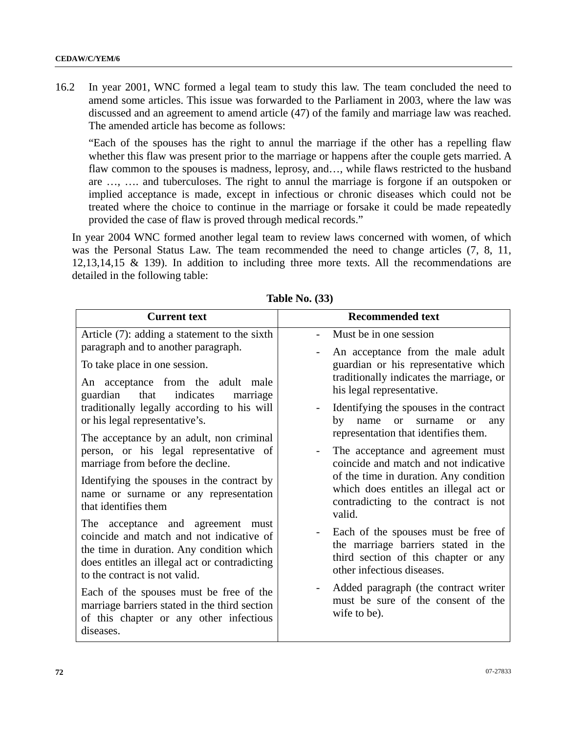16.2 In year 2001, WNC formed a legal team to study this law. The team concluded the need to amend some articles. This issue was forwarded to the Parliament in 2003, where the law was discussed and an agreement to amend article (47) of the family and marriage law was reached. The amended article has become as follows:

"Each of the spouses has the right to annul the marriage if the other has a repelling flaw whether this flaw was present prior to the marriage or happens after the couple gets married. A flaw common to the spouses is madness, leprosy, and..., while flaws restricted to the husband are …, …. and tuberculoses. The right to annul the marriage is forgone if an outspoken or implied acceptance is made, except in infectious or chronic diseases which could not be treated where the choice to continue in the marriage or forsake it could be made repeatedly provided the case of flaw is proved through medical records."

In year 2004 WNC formed another legal team to review laws concerned with women, of which was the Personal Status Law. The team recommended the need to change articles (7, 8, 11, 12,13,14,15 & 139). In addition to including three more texts. All the recommendations are detailed in the following table:

| Article (7): adding a statement to the sixth<br>paragraph and to another paragraph.<br>To take place in one session.<br>An acceptance from the adult male<br>that<br>indicates<br>guardian<br>marriage<br>traditionally legally according to his will<br>or his legal representative's.<br>The acceptance by an adult, non criminal<br>person, or his legal representative of<br>marriage from before the decline.<br>Identifying the spouses in the contract by<br>name or surname or any representation<br>that identifies them<br>The acceptance and agreement must<br>coincide and match and not indicative of<br>the time in duration. Any condition which<br>does entitles an illegal act or contradicting<br>to the contract is not valid.<br>Each of the spouses must be free of the<br>marriage barriers stated in the third section<br>of this chapter or any other infectious<br>diseases. | Must be in one session<br>An acceptance from the male adult<br>guardian or his representative which<br>traditionally indicates the marriage, or<br>his legal representative.<br>Identifying the spouses in the contract<br>by<br>name<br><b>or</b><br>surname<br><b>or</b><br>any<br>representation that identifies them.<br>The acceptance and agreement must<br>coincide and match and not indicative<br>of the time in duration. Any condition<br>which does entitles an illegal act or<br>contradicting to the contract is not<br>valid.<br>Each of the spouses must be free of<br>the marriage barriers stated in the<br>third section of this chapter or any<br>other infectious diseases.<br>Added paragraph (the contract writer<br>$\overline{\phantom{0}}$<br>must be sure of the consent of the<br>wife to be). |
|-------------------------------------------------------------------------------------------------------------------------------------------------------------------------------------------------------------------------------------------------------------------------------------------------------------------------------------------------------------------------------------------------------------------------------------------------------------------------------------------------------------------------------------------------------------------------------------------------------------------------------------------------------------------------------------------------------------------------------------------------------------------------------------------------------------------------------------------------------------------------------------------------------|----------------------------------------------------------------------------------------------------------------------------------------------------------------------------------------------------------------------------------------------------------------------------------------------------------------------------------------------------------------------------------------------------------------------------------------------------------------------------------------------------------------------------------------------------------------------------------------------------------------------------------------------------------------------------------------------------------------------------------------------------------------------------------------------------------------------------|

**Table No. (33)**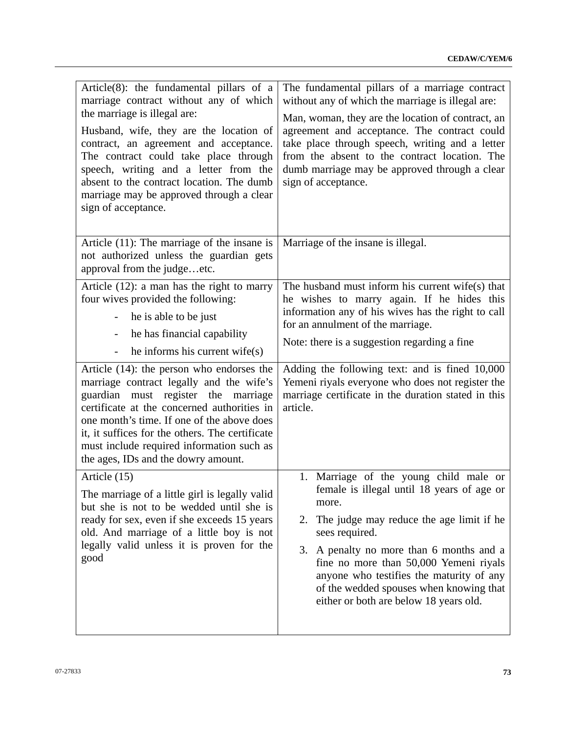| Article(8): the fundamental pillars of a<br>marriage contract without any of which<br>the marriage is illegal are:<br>Husband, wife, they are the location of<br>contract, an agreement and acceptance.<br>The contract could take place through<br>speech, writing and a letter from the<br>absent to the contract location. The dumb<br>marriage may be approved through a clear<br>sign of acceptance.                                                                                                                                                                                                                         | The fundamental pillars of a marriage contract<br>without any of which the marriage is illegal are:<br>Man, woman, they are the location of contract, an<br>agreement and acceptance. The contract could<br>take place through speech, writing and a letter<br>from the absent to the contract location. The<br>dumb marriage may be approved through a clear<br>sign of acceptance.                               |
|-----------------------------------------------------------------------------------------------------------------------------------------------------------------------------------------------------------------------------------------------------------------------------------------------------------------------------------------------------------------------------------------------------------------------------------------------------------------------------------------------------------------------------------------------------------------------------------------------------------------------------------|--------------------------------------------------------------------------------------------------------------------------------------------------------------------------------------------------------------------------------------------------------------------------------------------------------------------------------------------------------------------------------------------------------------------|
| Article $(11)$ : The marriage of the insane is<br>not authorized unless the guardian gets<br>approval from the judgeetc.                                                                                                                                                                                                                                                                                                                                                                                                                                                                                                          | Marriage of the insane is illegal.                                                                                                                                                                                                                                                                                                                                                                                 |
| Article $(12)$ : a man has the right to marry<br>four wives provided the following:<br>he is able to be just<br>$\overline{\phantom{0}}$<br>he has financial capability<br>$\overline{\phantom{0}}$<br>he informs his current wife $(s)$<br>$\overline{a}$<br>Article $(14)$ : the person who endorses the<br>marriage contract legally and the wife's<br>guardian must register the marriage<br>certificate at the concerned authorities in<br>one month's time. If one of the above does<br>it, it suffices for the others. The certificate<br>must include required information such as<br>the ages, IDs and the dowry amount. | The husband must inform his current wife(s) that<br>he wishes to marry again. If he hides this<br>information any of his wives has the right to call<br>for an annulment of the marriage.<br>Note: there is a suggestion regarding a fine<br>Adding the following text: and is fined 10,000<br>Yemeni riyals everyone who does not register the<br>marriage certificate in the duration stated in this<br>article. |
| Article (15)<br>The marriage of a little girl is legally valid<br>but she is not to be wedded until she is<br>ready for sex, even if she exceeds 15 years<br>old. And marriage of a little boy is not<br>legally valid unless it is proven for the<br>good                                                                                                                                                                                                                                                                                                                                                                        | 1. Marriage of the young child male or<br>female is illegal until 18 years of age or<br>more.<br>The judge may reduce the age limit if he<br>2.<br>sees required.<br>3. A penalty no more than 6 months and a<br>fine no more than 50,000 Yemeni riyals<br>anyone who testifies the maturity of any<br>of the wedded spouses when knowing that<br>either or both are below 18 years old.                           |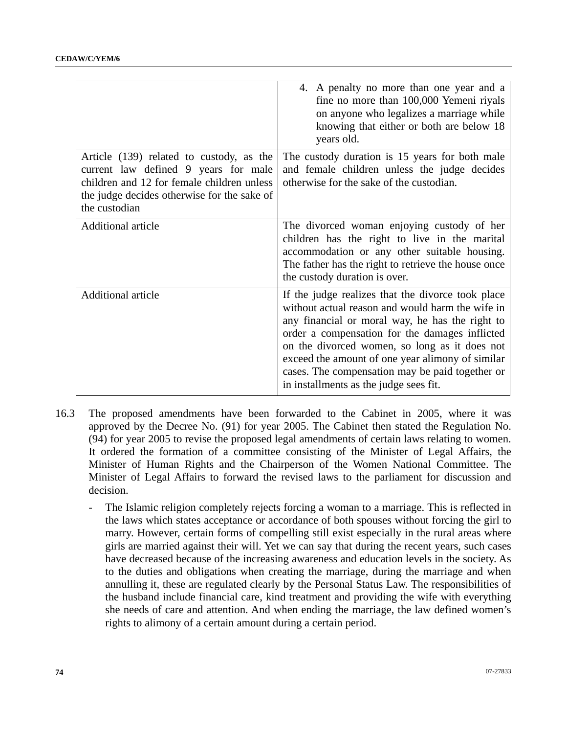|                                                                                                                                                                                                | 4. A penalty no more than one year and a<br>fine no more than 100,000 Yemeni riyals<br>on anyone who legalizes a marriage while<br>knowing that either or both are below 18<br>years old.                                                                                                                                                                                                                    |
|------------------------------------------------------------------------------------------------------------------------------------------------------------------------------------------------|--------------------------------------------------------------------------------------------------------------------------------------------------------------------------------------------------------------------------------------------------------------------------------------------------------------------------------------------------------------------------------------------------------------|
| Article (139) related to custody, as the<br>current law defined 9 years for male<br>children and 12 for female children unless<br>the judge decides otherwise for the sake of<br>the custodian | The custody duration is 15 years for both male<br>and female children unless the judge decides<br>otherwise for the sake of the custodian.                                                                                                                                                                                                                                                                   |
| Additional article                                                                                                                                                                             | The divorced woman enjoying custody of her<br>children has the right to live in the marital<br>accommodation or any other suitable housing.<br>The father has the right to retrieve the house once<br>the custody duration is over.                                                                                                                                                                          |
| <b>Additional article</b>                                                                                                                                                                      | If the judge realizes that the divorce took place<br>without actual reason and would harm the wife in<br>any financial or moral way, he has the right to<br>order a compensation for the damages inflicted<br>on the divorced women, so long as it does not<br>exceed the amount of one year alimony of similar<br>cases. The compensation may be paid together or<br>in installments as the judge sees fit. |

- 16.3 The proposed amendments have been forwarded to the Cabinet in 2005, where it was approved by the Decree No. (91) for year 2005. The Cabinet then stated the Regulation No. (94) for year 2005 to revise the proposed legal amendments of certain laws relating to women. It ordered the formation of a committee consisting of the Minister of Legal Affairs, the Minister of Human Rights and the Chairperson of the Women National Committee. The Minister of Legal Affairs to forward the revised laws to the parliament for discussion and decision.
	- The Islamic religion completely rejects forcing a woman to a marriage. This is reflected in the laws which states acceptance or accordance of both spouses without forcing the girl to marry. However, certain forms of compelling still exist especially in the rural areas where girls are married against their will. Yet we can say that during the recent years, such cases have decreased because of the increasing awareness and education levels in the society. As to the duties and obligations when creating the marriage, during the marriage and when annulling it, these are regulated clearly by the Personal Status Law. The responsibilities of the husband include financial care, kind treatment and providing the wife with everything she needs of care and attention. And when ending the marriage, the law defined women's rights to alimony of a certain amount during a certain period.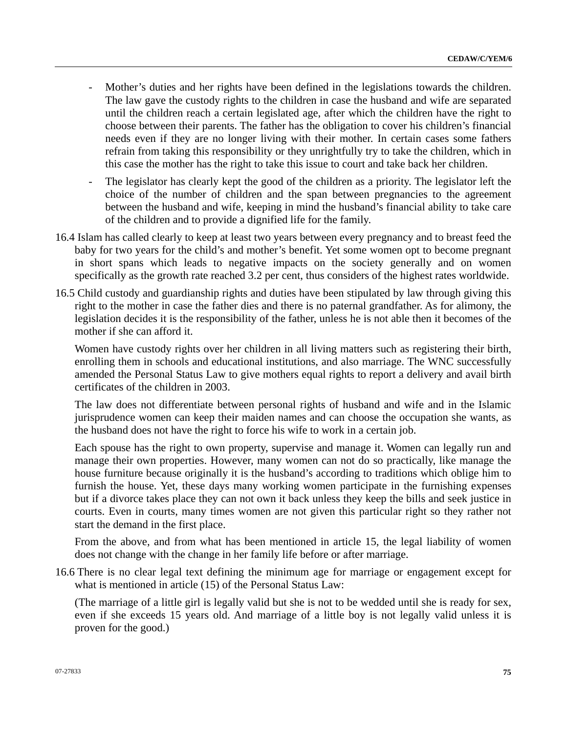- Mother's duties and her rights have been defined in the legislations towards the children. The law gave the custody rights to the children in case the husband and wife are separated until the children reach a certain legislated age, after which the children have the right to choose between their parents. The father has the obligation to cover his children's financial needs even if they are no longer living with their mother. In certain cases some fathers refrain from taking this responsibility or they unrightfully try to take the children, which in this case the mother has the right to take this issue to court and take back her children.
- The legislator has clearly kept the good of the children as a priority. The legislator left the choice of the number of children and the span between pregnancies to the agreement between the husband and wife, keeping in mind the husband's financial ability to take care of the children and to provide a dignified life for the family.
- 16.4 Islam has called clearly to keep at least two years between every pregnancy and to breast feed the baby for two years for the child's and mother's benefit. Yet some women opt to become pregnant in short spans which leads to negative impacts on the society generally and on women specifically as the growth rate reached 3.2 per cent, thus considers of the highest rates worldwide.
- 16.5 Child custody and guardianship rights and duties have been stipulated by law through giving this right to the mother in case the father dies and there is no paternal grandfather. As for alimony, the legislation decides it is the responsibility of the father, unless he is not able then it becomes of the mother if she can afford it.

Women have custody rights over her children in all living matters such as registering their birth, enrolling them in schools and educational institutions, and also marriage. The WNC successfully amended the Personal Status Law to give mothers equal rights to report a delivery and avail birth certificates of the children in 2003.

The law does not differentiate between personal rights of husband and wife and in the Islamic jurisprudence women can keep their maiden names and can choose the occupation she wants, as the husband does not have the right to force his wife to work in a certain job.

Each spouse has the right to own property, supervise and manage it. Women can legally run and manage their own properties. However, many women can not do so practically, like manage the house furniture because originally it is the husband's according to traditions which oblige him to furnish the house. Yet, these days many working women participate in the furnishing expenses but if a divorce takes place they can not own it back unless they keep the bills and seek justice in courts. Even in courts, many times women are not given this particular right so they rather not start the demand in the first place.

From the above, and from what has been mentioned in article 15, the legal liability of women does not change with the change in her family life before or after marriage.

16.6 There is no clear legal text defining the minimum age for marriage or engagement except for what is mentioned in article (15) of the Personal Status Law:

(The marriage of a little girl is legally valid but she is not to be wedded until she is ready for sex, even if she exceeds 15 years old. And marriage of a little boy is not legally valid unless it is proven for the good.)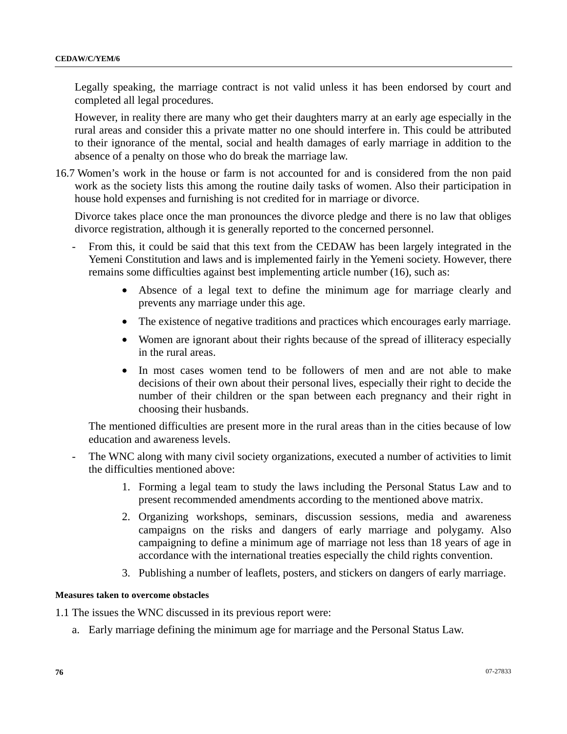Legally speaking, the marriage contract is not valid unless it has been endorsed by court and completed all legal procedures.

However, in reality there are many who get their daughters marry at an early age especially in the rural areas and consider this a private matter no one should interfere in. This could be attributed to their ignorance of the mental, social and health damages of early marriage in addition to the absence of a penalty on those who do break the marriage law.

16.7 Women's work in the house or farm is not accounted for and is considered from the non paid work as the society lists this among the routine daily tasks of women. Also their participation in house hold expenses and furnishing is not credited for in marriage or divorce.

Divorce takes place once the man pronounces the divorce pledge and there is no law that obliges divorce registration, although it is generally reported to the concerned personnel.

- From this, it could be said that this text from the CEDAW has been largely integrated in the Yemeni Constitution and laws and is implemented fairly in the Yemeni society. However, there remains some difficulties against best implementing article number (16), such as:
	- Absence of a legal text to define the minimum age for marriage clearly and prevents any marriage under this age.
	- The existence of negative traditions and practices which encourages early marriage.
	- Women are ignorant about their rights because of the spread of illiteracy especially in the rural areas.
	- In most cases women tend to be followers of men and are not able to make decisions of their own about their personal lives, especially their right to decide the number of their children or the span between each pregnancy and their right in choosing their husbands.

The mentioned difficulties are present more in the rural areas than in the cities because of low education and awareness levels.

- The WNC along with many civil society organizations, executed a number of activities to limit the difficulties mentioned above:
	- 1. Forming a legal team to study the laws including the Personal Status Law and to present recommended amendments according to the mentioned above matrix.
	- 2. Organizing workshops, seminars, discussion sessions, media and awareness campaigns on the risks and dangers of early marriage and polygamy. Also campaigning to define a minimum age of marriage not less than 18 years of age in accordance with the international treaties especially the child rights convention.
	- 3. Publishing a number of leaflets, posters, and stickers on dangers of early marriage.

#### **Measures taken to overcome obstacles**

- 1.1 The issues the WNC discussed in its previous report were:
	- a. Early marriage defining the minimum age for marriage and the Personal Status Law.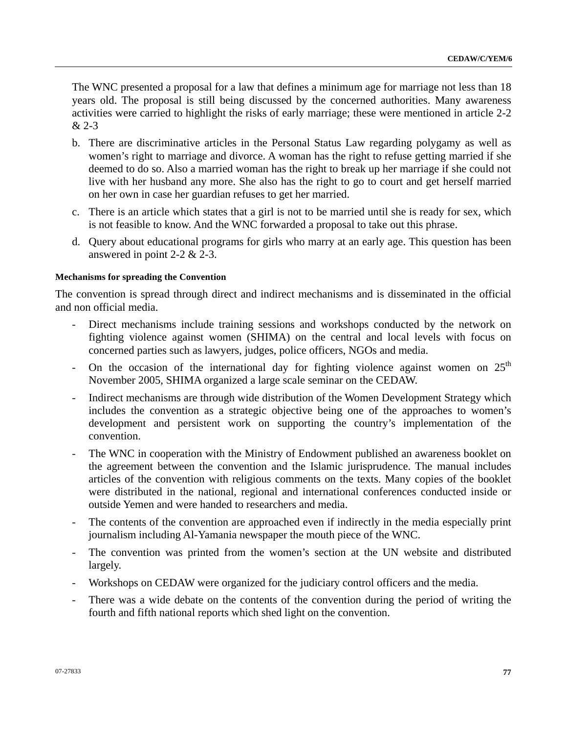The WNC presented a proposal for a law that defines a minimum age for marriage not less than 18 years old. The proposal is still being discussed by the concerned authorities. Many awareness activities were carried to highlight the risks of early marriage; these were mentioned in article 2-2 & 2-3

- b. There are discriminative articles in the Personal Status Law regarding polygamy as well as women's right to marriage and divorce. A woman has the right to refuse getting married if she deemed to do so. Also a married woman has the right to break up her marriage if she could not live with her husband any more. She also has the right to go to court and get herself married on her own in case her guardian refuses to get her married.
- c. There is an article which states that a girl is not to be married until she is ready for sex, which is not feasible to know. And the WNC forwarded a proposal to take out this phrase.
- d. Query about educational programs for girls who marry at an early age. This question has been answered in point 2-2 & 2-3.

### **Mechanisms for spreading the Convention**

The convention is spread through direct and indirect mechanisms and is disseminated in the official and non official media.

- Direct mechanisms include training sessions and workshops conducted by the network on fighting violence against women (SHIMA) on the central and local levels with focus on concerned parties such as lawyers, judges, police officers, NGOs and media.
- On the occasion of the international day for fighting violence against women on  $25<sup>th</sup>$ November 2005, SHIMA organized a large scale seminar on the CEDAW.
- Indirect mechanisms are through wide distribution of the Women Development Strategy which includes the convention as a strategic objective being one of the approaches to women's development and persistent work on supporting the country's implementation of the convention.
- The WNC in cooperation with the Ministry of Endowment published an awareness booklet on the agreement between the convention and the Islamic jurisprudence. The manual includes articles of the convention with religious comments on the texts. Many copies of the booklet were distributed in the national, regional and international conferences conducted inside or outside Yemen and were handed to researchers and media.
- The contents of the convention are approached even if indirectly in the media especially print journalism including Al-Yamania newspaper the mouth piece of the WNC.
- The convention was printed from the women's section at the UN website and distributed largely.
- Workshops on CEDAW were organized for the judiciary control officers and the media.
- There was a wide debate on the contents of the convention during the period of writing the fourth and fifth national reports which shed light on the convention.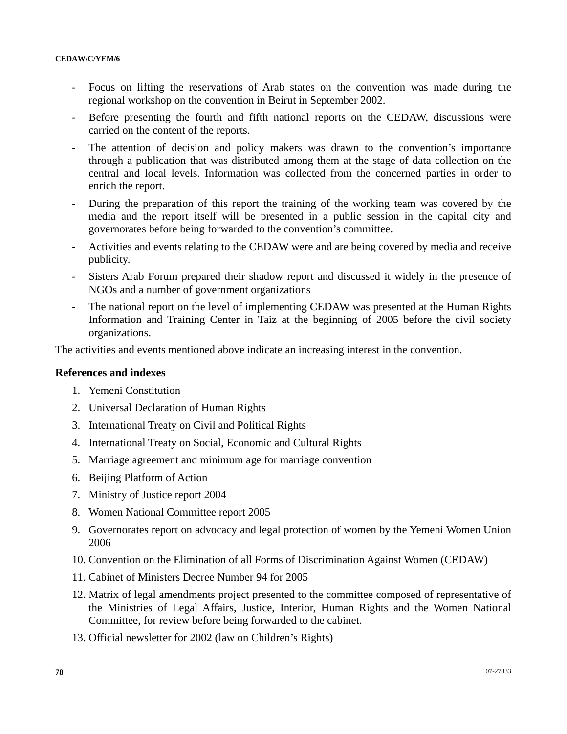- Focus on lifting the reservations of Arab states on the convention was made during the regional workshop on the convention in Beirut in September 2002.
- Before presenting the fourth and fifth national reports on the CEDAW, discussions were carried on the content of the reports.
- The attention of decision and policy makers was drawn to the convention's importance through a publication that was distributed among them at the stage of data collection on the central and local levels. Information was collected from the concerned parties in order to enrich the report.
- During the preparation of this report the training of the working team was covered by the media and the report itself will be presented in a public session in the capital city and governorates before being forwarded to the convention's committee.
- Activities and events relating to the CEDAW were and are being covered by media and receive publicity.
- Sisters Arab Forum prepared their shadow report and discussed it widely in the presence of NGOs and a number of government organizations
- The national report on the level of implementing CEDAW was presented at the Human Rights Information and Training Center in Taiz at the beginning of 2005 before the civil society organizations.

The activities and events mentioned above indicate an increasing interest in the convention.

### **References and indexes**

- 1. Yemeni Constitution
- 2. Universal Declaration of Human Rights
- 3. International Treaty on Civil and Political Rights
- 4. International Treaty on Social, Economic and Cultural Rights
- 5. Marriage agreement and minimum age for marriage convention
- 6. Beijing Platform of Action
- 7. Ministry of Justice report 2004
- 8. Women National Committee report 2005
- 9. Governorates report on advocacy and legal protection of women by the Yemeni Women Union 2006
- 10. Convention on the Elimination of all Forms of Discrimination Against Women (CEDAW)
- 11. Cabinet of Ministers Decree Number 94 for 2005
- 12. Matrix of legal amendments project presented to the committee composed of representative of the Ministries of Legal Affairs, Justice, Interior, Human Rights and the Women National Committee, for review before being forwarded to the cabinet.
- 13. Official newsletter for 2002 (law on Children's Rights)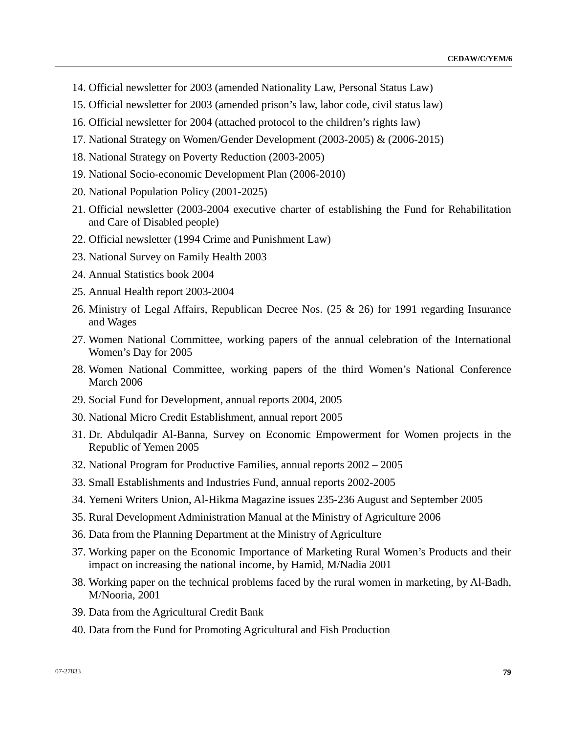- 14. Official newsletter for 2003 (amended Nationality Law, Personal Status Law)
- 15. Official newsletter for 2003 (amended prison's law, labor code, civil status law)
- 16. Official newsletter for 2004 (attached protocol to the children's rights law)
- 17. National Strategy on Women/Gender Development (2003-2005) & (2006-2015)
- 18. National Strategy on Poverty Reduction (2003-2005)
- 19. National Socio-economic Development Plan (2006-2010)
- 20. National Population Policy (2001-2025)
- 21. Official newsletter (2003-2004 executive charter of establishing the Fund for Rehabilitation and Care of Disabled people)
- 22. Official newsletter (1994 Crime and Punishment Law)
- 23. National Survey on Family Health 2003
- 24. Annual Statistics book 2004
- 25. Annual Health report 2003-2004
- 26. Ministry of Legal Affairs, Republican Decree Nos. (25 & 26) for 1991 regarding Insurance and Wages
- 27. Women National Committee, working papers of the annual celebration of the International Women's Day for 2005
- 28. Women National Committee, working papers of the third Women's National Conference March 2006
- 29. Social Fund for Development, annual reports 2004, 2005
- 30. National Micro Credit Establishment, annual report 2005
- 31. Dr. Abdulqadir Al-Banna, Survey on Economic Empowerment for Women projects in the Republic of Yemen 2005
- 32. National Program for Productive Families, annual reports 2002 2005
- 33. Small Establishments and Industries Fund, annual reports 2002-2005
- 34. Yemeni Writers Union, Al-Hikma Magazine issues 235-236 August and September 2005
- 35. Rural Development Administration Manual at the Ministry of Agriculture 2006
- 36. Data from the Planning Department at the Ministry of Agriculture
- 37. Working paper on the Economic Importance of Marketing Rural Women's Products and their impact on increasing the national income, by Hamid, M/Nadia 2001
- 38. Working paper on the technical problems faced by the rural women in marketing, by Al-Badh, M/Nooria, 2001
- 39. Data from the Agricultural Credit Bank
- 40. Data from the Fund for Promoting Agricultural and Fish Production